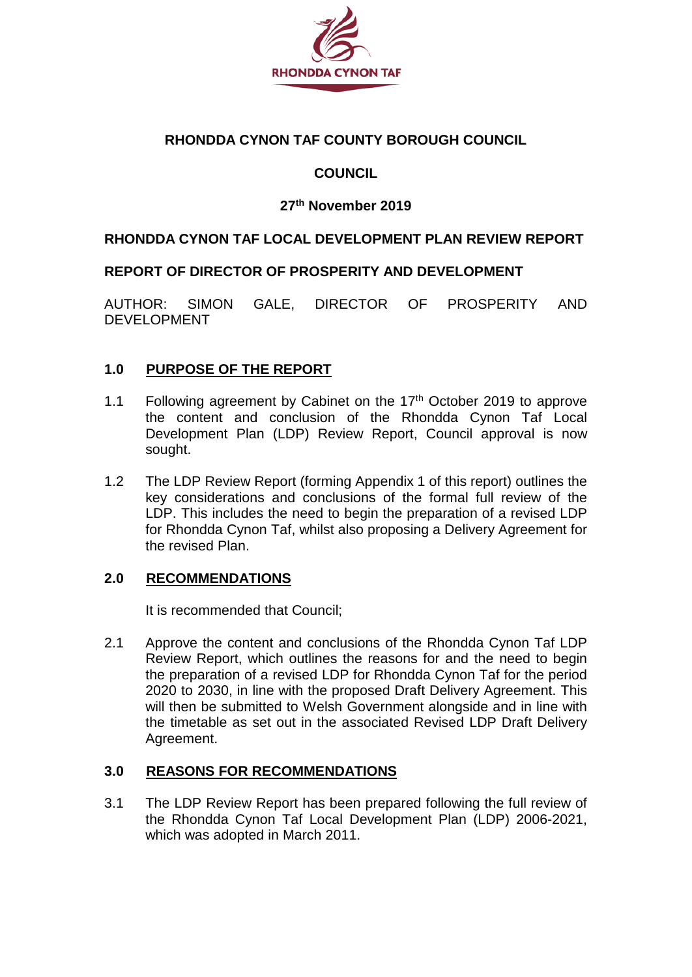

## **RHONDDA CYNON TAF COUNTY BOROUGH COUNCIL**

## **COUNCIL**

### **27th November 2019**

#### **RHONDDA CYNON TAF LOCAL DEVELOPMENT PLAN REVIEW REPORT**

#### **REPORT OF DIRECTOR OF PROSPERITY AND DEVELOPMENT**

AUTHOR: SIMON GALE, DIRECTOR OF PROSPERITY AND DEVELOPMENT

#### **1.0 PURPOSE OF THE REPORT**

- 1.1 Following agreement by Cabinet on the  $17<sup>th</sup>$  October 2019 to approve the content and conclusion of the Rhondda Cynon Taf Local Development Plan (LDP) Review Report, Council approval is now sought.
- 1.2 The LDP Review Report (forming Appendix 1 of this report) outlines the key considerations and conclusions of the formal full review of the LDP. This includes the need to begin the preparation of a revised LDP for Rhondda Cynon Taf, whilst also proposing a Delivery Agreement for the revised Plan.

#### **2.0 RECOMMENDATIONS**

It is recommended that Council;

2.1 Approve the content and conclusions of the Rhondda Cynon Taf LDP Review Report, which outlines the reasons for and the need to begin the preparation of a revised LDP for Rhondda Cynon Taf for the period 2020 to 2030, in line with the proposed Draft Delivery Agreement. This will then be submitted to Welsh Government alongside and in line with the timetable as set out in the associated Revised LDP Draft Delivery Agreement.

#### **3.0 REASONS FOR RECOMMENDATIONS**

3.1 The LDP Review Report has been prepared following the full review of the Rhondda Cynon Taf Local Development Plan (LDP) 2006-2021, which was adopted in March 2011.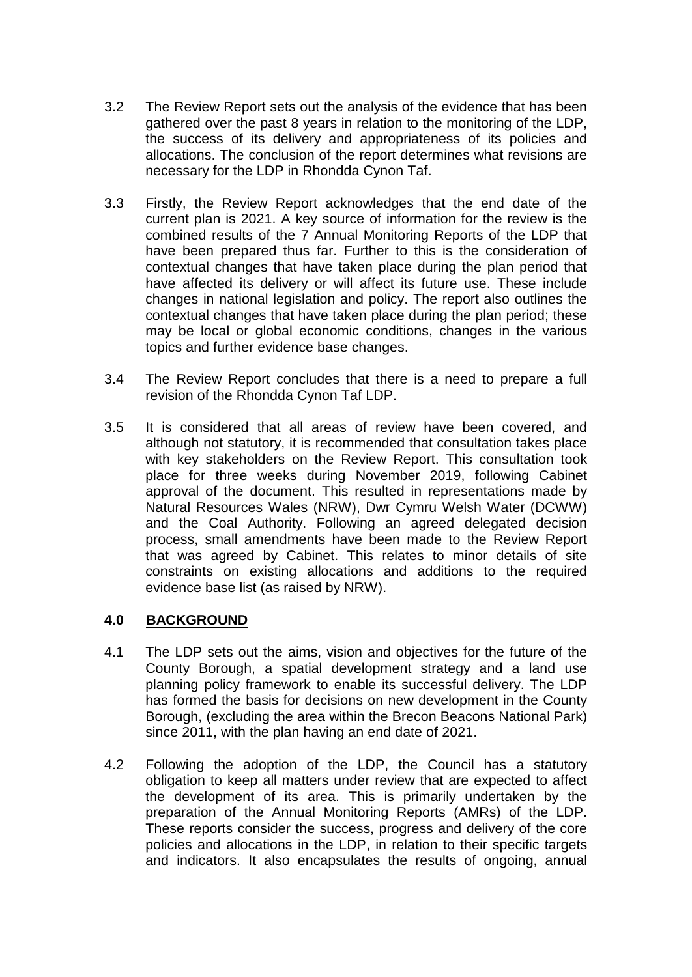- 3.2 The Review Report sets out the analysis of the evidence that has been gathered over the past 8 years in relation to the monitoring of the LDP, the success of its delivery and appropriateness of its policies and allocations. The conclusion of the report determines what revisions are necessary for the LDP in Rhondda Cynon Taf.
- 3.3 Firstly, the Review Report acknowledges that the end date of the current plan is 2021. A key source of information for the review is the combined results of the 7 Annual Monitoring Reports of the LDP that have been prepared thus far. Further to this is the consideration of contextual changes that have taken place during the plan period that have affected its delivery or will affect its future use. These include changes in national legislation and policy. The report also outlines the contextual changes that have taken place during the plan period; these may be local or global economic conditions, changes in the various topics and further evidence base changes.
- 3.4 The Review Report concludes that there is a need to prepare a full revision of the Rhondda Cynon Taf LDP.
- 3.5 It is considered that all areas of review have been covered, and although not statutory, it is recommended that consultation takes place with key stakeholders on the Review Report. This consultation took place for three weeks during November 2019, following Cabinet approval of the document. This resulted in representations made by Natural Resources Wales (NRW), Dwr Cymru Welsh Water (DCWW) and the Coal Authority. Following an agreed delegated decision process, small amendments have been made to the Review Report that was agreed by Cabinet. This relates to minor details of site constraints on existing allocations and additions to the required evidence base list (as raised by NRW).

#### **4.0 BACKGROUND**

- 4.1 The LDP sets out the aims, vision and objectives for the future of the County Borough, a spatial development strategy and a land use planning policy framework to enable its successful delivery. The LDP has formed the basis for decisions on new development in the County Borough, (excluding the area within the Brecon Beacons National Park) since 2011, with the plan having an end date of 2021.
- 4.2 Following the adoption of the LDP, the Council has a statutory obligation to keep all matters under review that are expected to affect the development of its area. This is primarily undertaken by the preparation of the Annual Monitoring Reports (AMRs) of the LDP. These reports consider the success, progress and delivery of the core policies and allocations in the LDP, in relation to their specific targets and indicators. It also encapsulates the results of ongoing, annual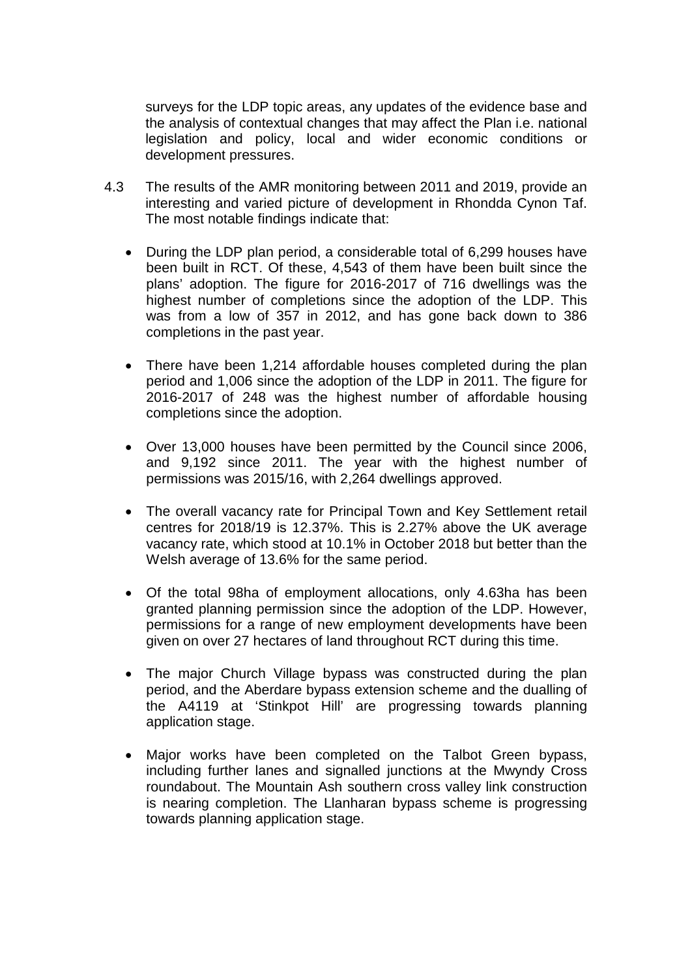surveys for the LDP topic areas, any updates of the evidence base and the analysis of contextual changes that may affect the Plan i.e. national legislation and policy, local and wider economic conditions or development pressures.

- 4.3 The results of the AMR monitoring between 2011 and 2019, provide an interesting and varied picture of development in Rhondda Cynon Taf. The most notable findings indicate that:
	- During the LDP plan period, a considerable total of 6,299 houses have been built in RCT. Of these, 4,543 of them have been built since the plans' adoption. The figure for 2016-2017 of 716 dwellings was the highest number of completions since the adoption of the LDP. This was from a low of 357 in 2012, and has gone back down to 386 completions in the past year.
	- There have been 1,214 affordable houses completed during the plan period and 1,006 since the adoption of the LDP in 2011. The figure for 2016-2017 of 248 was the highest number of affordable housing completions since the adoption.
	- Over 13,000 houses have been permitted by the Council since 2006, and 9,192 since 2011. The year with the highest number of permissions was 2015/16, with 2,264 dwellings approved.
	- The overall vacancy rate for Principal Town and Key Settlement retail centres for 2018/19 is 12.37%. This is 2.27% above the UK average vacancy rate, which stood at 10.1% in October 2018 but better than the Welsh average of 13.6% for the same period.
	- Of the total 98ha of employment allocations, only 4.63ha has been granted planning permission since the adoption of the LDP. However, permissions for a range of new employment developments have been given on over 27 hectares of land throughout RCT during this time.
	- The major Church Village bypass was constructed during the plan period, and the Aberdare bypass extension scheme and the dualling of the A4119 at 'Stinkpot Hill' are progressing towards planning application stage.
	- Major works have been completed on the Talbot Green bypass, including further lanes and signalled junctions at the Mwyndy Cross roundabout. The Mountain Ash southern cross valley link construction is nearing completion. The Llanharan bypass scheme is progressing towards planning application stage.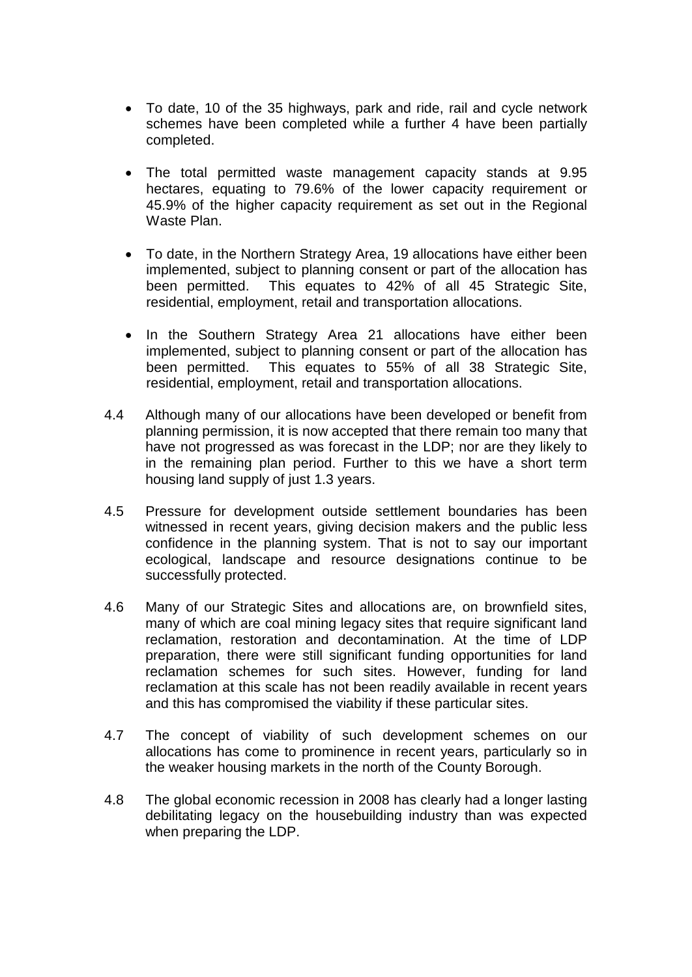- To date, 10 of the 35 highways, park and ride, rail and cycle network schemes have been completed while a further 4 have been partially completed.
- The total permitted waste management capacity stands at 9.95 hectares, equating to 79.6% of the lower capacity requirement or 45.9% of the higher capacity requirement as set out in the Regional Waste Plan.
- To date, in the Northern Strategy Area, 19 allocations have either been implemented, subject to planning consent or part of the allocation has<br>been permitted. This equates to 42% of all 45 Strategic Site. This equates to 42% of all 45 Strategic Site, residential, employment, retail and transportation allocations.
- In the Southern Strategy Area 21 allocations have either been implemented, subject to planning consent or part of the allocation has been permitted. This equates to 55% of all 38 Strategic Site, residential, employment, retail and transportation allocations.
- 4.4 Although many of our allocations have been developed or benefit from planning permission, it is now accepted that there remain too many that have not progressed as was forecast in the LDP; nor are they likely to in the remaining plan period. Further to this we have a short term housing land supply of just 1.3 years.
- 4.5 Pressure for development outside settlement boundaries has been witnessed in recent years, giving decision makers and the public less confidence in the planning system. That is not to say our important ecological, landscape and resource designations continue to be successfully protected.
- 4.6 Many of our Strategic Sites and allocations are, on brownfield sites, many of which are coal mining legacy sites that require significant land reclamation, restoration and decontamination. At the time of LDP preparation, there were still significant funding opportunities for land reclamation schemes for such sites. However, funding for land reclamation at this scale has not been readily available in recent years and this has compromised the viability if these particular sites.
- 4.7 The concept of viability of such development schemes on our allocations has come to prominence in recent years, particularly so in the weaker housing markets in the north of the County Borough.
- 4.8 The global economic recession in 2008 has clearly had a longer lasting debilitating legacy on the housebuilding industry than was expected when preparing the LDP.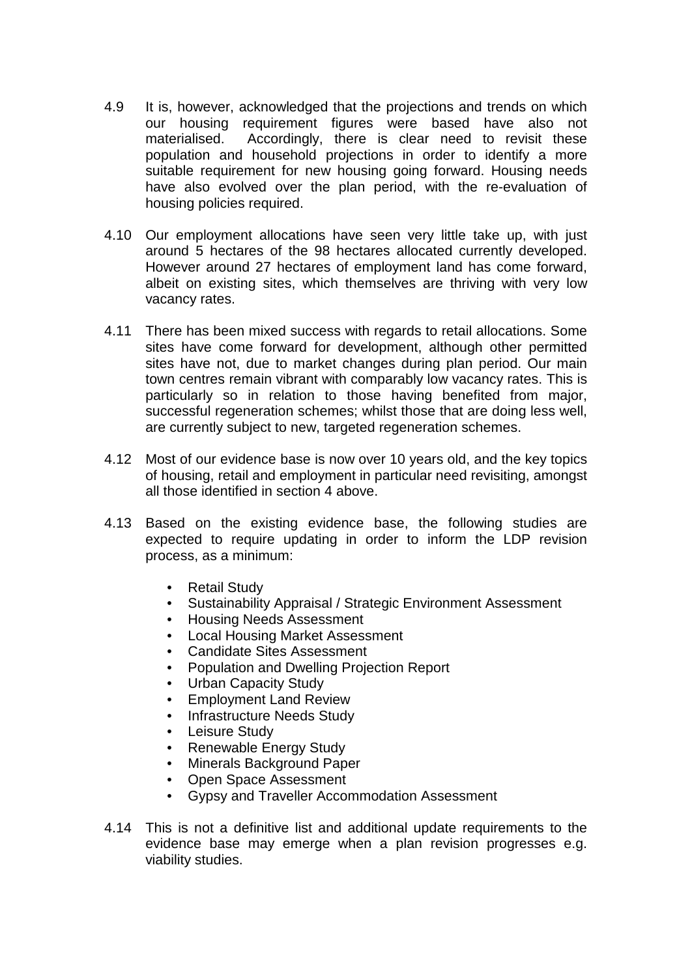- 4.9 It is, however, acknowledged that the projections and trends on which our housing requirement figures were based have also not materialised. Accordingly, there is clear need to revisit these population and household projections in order to identify a more suitable requirement for new housing going forward. Housing needs have also evolved over the plan period, with the re-evaluation of housing policies required.
- 4.10 Our employment allocations have seen very little take up, with just around 5 hectares of the 98 hectares allocated currently developed. However around 27 hectares of employment land has come forward, albeit on existing sites, which themselves are thriving with very low vacancy rates.
- 4.11 There has been mixed success with regards to retail allocations. Some sites have come forward for development, although other permitted sites have not, due to market changes during plan period. Our main town centres remain vibrant with comparably low vacancy rates. This is particularly so in relation to those having benefited from major, successful regeneration schemes; whilst those that are doing less well, are currently subject to new, targeted regeneration schemes.
- 4.12 Most of our evidence base is now over 10 years old, and the key topics of housing, retail and employment in particular need revisiting, amongst all those identified in section 4 above.
- 4.13 Based on the existing evidence base, the following studies are expected to require updating in order to inform the LDP revision process, as a minimum:
	- Retail Study
	- Sustainability Appraisal / Strategic Environment Assessment
	- Housing Needs Assessment
	- Local Housing Market Assessment
	- Candidate Sites Assessment
	- Population and Dwelling Projection Report
	- Urban Capacity Study
	- Employment Land Review
	- Infrastructure Needs Study
	- Leisure Study
	- Renewable Energy Study
	- Minerals Background Paper
	- Open Space Assessment
	- Gypsy and Traveller Accommodation Assessment
- 4.14 This is not a definitive list and additional update requirements to the evidence base may emerge when a plan revision progresses e.g. viability studies.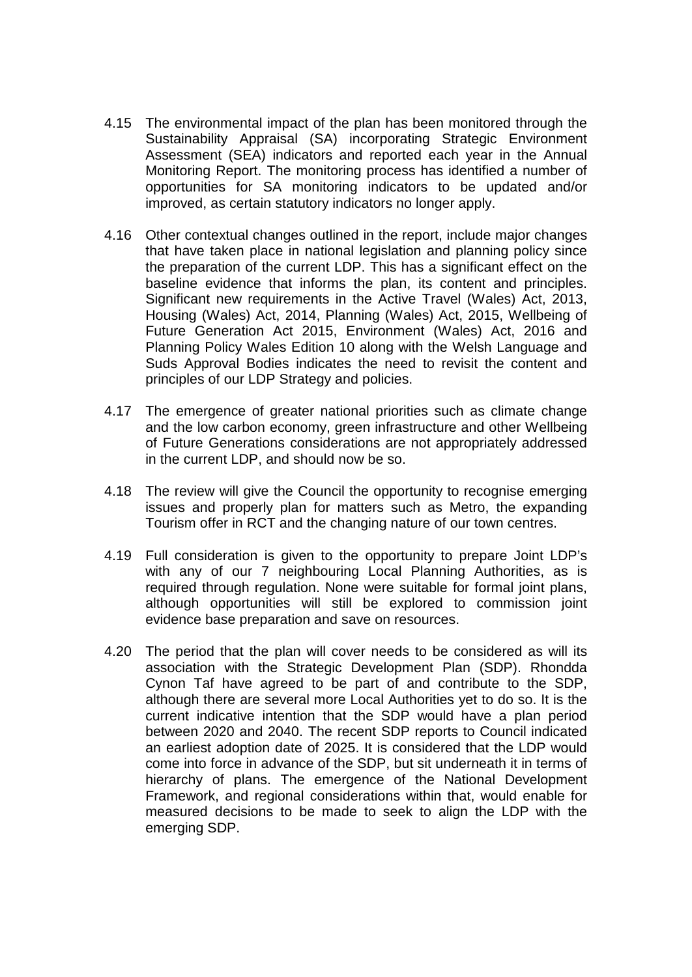- 4.15 The environmental impact of the plan has been monitored through the Sustainability Appraisal (SA) incorporating Strategic Environment Assessment (SEA) indicators and reported each year in the Annual Monitoring Report. The monitoring process has identified a number of opportunities for SA monitoring indicators to be updated and/or improved, as certain statutory indicators no longer apply.
- 4.16 Other contextual changes outlined in the report, include major changes that have taken place in national legislation and planning policy since the preparation of the current LDP. This has a significant effect on the baseline evidence that informs the plan, its content and principles. Significant new requirements in the Active Travel (Wales) Act, 2013, Housing (Wales) Act, 2014, Planning (Wales) Act, 2015, Wellbeing of Future Generation Act 2015, Environment (Wales) Act, 2016 and Planning Policy Wales Edition 10 along with the Welsh Language and Suds Approval Bodies indicates the need to revisit the content and principles of our LDP Strategy and policies.
- 4.17 The emergence of greater national priorities such as climate change and the low carbon economy, green infrastructure and other Wellbeing of Future Generations considerations are not appropriately addressed in the current LDP, and should now be so.
- 4.18 The review will give the Council the opportunity to recognise emerging issues and properly plan for matters such as Metro, the expanding Tourism offer in RCT and the changing nature of our town centres.
- 4.19 Full consideration is given to the opportunity to prepare Joint LDP's with any of our 7 neighbouring Local Planning Authorities, as is required through regulation. None were suitable for formal joint plans, although opportunities will still be explored to commission joint evidence base preparation and save on resources.
- 4.20 The period that the plan will cover needs to be considered as will its association with the Strategic Development Plan (SDP). Rhondda Cynon Taf have agreed to be part of and contribute to the SDP, although there are several more Local Authorities yet to do so. It is the current indicative intention that the SDP would have a plan period between 2020 and 2040. The recent SDP reports to Council indicated an earliest adoption date of 2025. It is considered that the LDP would come into force in advance of the SDP, but sit underneath it in terms of hierarchy of plans. The emergence of the National Development Framework, and regional considerations within that, would enable for measured decisions to be made to seek to align the LDP with the emerging SDP.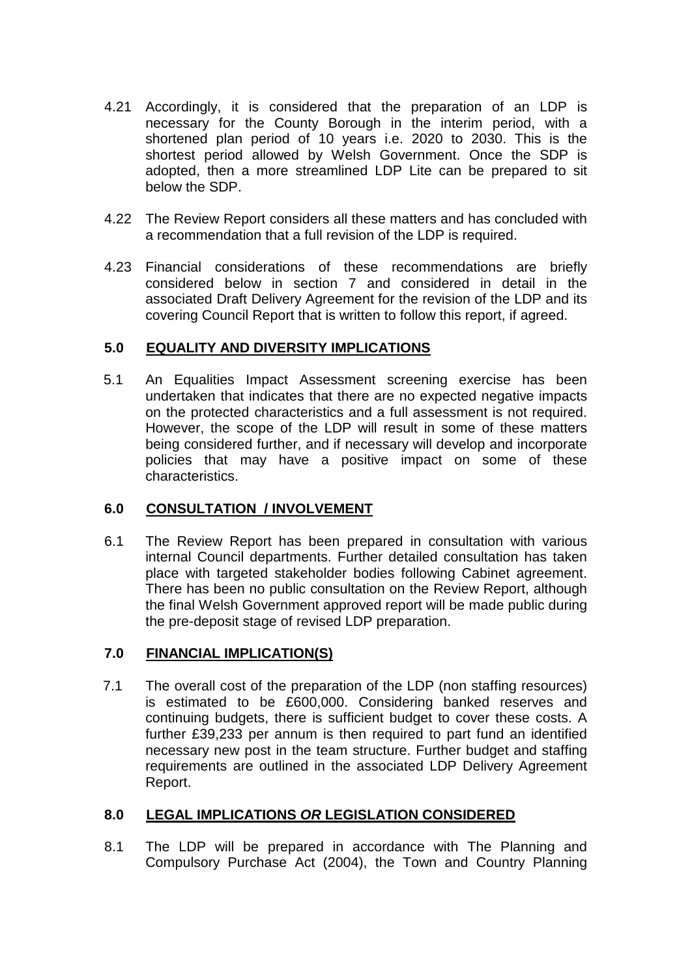- 4.21 Accordingly, it is considered that the preparation of an LDP is necessary for the County Borough in the interim period, with a shortened plan period of 10 years i.e. 2020 to 2030. This is the shortest period allowed by Welsh Government. Once the SDP is adopted, then a more streamlined LDP Lite can be prepared to sit below the SDP.
- 4.22 The Review Report considers all these matters and has concluded with a recommendation that a full revision of the LDP is required.
- 4.23 Financial considerations of these recommendations are briefly considered below in section 7 and considered in detail in the associated Draft Delivery Agreement for the revision of the LDP and its covering Council Report that is written to follow this report, if agreed.

### **5.0 EQUALITY AND DIVERSITY IMPLICATIONS**

5.1 An Equalities Impact Assessment screening exercise has been undertaken that indicates that there are no expected negative impacts on the protected characteristics and a full assessment is not required. However, the scope of the LDP will result in some of these matters being considered further, and if necessary will develop and incorporate policies that may have a positive impact on some of these characteristics.

#### **6.0 CONSULTATION / INVOLVEMENT**

6.1 The Review Report has been prepared in consultation with various internal Council departments. Further detailed consultation has taken place with targeted stakeholder bodies following Cabinet agreement. There has been no public consultation on the Review Report, although the final Welsh Government approved report will be made public during the pre-deposit stage of revised LDP preparation.

### **7.0 FINANCIAL IMPLICATION(S)**

7.1 The overall cost of the preparation of the LDP (non staffing resources) is estimated to be £600,000. Considering banked reserves and continuing budgets, there is sufficient budget to cover these costs. A further £39,233 per annum is then required to part fund an identified necessary new post in the team structure. Further budget and staffing requirements are outlined in the associated LDP Delivery Agreement Report.

## **8.0 LEGAL IMPLICATIONS** *OR* **LEGISLATION CONSIDERED**

8.1 The LDP will be prepared in accordance with The Planning and Compulsory Purchase Act (2004), the Town and Country Planning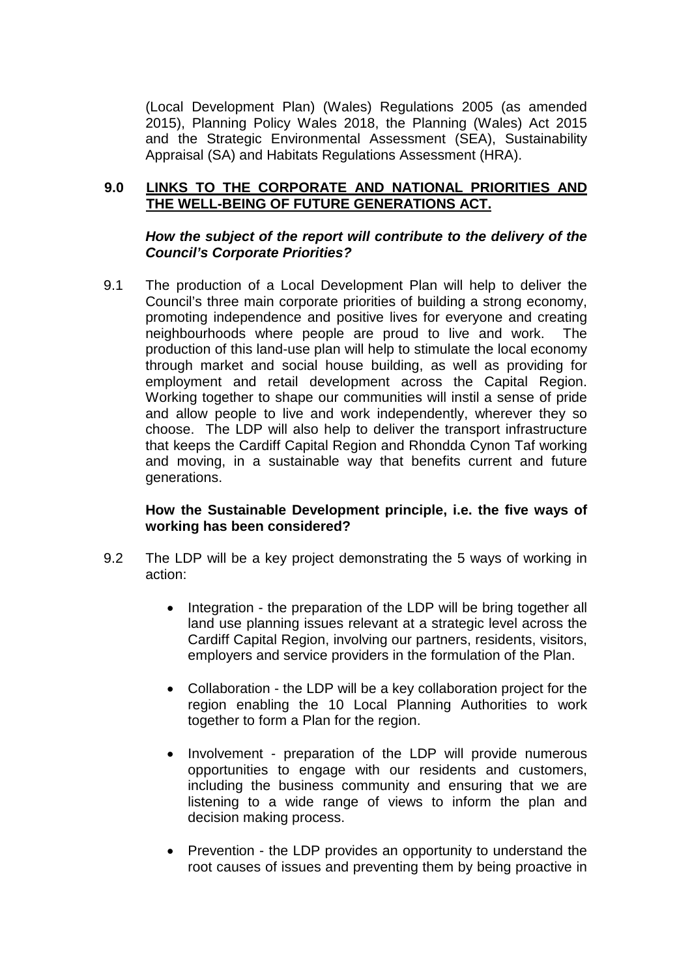(Local Development Plan) (Wales) Regulations 2005 (as amended 2015), Planning Policy Wales 2018, the Planning (Wales) Act 2015 and the Strategic Environmental Assessment (SEA), Sustainability Appraisal (SA) and Habitats Regulations Assessment (HRA).

#### **9.0 LINKS TO THE CORPORATE AND NATIONAL PRIORITIES AND THE WELL-BEING OF FUTURE GENERATIONS ACT.**

#### *How the subject of the report will contribute to the delivery of the Council's Corporate Priorities?*

9.1 The production of a Local Development Plan will help to deliver the Council's three main corporate priorities of building a strong economy, promoting independence and positive lives for everyone and creating neighbourhoods where people are proud to live and work. The production of this land-use plan will help to stimulate the local economy through market and social house building, as well as providing for employment and retail development across the Capital Region. Working together to shape our communities will instil a sense of pride and allow people to live and work independently, wherever they so choose. The LDP will also help to deliver the transport infrastructure that keeps the Cardiff Capital Region and Rhondda Cynon Taf working and moving, in a sustainable way that benefits current and future generations.

#### **How the Sustainable Development principle, i.e. the five ways of working has been considered?**

- 9.2 The LDP will be a key project demonstrating the 5 ways of working in action:
	- Integration the preparation of the LDP will be bring together all land use planning issues relevant at a strategic level across the Cardiff Capital Region, involving our partners, residents, visitors, employers and service providers in the formulation of the Plan.
	- Collaboration the LDP will be a key collaboration project for the region enabling the 10 Local Planning Authorities to work together to form a Plan for the region.
	- Involvement preparation of the LDP will provide numerous opportunities to engage with our residents and customers, including the business community and ensuring that we are listening to a wide range of views to inform the plan and decision making process.
	- Prevention the LDP provides an opportunity to understand the root causes of issues and preventing them by being proactive in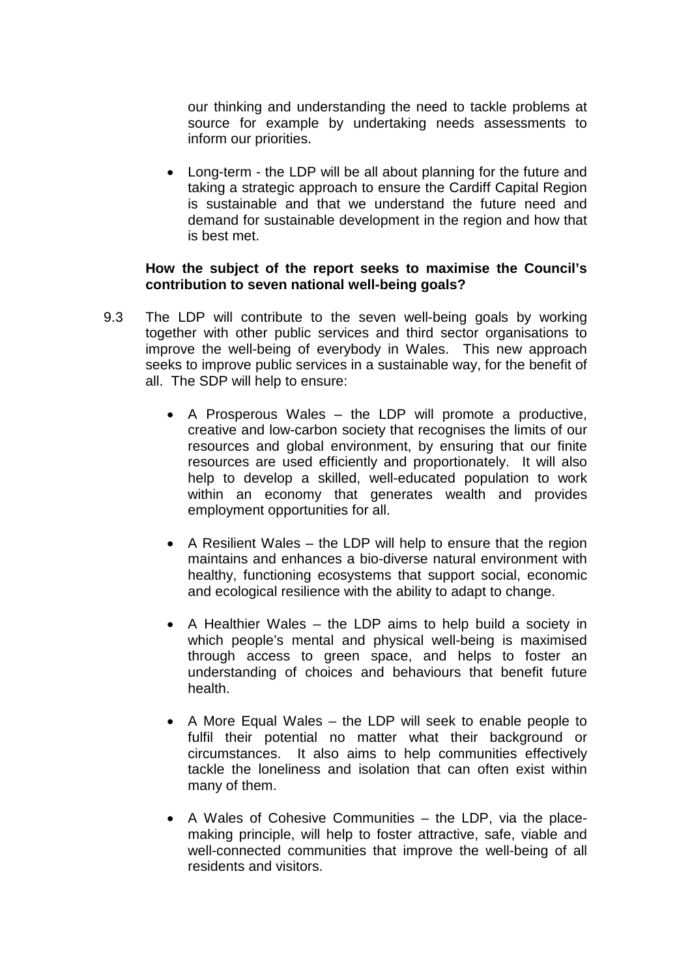our thinking and understanding the need to tackle problems at source for example by undertaking needs assessments to inform our priorities.

• Long-term - the LDP will be all about planning for the future and taking a strategic approach to ensure the Cardiff Capital Region is sustainable and that we understand the future need and demand for sustainable development in the region and how that is best met.

#### **How the subject of the report seeks to maximise the Council's contribution to seven national well-being goals?**

- 9.3 The LDP will contribute to the seven well-being goals by working together with other public services and third sector organisations to improve the well-being of everybody in Wales. This new approach seeks to improve public services in a sustainable way, for the benefit of all. The SDP will help to ensure:
	- A Prosperous Wales the LDP will promote a productive, creative and low-carbon society that recognises the limits of our resources and global environment, by ensuring that our finite resources are used efficiently and proportionately. It will also help to develop a skilled, well-educated population to work within an economy that generates wealth and provides employment opportunities for all.
	- A Resilient Wales the LDP will help to ensure that the region maintains and enhances a bio-diverse natural environment with healthy, functioning ecosystems that support social, economic and ecological resilience with the ability to adapt to change.
	- A Healthier Wales the LDP aims to help build a society in which people's mental and physical well-being is maximised through access to green space, and helps to foster an understanding of choices and behaviours that benefit future health.
	- A More Equal Wales the LDP will seek to enable people to fulfil their potential no matter what their background or circumstances. It also aims to help communities effectively tackle the loneliness and isolation that can often exist within many of them.
	- A Wales of Cohesive Communities the LDP, via the placemaking principle, will help to foster attractive, safe, viable and well-connected communities that improve the well-being of all residents and visitors.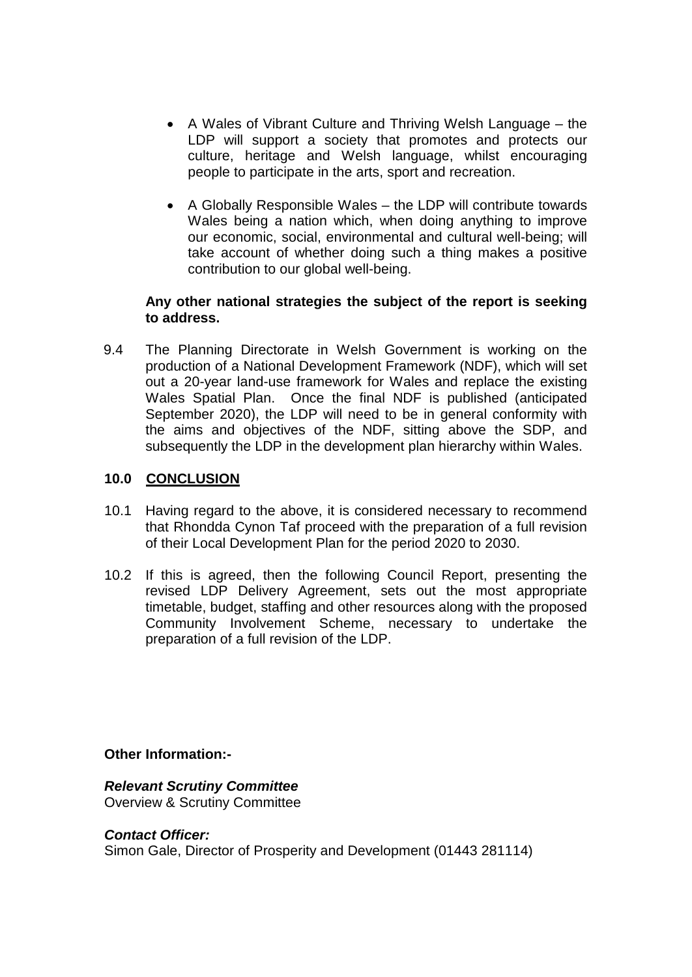- A Wales of Vibrant Culture and Thriving Welsh Language the LDP will support a society that promotes and protects our culture, heritage and Welsh language, whilst encouraging people to participate in the arts, sport and recreation.
- A Globally Responsible Wales the LDP will contribute towards Wales being a nation which, when doing anything to improve our economic, social, environmental and cultural well-being; will take account of whether doing such a thing makes a positive contribution to our global well-being.

#### **Any other national strategies the subject of the report is seeking to address.**

9.4 The Planning Directorate in Welsh Government is working on the production of a National Development Framework (NDF), which will set out a 20-year land-use framework for Wales and replace the existing Wales Spatial Plan. Once the final NDF is published (anticipated September 2020), the LDP will need to be in general conformity with the aims and objectives of the NDF, sitting above the SDP, and subsequently the LDP in the development plan hierarchy within Wales.

### **10.0 CONCLUSION**

- 10.1 Having regard to the above, it is considered necessary to recommend that Rhondda Cynon Taf proceed with the preparation of a full revision of their Local Development Plan for the period 2020 to 2030.
- 10.2 If this is agreed, then the following Council Report, presenting the revised LDP Delivery Agreement, sets out the most appropriate timetable, budget, staffing and other resources along with the proposed Community Involvement Scheme, necessary to undertake the preparation of a full revision of the LDP.

**Other Information:-**

*Relevant Scrutiny Committee* Overview & Scrutiny Committee

#### *Contact Officer:*

Simon Gale, Director of Prosperity and Development (01443 281114)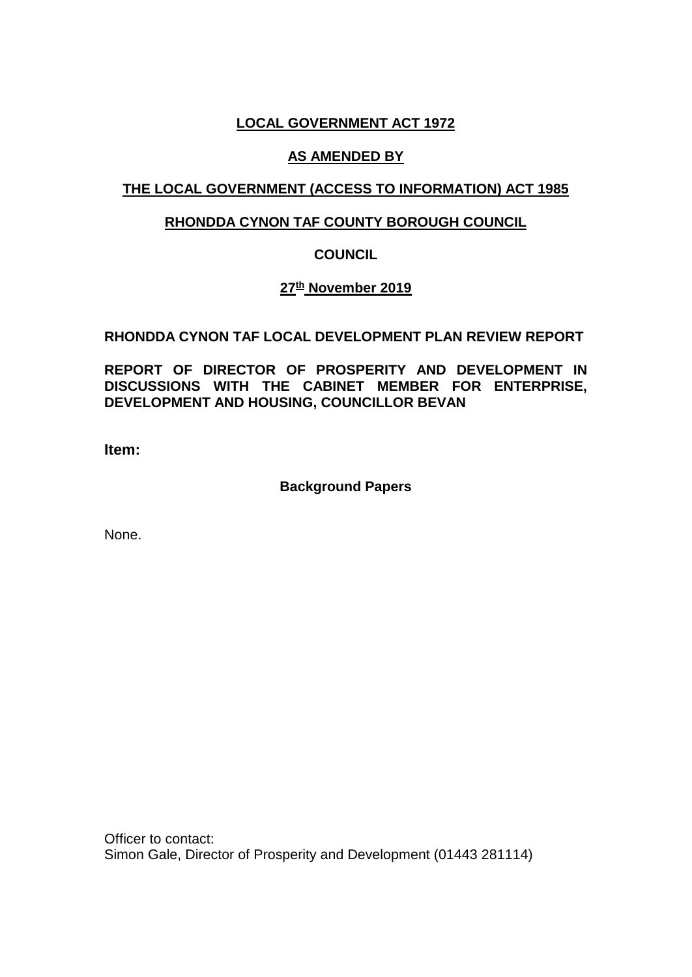## **LOCAL GOVERNMENT ACT 1972**

## **AS AMENDED BY**

## **THE LOCAL GOVERNMENT (ACCESS TO INFORMATION) ACT 1985**

## **RHONDDA CYNON TAF COUNTY BOROUGH COUNCIL**

## **COUNCIL**

## **27th November 2019**

## **RHONDDA CYNON TAF LOCAL DEVELOPMENT PLAN REVIEW REPORT**

**REPORT OF DIRECTOR OF PROSPERITY AND DEVELOPMENT IN DISCUSSIONS WITH THE CABINET MEMBER FOR ENTERPRISE, DEVELOPMENT AND HOUSING, COUNCILLOR BEVAN**

**Item:** 

## **Background Papers**

None.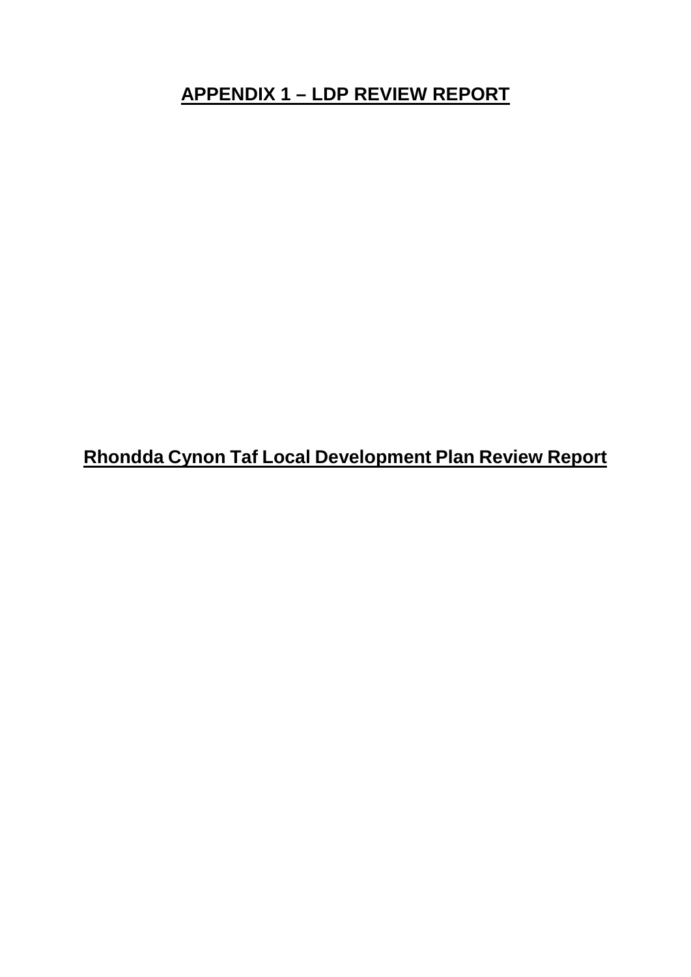# **APPENDIX 1 – LDP REVIEW REPORT**

**Rhondda Cynon Taf Local Development Plan Review Report**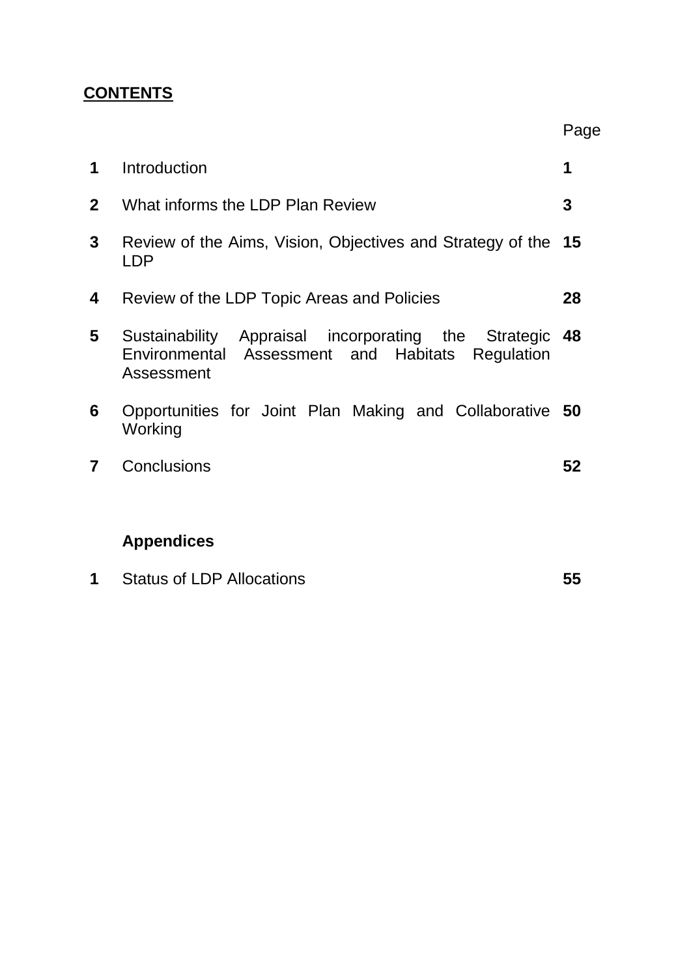# **CONTENTS**

| 1            | Introduction                                                                                                              |    |  |  |  |  |
|--------------|---------------------------------------------------------------------------------------------------------------------------|----|--|--|--|--|
| $\mathbf{2}$ | What informs the LDP Plan Review                                                                                          |    |  |  |  |  |
| 3            | Review of the Aims, Vision, Objectives and Strategy of the 15<br>LDP                                                      |    |  |  |  |  |
| 4            | Review of the LDP Topic Areas and Policies                                                                                | 28 |  |  |  |  |
| 5            | Sustainability Appraisal incorporating the Strategic<br>Environmental Assessment and Habitats<br>Regulation<br>Assessment | 48 |  |  |  |  |
| 6            | Opportunities for Joint Plan Making and Collaborative 50<br>Working                                                       |    |  |  |  |  |
| 7            | Conclusions                                                                                                               | 52 |  |  |  |  |
|              | <b>Appendices</b>                                                                                                         |    |  |  |  |  |

Page

| <b>Status of LDP Allocations</b> |  |
|----------------------------------|--|
|----------------------------------|--|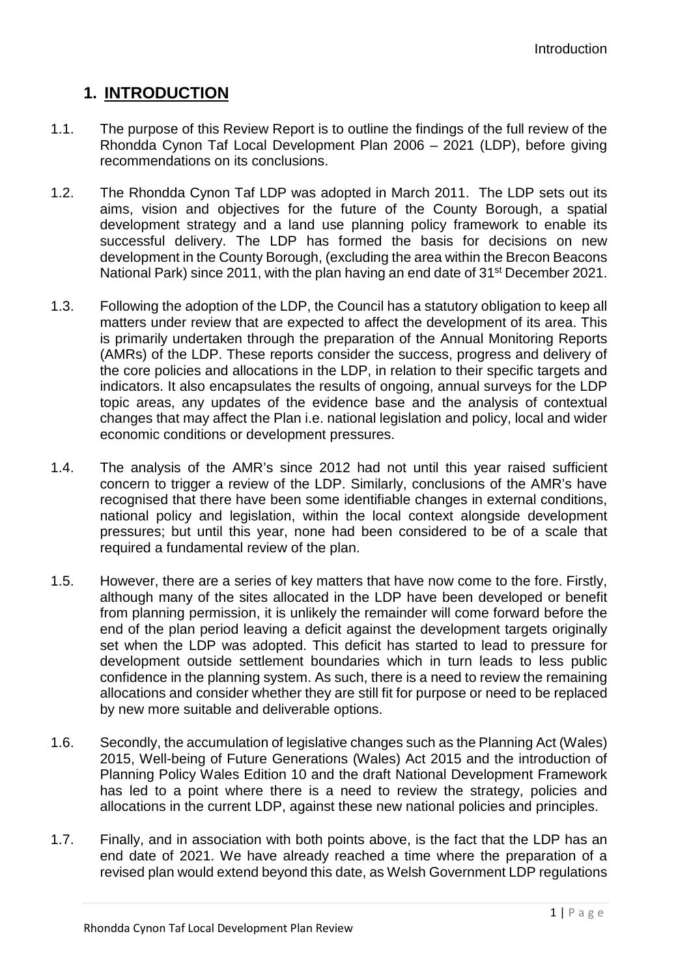# **1. INTRODUCTION**

- 1.1. The purpose of this Review Report is to outline the findings of the full review of the Rhondda Cynon Taf Local Development Plan 2006 – 2021 (LDP), before giving recommendations on its conclusions.
- 1.2. The Rhondda Cynon Taf LDP was adopted in March 2011. The LDP sets out its aims, vision and objectives for the future of the County Borough, a spatial development strategy and a land use planning policy framework to enable its successful delivery. The LDP has formed the basis for decisions on new development in the County Borough, (excluding the area within the Brecon Beacons National Park) since 2011, with the plan having an end date of 31<sup>st</sup> December 2021.
- 1.3. Following the adoption of the LDP, the Council has a statutory obligation to keep all matters under review that are expected to affect the development of its area. This is primarily undertaken through the preparation of the Annual Monitoring Reports (AMRs) of the LDP. These reports consider the success, progress and delivery of the core policies and allocations in the LDP, in relation to their specific targets and indicators. It also encapsulates the results of ongoing, annual surveys for the LDP topic areas, any updates of the evidence base and the analysis of contextual changes that may affect the Plan i.e. national legislation and policy, local and wider economic conditions or development pressures.
- 1.4. The analysis of the AMR's since 2012 had not until this year raised sufficient concern to trigger a review of the LDP. Similarly, conclusions of the AMR's have recognised that there have been some identifiable changes in external conditions, national policy and legislation, within the local context alongside development pressures; but until this year, none had been considered to be of a scale that required a fundamental review of the plan.
- 1.5. However, there are a series of key matters that have now come to the fore. Firstly, although many of the sites allocated in the LDP have been developed or benefit from planning permission, it is unlikely the remainder will come forward before the end of the plan period leaving a deficit against the development targets originally set when the LDP was adopted. This deficit has started to lead to pressure for development outside settlement boundaries which in turn leads to less public confidence in the planning system. As such, there is a need to review the remaining allocations and consider whether they are still fit for purpose or need to be replaced by new more suitable and deliverable options.
- 1.6. Secondly, the accumulation of legislative changes such as the Planning Act (Wales) 2015, Well-being of Future Generations (Wales) Act 2015 and the introduction of Planning Policy Wales Edition 10 and the draft National Development Framework has led to a point where there is a need to review the strategy, policies and allocations in the current LDP, against these new national policies and principles.
- 1.7. Finally, and in association with both points above, is the fact that the LDP has an end date of 2021. We have already reached a time where the preparation of a revised plan would extend beyond this date, as Welsh Government LDP regulations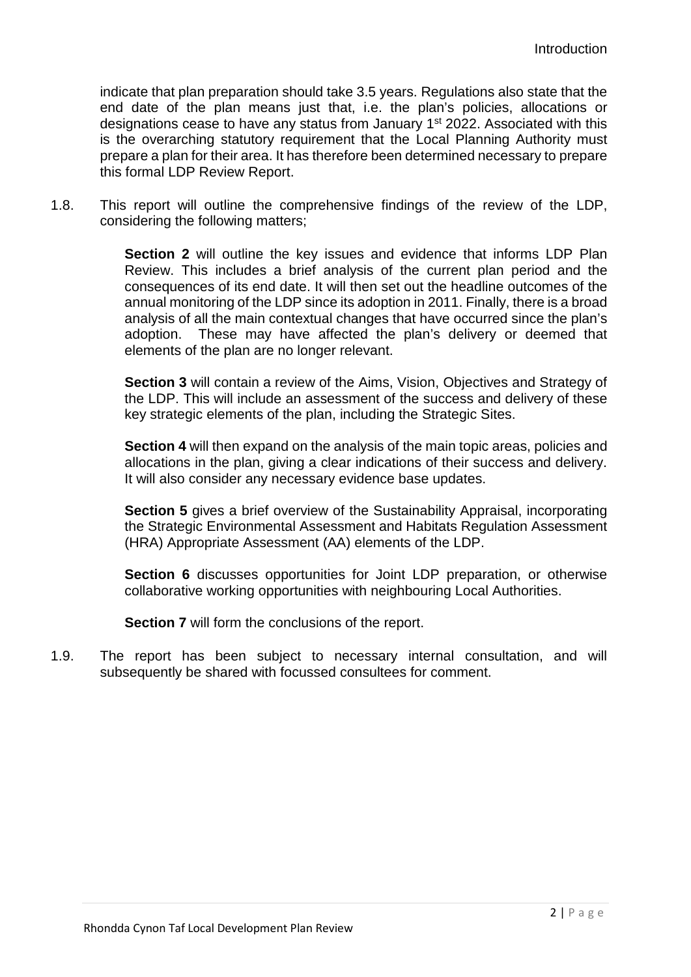indicate that plan preparation should take 3.5 years. Regulations also state that the end date of the plan means just that, i.e. the plan's policies, allocations or designations cease to have any status from January 1<sup>st</sup> 2022. Associated with this is the overarching statutory requirement that the Local Planning Authority must prepare a plan for their area. It has therefore been determined necessary to prepare this formal LDP Review Report.

1.8. This report will outline the comprehensive findings of the review of the LDP, considering the following matters;

> **Section 2** will outline the key issues and evidence that informs LDP Plan Review. This includes a brief analysis of the current plan period and the consequences of its end date. It will then set out the headline outcomes of the annual monitoring of the LDP since its adoption in 2011. Finally, there is a broad analysis of all the main contextual changes that have occurred since the plan's adoption. These may have affected the plan's delivery or deemed that elements of the plan are no longer relevant.

> **Section 3** will contain a review of the Aims, Vision, Objectives and Strategy of the LDP. This will include an assessment of the success and delivery of these key strategic elements of the plan, including the Strategic Sites.

> **Section 4** will then expand on the analysis of the main topic areas, policies and allocations in the plan, giving a clear indications of their success and delivery. It will also consider any necessary evidence base updates.

> **Section 5** gives a brief overview of the Sustainability Appraisal, incorporating the Strategic Environmental Assessment and Habitats Regulation Assessment (HRA) Appropriate Assessment (AA) elements of the LDP.

> **Section 6** discusses opportunities for Joint LDP preparation, or otherwise collaborative working opportunities with neighbouring Local Authorities.

**Section 7** will form the conclusions of the report.

1.9. The report has been subject to necessary internal consultation, and will subsequently be shared with focussed consultees for comment.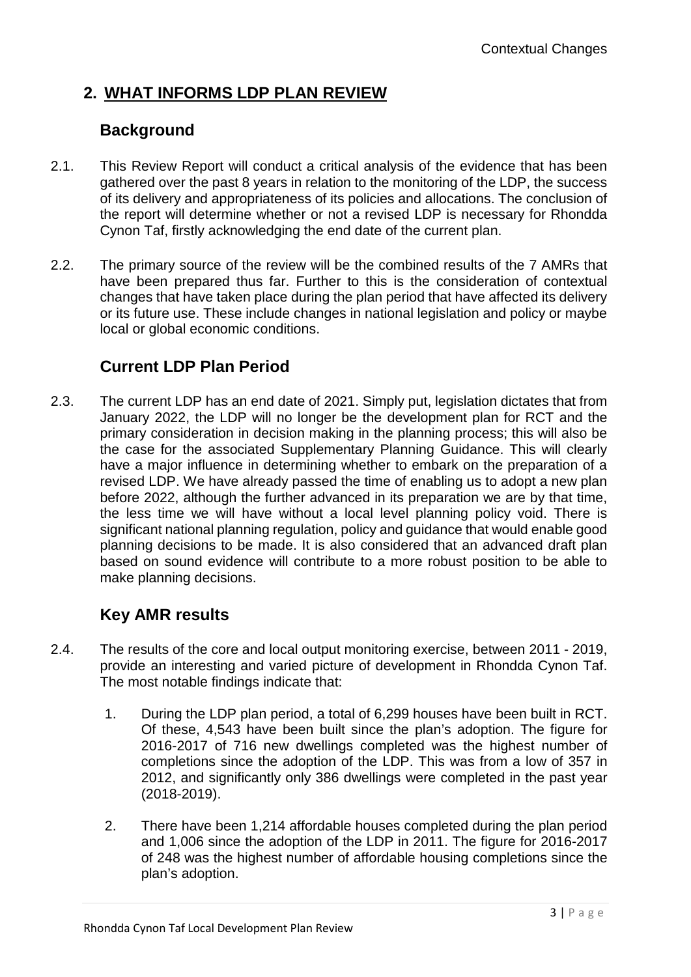# **2. WHAT INFORMS LDP PLAN REVIEW**

# **Background**

- 2.1. This Review Report will conduct a critical analysis of the evidence that has been gathered over the past 8 years in relation to the monitoring of the LDP, the success of its delivery and appropriateness of its policies and allocations. The conclusion of the report will determine whether or not a revised LDP is necessary for Rhondda Cynon Taf, firstly acknowledging the end date of the current plan.
- 2.2. The primary source of the review will be the combined results of the 7 AMRs that have been prepared thus far. Further to this is the consideration of contextual changes that have taken place during the plan period that have affected its delivery or its future use. These include changes in national legislation and policy or maybe local or global economic conditions.

# **Current LDP Plan Period**

2.3. The current LDP has an end date of 2021. Simply put, legislation dictates that from January 2022, the LDP will no longer be the development plan for RCT and the primary consideration in decision making in the planning process; this will also be the case for the associated Supplementary Planning Guidance. This will clearly have a major influence in determining whether to embark on the preparation of a revised LDP. We have already passed the time of enabling us to adopt a new plan before 2022, although the further advanced in its preparation we are by that time, the less time we will have without a local level planning policy void. There is significant national planning regulation, policy and guidance that would enable good planning decisions to be made. It is also considered that an advanced draft plan based on sound evidence will contribute to a more robust position to be able to make planning decisions.

# **Key AMR results**

- 2.4. The results of the core and local output monitoring exercise, between 2011 2019, provide an interesting and varied picture of development in Rhondda Cynon Taf. The most notable findings indicate that:
	- 1. During the LDP plan period, a total of 6,299 houses have been built in RCT. Of these, 4,543 have been built since the plan's adoption. The figure for 2016-2017 of 716 new dwellings completed was the highest number of completions since the adoption of the LDP. This was from a low of 357 in 2012, and significantly only 386 dwellings were completed in the past year (2018-2019).
	- 2. There have been 1,214 affordable houses completed during the plan period and 1,006 since the adoption of the LDP in 2011. The figure for 2016-2017 of 248 was the highest number of affordable housing completions since the plan's adoption.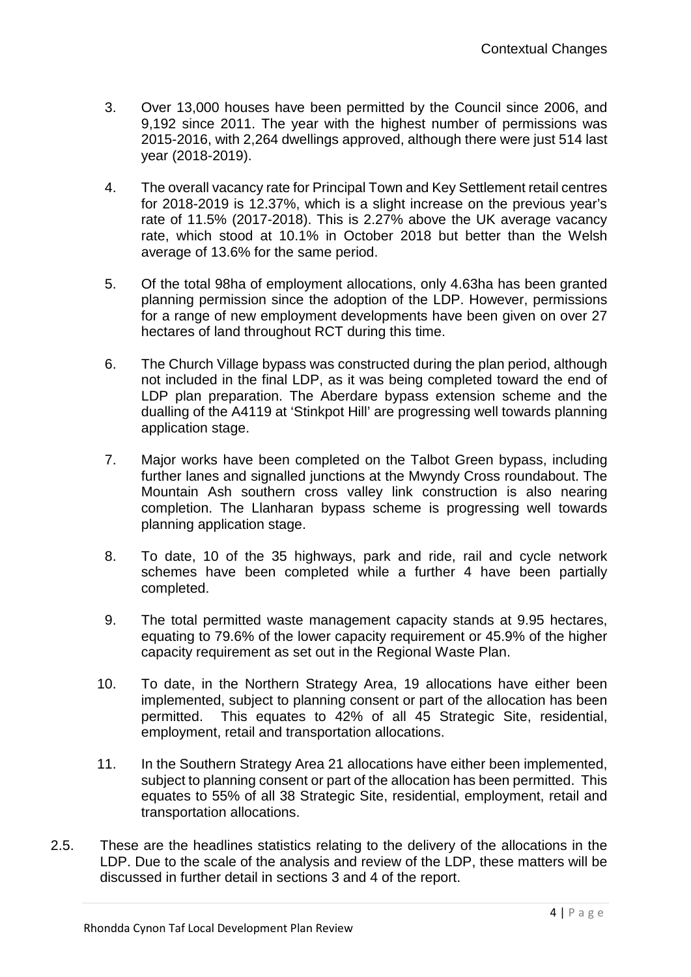- 3. Over 13,000 houses have been permitted by the Council since 2006, and 9,192 since 2011. The year with the highest number of permissions was 2015-2016, with 2,264 dwellings approved, although there were just 514 last year (2018-2019).
- 4. The overall vacancy rate for Principal Town and Key Settlement retail centres for 2018-2019 is 12.37%, which is a slight increase on the previous year's rate of 11.5% (2017-2018). This is 2.27% above the UK average vacancy rate, which stood at 10.1% in October 2018 but better than the Welsh average of 13.6% for the same period.
- 5. Of the total 98ha of employment allocations, only 4.63ha has been granted planning permission since the adoption of the LDP. However, permissions for a range of new employment developments have been given on over 27 hectares of land throughout RCT during this time.
- 6. The Church Village bypass was constructed during the plan period, although not included in the final LDP, as it was being completed toward the end of LDP plan preparation. The Aberdare bypass extension scheme and the dualling of the A4119 at 'Stinkpot Hill' are progressing well towards planning application stage.
- 7. Major works have been completed on the Talbot Green bypass, including further lanes and signalled junctions at the Mwyndy Cross roundabout. The Mountain Ash southern cross valley link construction is also nearing completion. The Llanharan bypass scheme is progressing well towards planning application stage.
- 8. To date, 10 of the 35 highways, park and ride, rail and cycle network schemes have been completed while a further 4 have been partially completed.
- 9. The total permitted waste management capacity stands at 9.95 hectares, equating to 79.6% of the lower capacity requirement or 45.9% of the higher capacity requirement as set out in the Regional Waste Plan.
- 10. To date, in the Northern Strategy Area, 19 allocations have either been implemented, subject to planning consent or part of the allocation has been permitted. This equates to 42% of all 45 Strategic Site, residential, employment, retail and transportation allocations.
- 11. In the Southern Strategy Area 21 allocations have either been implemented, subject to planning consent or part of the allocation has been permitted. This equates to 55% of all 38 Strategic Site, residential, employment, retail and transportation allocations.
- 2.5. These are the headlines statistics relating to the delivery of the allocations in the LDP. Due to the scale of the analysis and review of the LDP, these matters will be discussed in further detail in sections 3 and 4 of the report.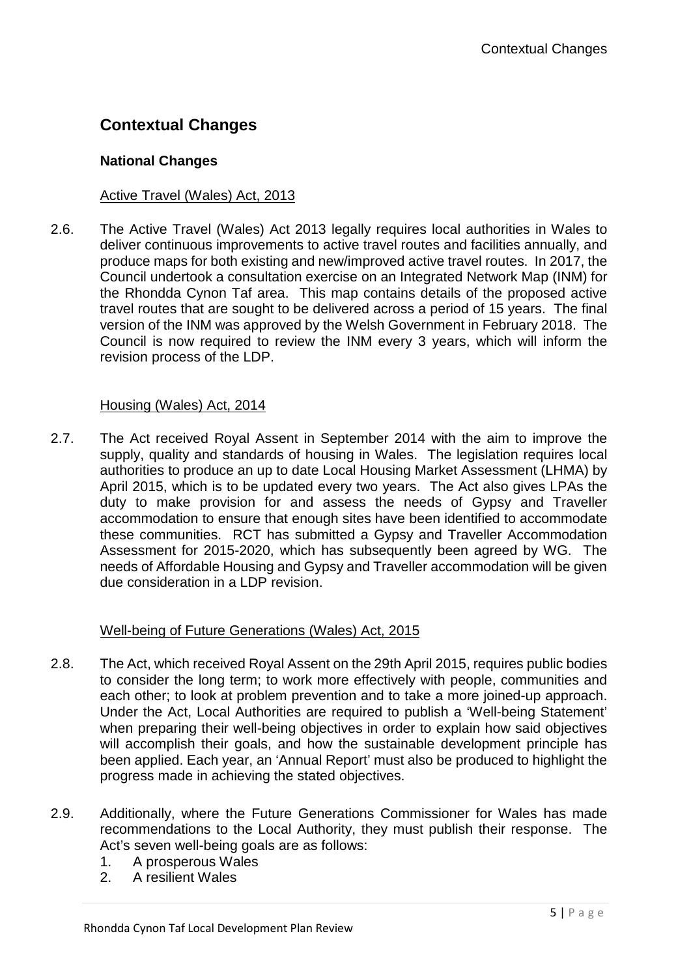# **Contextual Changes**

## **National Changes**

## Active Travel (Wales) Act, 2013

2.6. The Active Travel (Wales) Act 2013 legally requires local authorities in Wales to deliver continuous improvements to active travel routes and facilities annually, and produce maps for both existing and new/improved active travel routes. In 2017, the Council undertook a consultation exercise on an Integrated Network Map (INM) for the Rhondda Cynon Taf area. This map contains details of the proposed active travel routes that are sought to be delivered across a period of 15 years. The final version of the INM was approved by the Welsh Government in February 2018. The Council is now required to review the INM every 3 years, which will inform the revision process of the LDP.

### Housing (Wales) Act, 2014

2.7. The Act received Royal Assent in September 2014 with the aim to improve the supply, quality and standards of housing in Wales. The legislation requires local authorities to produce an up to date Local Housing Market Assessment (LHMA) by April 2015, which is to be updated every two years. The Act also gives LPAs the duty to make provision for and assess the needs of Gypsy and Traveller accommodation to ensure that enough sites have been identified to accommodate these communities. RCT has submitted a Gypsy and Traveller Accommodation Assessment for 2015-2020, which has subsequently been agreed by WG. The needs of Affordable Housing and Gypsy and Traveller accommodation will be given due consideration in a LDP revision.

## Well-being of Future Generations (Wales) Act, 2015

- 2.8. The Act, which received Royal Assent on the 29th April 2015, requires public bodies to consider the long term; to work more effectively with people, communities and each other; to look at problem prevention and to take a more joined-up approach. Under the Act, Local Authorities are required to publish a 'Well-being Statement' when preparing their well-being objectives in order to explain how said objectives will accomplish their goals, and how the sustainable development principle has been applied. Each year, an 'Annual Report' must also be produced to highlight the progress made in achieving the stated objectives.
- 2.9. Additionally, where the Future Generations Commissioner for Wales has made recommendations to the Local Authority, they must publish their response. The Act's seven well-being goals are as follows:
	- 1. A prosperous Wales
	- 2. A resilient Wales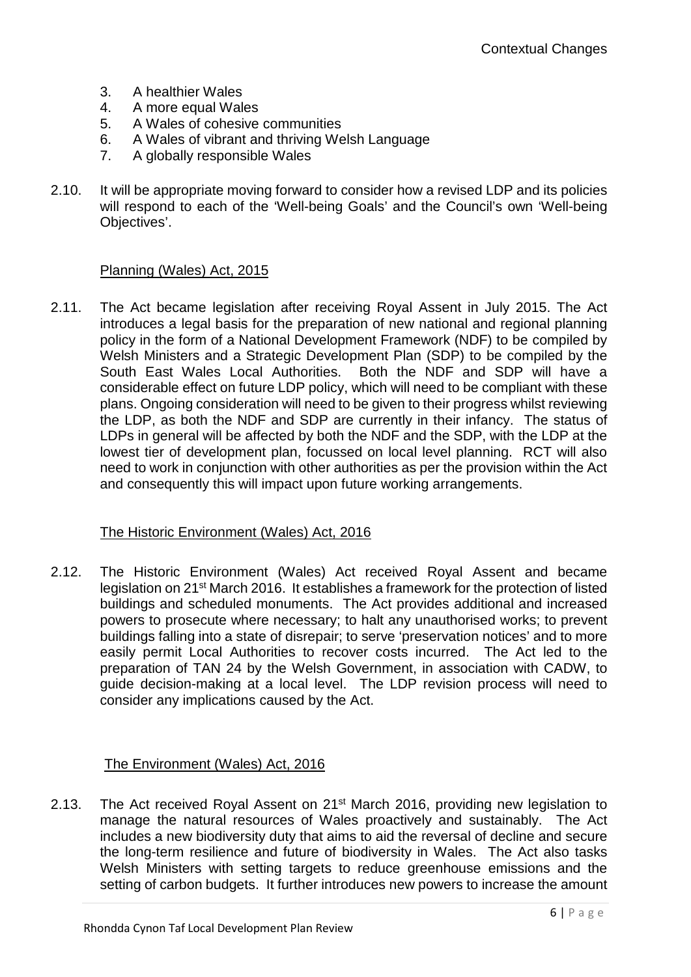- 3. A healthier Wales
- 4. A more equal Wales
- 5. A Wales of cohesive communities
- 6. A Wales of vibrant and thriving Welsh Language
- 7. A globally responsible Wales
- 2.10. It will be appropriate moving forward to consider how a revised LDP and its policies will respond to each of the 'Well-being Goals' and the Council's own 'Well-being Objectives'.

#### Planning (Wales) Act, 2015

2.11. The Act became legislation after receiving Royal Assent in July 2015. The Act introduces a legal basis for the preparation of new national and regional planning policy in the form of a National Development Framework (NDF) to be compiled by Welsh Ministers and a Strategic Development Plan (SDP) to be compiled by the South East Wales Local Authorities. Both the NDF and SDP will have a considerable effect on future LDP policy, which will need to be compliant with these plans. Ongoing consideration will need to be given to their progress whilst reviewing the LDP, as both the NDF and SDP are currently in their infancy. The status of LDPs in general will be affected by both the NDF and the SDP, with the LDP at the lowest tier of development plan, focussed on local level planning. RCT will also need to work in conjunction with other authorities as per the provision within the Act and consequently this will impact upon future working arrangements.

#### The Historic Environment (Wales) Act, 2016

2.12. The Historic Environment (Wales) Act received Royal Assent and became legislation on 21st March 2016. It establishes a framework for the protection of listed buildings and scheduled monuments. The Act provides additional and increased powers to prosecute where necessary; to halt any unauthorised works; to prevent buildings falling into a state of disrepair; to serve 'preservation notices' and to more easily permit Local Authorities to recover costs incurred. The Act led to the preparation of TAN 24 by the Welsh Government, in association with CADW, to guide decision-making at a local level. The LDP revision process will need to consider any implications caused by the Act.

#### The Environment (Wales) Act, 2016

2.13. The Act received Royal Assent on 21<sup>st</sup> March 2016, providing new legislation to manage the natural resources of Wales proactively and sustainably. The Act includes a new biodiversity duty that aims to aid the reversal of decline and secure the long-term resilience and future of biodiversity in Wales. The Act also tasks Welsh Ministers with setting targets to reduce greenhouse emissions and the setting of carbon budgets. It further introduces new powers to increase the amount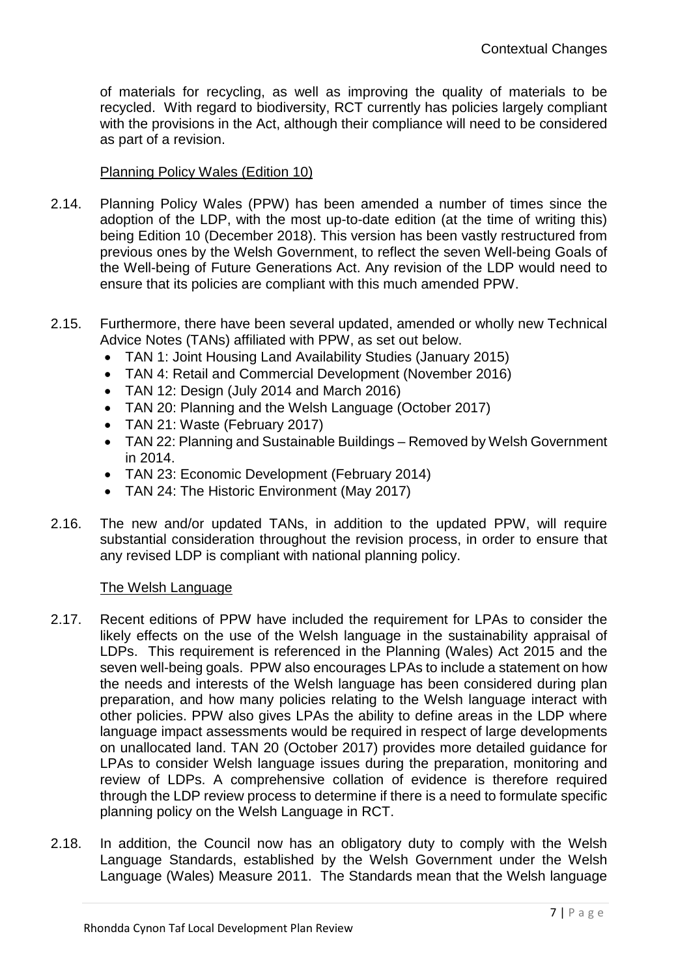of materials for recycling, as well as improving the quality of materials to be recycled. With regard to biodiversity, RCT currently has policies largely compliant with the provisions in the Act, although their compliance will need to be considered as part of a revision.

### Planning Policy Wales (Edition 10)

- 2.14. Planning Policy Wales (PPW) has been amended a number of times since the adoption of the LDP, with the most up-to-date edition (at the time of writing this) being Edition 10 (December 2018). This version has been vastly restructured from previous ones by the Welsh Government, to reflect the seven Well-being Goals of the Well-being of Future Generations Act. Any revision of the LDP would need to ensure that its policies are compliant with this much amended PPW.
- 2.15. Furthermore, there have been several updated, amended or wholly new Technical Advice Notes (TANs) affiliated with PPW, as set out below.
	- TAN 1: Joint Housing Land Availability Studies (January 2015)
	- TAN 4: Retail and Commercial Development (November 2016)
	- TAN 12: Design (July 2014 and March 2016)
	- TAN 20: Planning and the Welsh Language (October 2017)
	- TAN 21: Waste (February 2017)
	- TAN 22: Planning and Sustainable Buildings Removed by Welsh Government in 2014.
	- TAN 23: Economic Development (February 2014)
	- TAN 24: The Historic Environment (May 2017)
- 2.16. The new and/or updated TANs, in addition to the updated PPW, will require substantial consideration throughout the revision process, in order to ensure that any revised LDP is compliant with national planning policy.

#### The Welsh Language

- 2.17. Recent editions of PPW have included the requirement for LPAs to consider the likely effects on the use of the Welsh language in the sustainability appraisal of LDPs. This requirement is referenced in the Planning (Wales) Act 2015 and the seven well-being goals. PPW also encourages LPAs to include a statement on how the needs and interests of the Welsh language has been considered during plan preparation, and how many policies relating to the Welsh language interact with other policies. PPW also gives LPAs the ability to define areas in the LDP where language impact assessments would be required in respect of large developments on unallocated land. TAN 20 (October 2017) provides more detailed guidance for LPAs to consider Welsh language issues during the preparation, monitoring and review of LDPs. A comprehensive collation of evidence is therefore required through the LDP review process to determine if there is a need to formulate specific planning policy on the Welsh Language in RCT.
- 2.18. In addition, the Council now has an obligatory duty to comply with the Welsh Language Standards, established by the Welsh Government under the Welsh Language (Wales) Measure 2011. The Standards mean that the Welsh language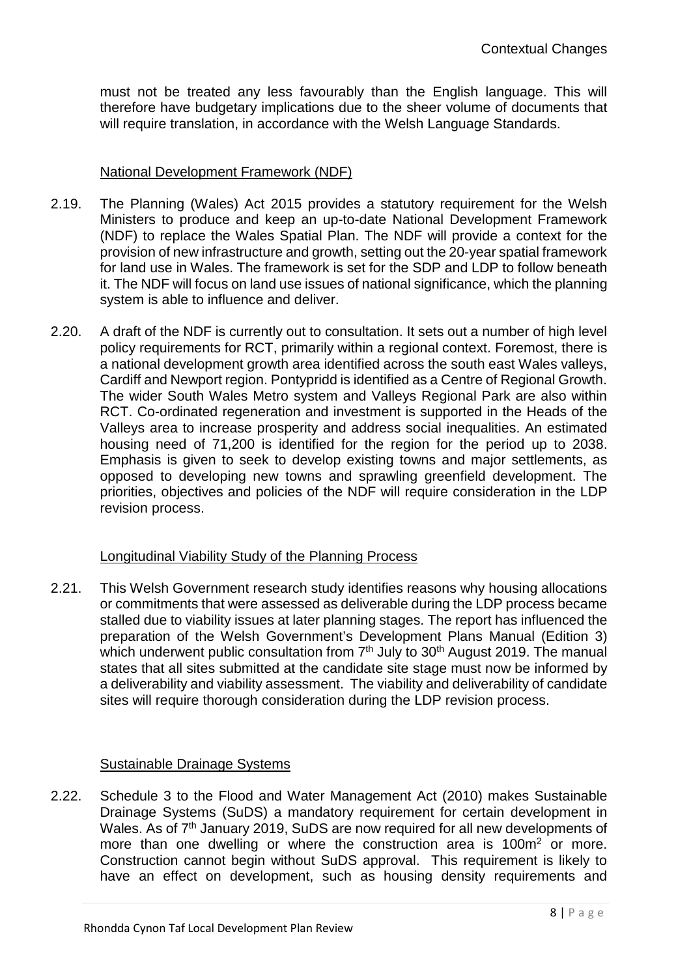must not be treated any less favourably than the English language. This will therefore have budgetary implications due to the sheer volume of documents that will require translation, in accordance with the Welsh Language Standards.

### National Development Framework (NDF)

- 2.19. The Planning (Wales) Act 2015 provides a statutory requirement for the Welsh Ministers to produce and keep an up-to-date National Development Framework (NDF) to replace the Wales Spatial Plan. The NDF will provide a context for the provision of new infrastructure and growth, setting out the 20-year spatial framework for land use in Wales. The framework is set for the SDP and LDP to follow beneath it. The NDF will focus on land use issues of national significance, which the planning system is able to influence and deliver.
- 2.20. A draft of the NDF is currently out to consultation. It sets out a number of high level policy requirements for RCT, primarily within a regional context. Foremost, there is a national development growth area identified across the south east Wales valleys, Cardiff and Newport region. Pontypridd is identified as a Centre of Regional Growth. The wider South Wales Metro system and Valleys Regional Park are also within RCT. Co-ordinated regeneration and investment is supported in the Heads of the Valleys area to increase prosperity and address social inequalities. An estimated housing need of 71,200 is identified for the region for the period up to 2038. Emphasis is given to seek to develop existing towns and major settlements, as opposed to developing new towns and sprawling greenfield development. The priorities, objectives and policies of the NDF will require consideration in the LDP revision process.

## Longitudinal Viability Study of the Planning Process

2.21. This Welsh Government research study identifies reasons why housing allocations or commitments that were assessed as deliverable during the LDP process became stalled due to viability issues at later planning stages. The report has influenced the preparation of the Welsh Government's Development Plans Manual (Edition 3) which underwent public consultation from 7<sup>th</sup> July to 30<sup>th</sup> August 2019. The manual states that all sites submitted at the candidate site stage must now be informed by a deliverability and viability assessment. The viability and deliverability of candidate sites will require thorough consideration during the LDP revision process.

#### Sustainable Drainage Systems

2.22. Schedule 3 to the Flood and Water Management Act (2010) makes Sustainable Drainage Systems (SuDS) a mandatory requirement for certain development in Wales. As of 7<sup>th</sup> January 2019, SuDS are now required for all new developments of more than one dwelling or where the construction area is 100m<sup>2</sup> or more. Construction cannot begin without SuDS approval. This requirement is likely to have an effect on development, such as housing density requirements and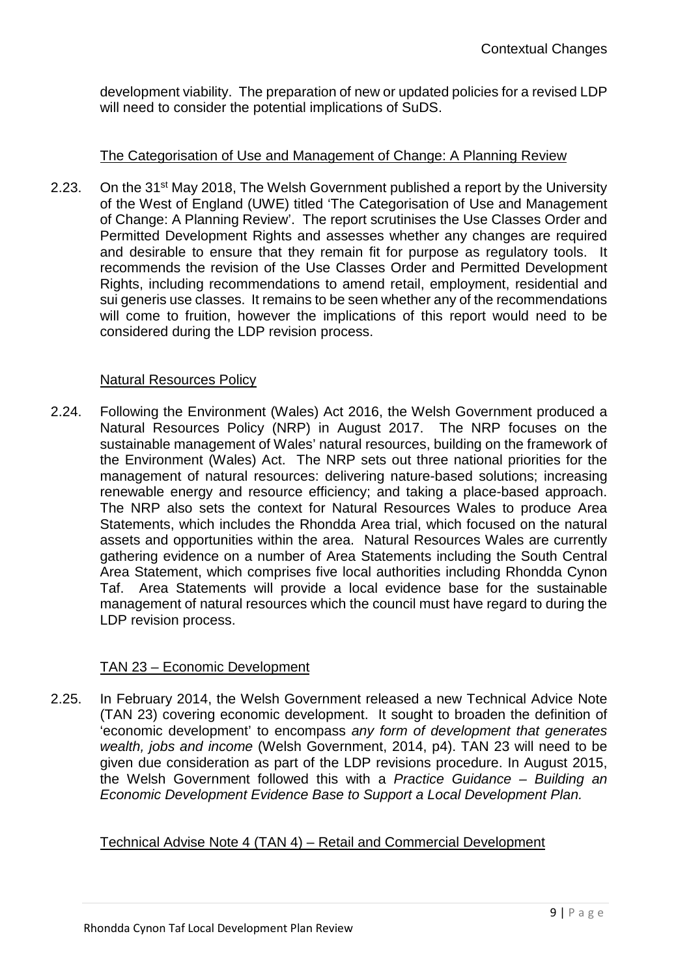development viability. The preparation of new or updated policies for a revised LDP will need to consider the potential implications of SuDS.

## The Categorisation of Use and Management of Change: A Planning Review

2.23. On the 31<sup>st</sup> May 2018, The Welsh Government published a report by the University of the West of England (UWE) titled 'The Categorisation of Use and Management of Change: A Planning Review'. The report scrutinises the Use Classes Order and Permitted Development Rights and assesses whether any changes are required and desirable to ensure that they remain fit for purpose as regulatory tools. It recommends the revision of the Use Classes Order and Permitted Development Rights, including recommendations to amend retail, employment, residential and sui generis use classes. It remains to be seen whether any of the recommendations will come to fruition, however the implications of this report would need to be considered during the LDP revision process.

### Natural Resources Policy

2.24. Following the Environment (Wales) Act 2016, the Welsh Government produced a Natural Resources Policy (NRP) in August 2017. The NRP focuses on the sustainable management of Wales' natural resources, building on the framework of the Environment (Wales) Act. The NRP sets out three national priorities for the management of natural resources: delivering nature-based solutions; increasing renewable energy and resource efficiency; and taking a place-based approach. The NRP also sets the context for Natural Resources Wales to produce Area Statements, which includes the Rhondda Area trial, which focused on the natural assets and opportunities within the area. Natural Resources Wales are currently gathering evidence on a number of Area Statements including the South Central Area Statement, which comprises five local authorities including Rhondda Cynon Taf. Area Statements will provide a local evidence base for the sustainable management of natural resources which the council must have regard to during the LDP revision process.

## TAN 23 – Economic Development

2.25. In February 2014, the Welsh Government released a new Technical Advice Note (TAN 23) covering economic development. It sought to broaden the definition of 'economic development' to encompass *any form of development that generates wealth, jobs and income* (Welsh Government, 2014, p4). TAN 23 will need to be given due consideration as part of the LDP revisions procedure. In August 2015, the Welsh Government followed this with a *Practice Guidance – Building an Economic Development Evidence Base to Support a Local Development Plan.*

#### Technical Advise Note 4 (TAN 4) – Retail and Commercial Development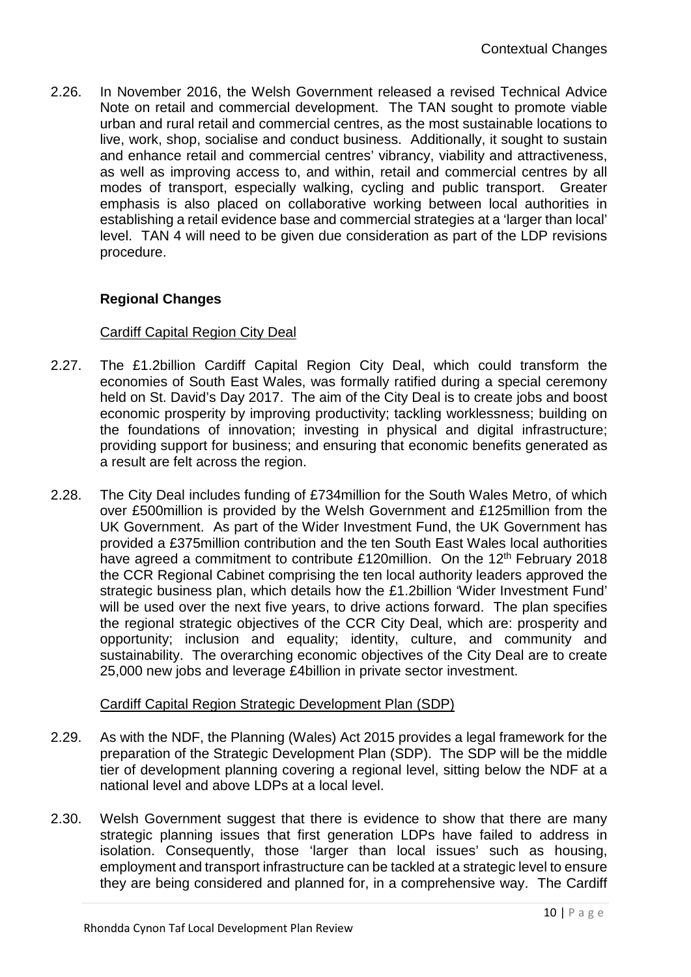2.26. In November 2016, the Welsh Government released a revised Technical Advice Note on retail and commercial development. The TAN sought to promote viable urban and rural retail and commercial centres, as the most sustainable locations to live, work, shop, socialise and conduct business. Additionally, it sought to sustain and enhance retail and commercial centres' vibrancy, viability and attractiveness, as well as improving access to, and within, retail and commercial centres by all modes of transport, especially walking, cycling and public transport. Greater emphasis is also placed on collaborative working between local authorities in establishing a retail evidence base and commercial strategies at a 'larger than local' level. TAN 4 will need to be given due consideration as part of the LDP revisions procedure.

## **Regional Changes**

#### Cardiff Capital Region City Deal

- 2.27. The £1.2billion Cardiff Capital Region City Deal, which could transform the economies of South East Wales, was formally ratified during a special ceremony held on St. David's Day 2017. The aim of the City Deal is to create jobs and boost economic prosperity by improving productivity; tackling worklessness; building on the foundations of innovation; investing in physical and digital infrastructure; providing support for business; and ensuring that economic benefits generated as a result are felt across the region.
- 2.28. The City Deal includes funding of £734million for the South Wales Metro, of which over £500million is provided by the Welsh Government and £125million from the UK Government. As part of the Wider Investment Fund, the UK Government has provided a £375million contribution and the ten South East Wales local authorities have agreed a commitment to contribute £120million. On the 12<sup>th</sup> February 2018 the CCR Regional Cabinet comprising the ten local authority leaders approved the strategic business plan, which details how the £1.2billion 'Wider Investment Fund' will be used over the next five years, to drive actions forward. The plan specifies the regional strategic objectives of the CCR City Deal, which are: prosperity and opportunity; inclusion and equality; identity, culture, and community and sustainability. The overarching economic objectives of the City Deal are to create 25,000 new jobs and leverage £4billion in private sector investment.

#### Cardiff Capital Region Strategic Development Plan (SDP)

- 2.29. As with the NDF, the Planning (Wales) Act 2015 provides a legal framework for the preparation of the Strategic Development Plan (SDP). The SDP will be the middle tier of development planning covering a regional level, sitting below the NDF at a national level and above LDPs at a local level.
- 2.30. Welsh Government suggest that there is evidence to show that there are many strategic planning issues that first generation LDPs have failed to address in isolation. Consequently, those 'larger than local issues' such as housing, employment and transport infrastructure can be tackled at a strategic level to ensure they are being considered and planned for, in a comprehensive way. The Cardiff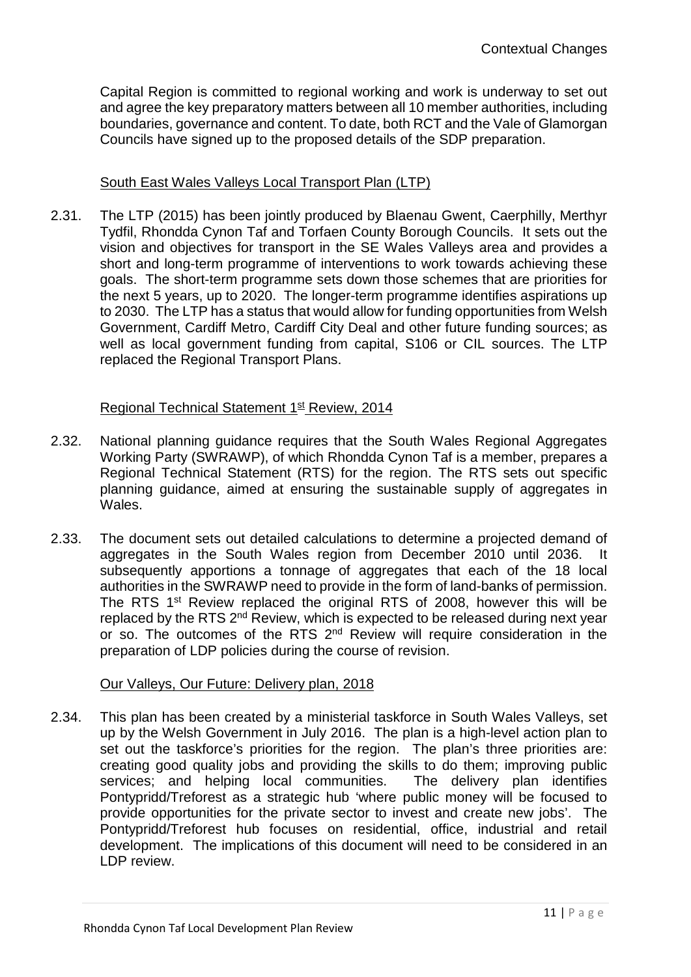Capital Region is committed to regional working and work is underway to set out and agree the key preparatory matters between all 10 member authorities, including boundaries, governance and content. To date, both RCT and the Vale of Glamorgan Councils have signed up to the proposed details of the SDP preparation.

## South East Wales Valleys Local Transport Plan (LTP)

2.31. The LTP (2015) has been jointly produced by Blaenau Gwent, Caerphilly, Merthyr Tydfil, Rhondda Cynon Taf and Torfaen County Borough Councils. It sets out the vision and objectives for transport in the SE Wales Valleys area and provides a short and long-term programme of interventions to work towards achieving these goals. The short-term programme sets down those schemes that are priorities for the next 5 years, up to 2020. The longer-term programme identifies aspirations up to 2030. The LTP has a status that would allow for funding opportunities from Welsh Government, Cardiff Metro, Cardiff City Deal and other future funding sources; as well as local government funding from capital, S106 or CIL sources. The LTP replaced the Regional Transport Plans.

#### Regional Technical Statement 1<sup>st</sup> Review, 2014

- 2.32. National planning guidance requires that the South Wales Regional Aggregates Working Party (SWRAWP), of which Rhondda Cynon Taf is a member, prepares a Regional Technical Statement (RTS) for the region. The RTS sets out specific planning guidance, aimed at ensuring the sustainable supply of aggregates in Wales.
- 2.33. The document sets out detailed calculations to determine a projected demand of aggregates in the South Wales region from December 2010 until 2036. It subsequently apportions a tonnage of aggregates that each of the 18 local authorities in the SWRAWP need to provide in the form of land-banks of permission. The RTS 1<sup>st</sup> Review replaced the original RTS of 2008, however this will be replaced by the RTS  $2^{nd}$  Review, which is expected to be released during next year or so. The outcomes of the RTS 2<sup>nd</sup> Review will require consideration in the preparation of LDP policies during the course of revision.

#### Our Valleys, Our Future: Delivery plan, 2018

2.34. This plan has been created by a ministerial taskforce in South Wales Valleys, set up by the Welsh Government in July 2016. The plan is a high-level action plan to set out the taskforce's priorities for the region. The plan's three priorities are: creating good quality jobs and providing the skills to do them; improving public services; and helping local communities. The delivery plan identifies Pontypridd/Treforest as a strategic hub 'where public money will be focused to provide opportunities for the private sector to invest and create new jobs'. The Pontypridd/Treforest hub focuses on residential, office, industrial and retail development. The implications of this document will need to be considered in an LDP review.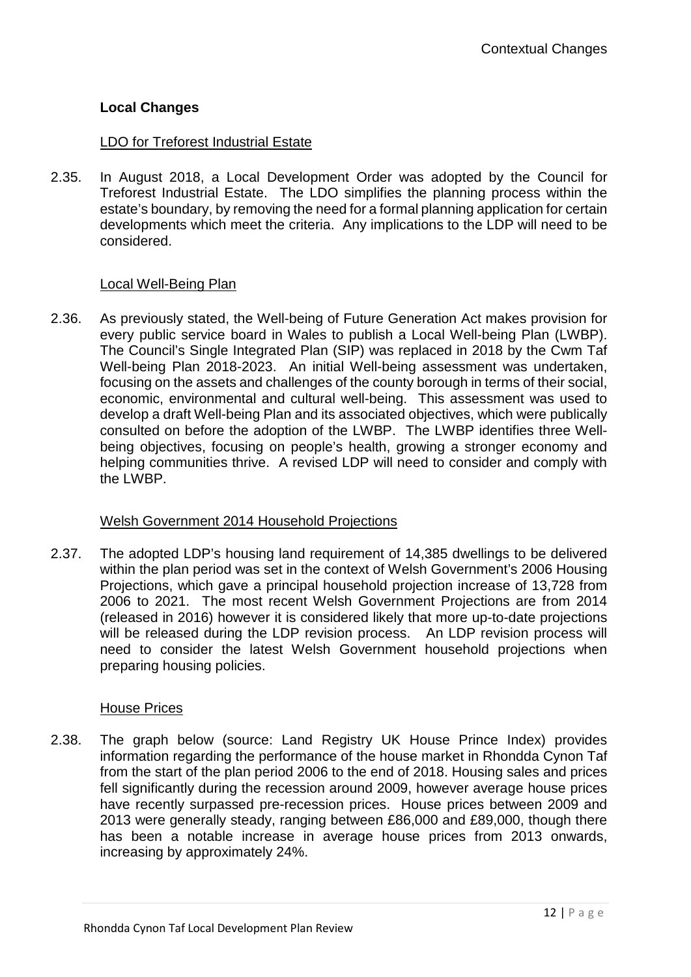## **Local Changes**

## LDO for Treforest Industrial Estate

2.35. In August 2018, a Local Development Order was adopted by the Council for Treforest Industrial Estate. The LDO simplifies the planning process within the estate's boundary, by removing the need for a formal planning application for certain developments which meet the criteria. Any implications to the LDP will need to be considered.

### Local Well-Being Plan

2.36. As previously stated, the Well-being of Future Generation Act makes provision for every public service board in Wales to publish a Local Well-being Plan (LWBP). The Council's Single Integrated Plan (SIP) was replaced in 2018 by the Cwm Taf Well-being Plan 2018-2023. An initial Well-being assessment was undertaken, focusing on the assets and challenges of the county borough in terms of their social, economic, environmental and cultural well-being. This assessment was used to develop a draft Well-being Plan and its associated objectives, which were publically consulted on before the adoption of the LWBP. The LWBP identifies three Wellbeing objectives, focusing on people's health, growing a stronger economy and helping communities thrive. A revised LDP will need to consider and comply with the LWBP.

#### Welsh Government 2014 Household Projections

2.37. The adopted LDP's housing land requirement of 14,385 dwellings to be delivered within the plan period was set in the context of Welsh Government's 2006 Housing Projections, which gave a principal household projection increase of 13,728 from 2006 to 2021. The most recent Welsh Government Projections are from 2014 (released in 2016) however it is considered likely that more up-to-date projections will be released during the LDP revision process. An LDP revision process will need to consider the latest Welsh Government household projections when preparing housing policies.

## House Prices

2.38. The graph below (source: Land Registry UK House Prince Index) provides information regarding the performance of the house market in Rhondda Cynon Taf from the start of the plan period 2006 to the end of 2018. Housing sales and prices fell significantly during the recession around 2009, however average house prices have recently surpassed pre-recession prices. House prices between 2009 and 2013 were generally steady, ranging between £86,000 and £89,000, though there has been a notable increase in average house prices from 2013 onwards, increasing by approximately 24%.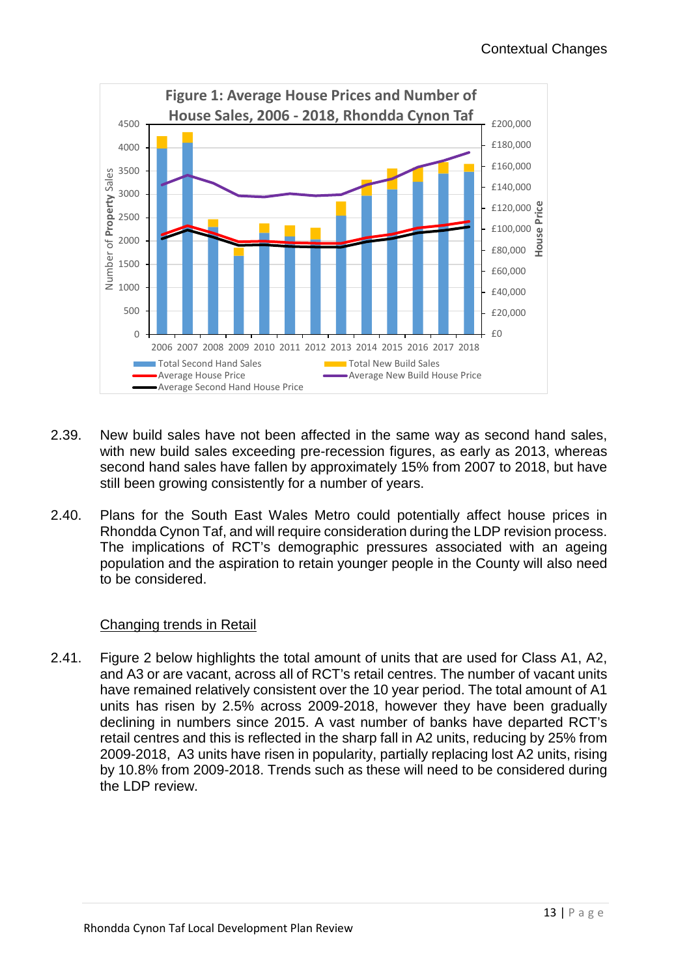

- 2.39. New build sales have not been affected in the same way as second hand sales, with new build sales exceeding pre-recession figures, as early as 2013, whereas second hand sales have fallen by approximately 15% from 2007 to 2018, but have still been growing consistently for a number of years.
- 2.40. Plans for the South East Wales Metro could potentially affect house prices in Rhondda Cynon Taf, and will require consideration during the LDP revision process. The implications of RCT's demographic pressures associated with an ageing population and the aspiration to retain younger people in the County will also need to be considered.

## Changing trends in Retail

2.41. Figure 2 below highlights the total amount of units that are used for Class A1, A2, and A3 or are vacant, across all of RCT's retail centres. The number of vacant units have remained relatively consistent over the 10 year period. The total amount of A1 units has risen by 2.5% across 2009-2018, however they have been gradually declining in numbers since 2015. A vast number of banks have departed RCT's retail centres and this is reflected in the sharp fall in A2 units, reducing by 25% from 2009-2018, A3 units have risen in popularity, partially replacing lost A2 units, rising by 10.8% from 2009-2018. Trends such as these will need to be considered during the LDP review.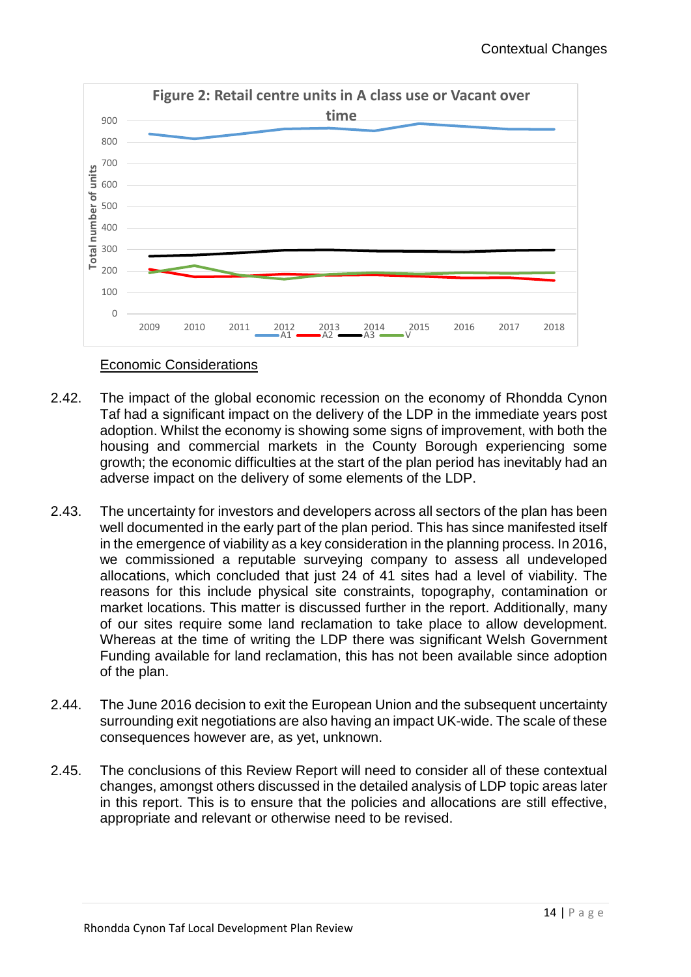

Economic Considerations

- 2.42. The impact of the global economic recession on the economy of Rhondda Cynon Taf had a significant impact on the delivery of the LDP in the immediate years post adoption. Whilst the economy is showing some signs of improvement, with both the housing and commercial markets in the County Borough experiencing some growth; the economic difficulties at the start of the plan period has inevitably had an adverse impact on the delivery of some elements of the LDP.
- 2.43. The uncertainty for investors and developers across all sectors of the plan has been well documented in the early part of the plan period. This has since manifested itself in the emergence of viability as a key consideration in the planning process. In 2016, we commissioned a reputable surveying company to assess all undeveloped allocations, which concluded that just 24 of 41 sites had a level of viability. The reasons for this include physical site constraints, topography, contamination or market locations. This matter is discussed further in the report. Additionally, many of our sites require some land reclamation to take place to allow development. Whereas at the time of writing the LDP there was significant Welsh Government Funding available for land reclamation, this has not been available since adoption of the plan.
- 2.44. The June 2016 decision to exit the European Union and the subsequent uncertainty surrounding exit negotiations are also having an impact UK-wide. The scale of these consequences however are, as yet, unknown.
- 2.45. The conclusions of this Review Report will need to consider all of these contextual changes, amongst others discussed in the detailed analysis of LDP topic areas later in this report. This is to ensure that the policies and allocations are still effective, appropriate and relevant or otherwise need to be revised.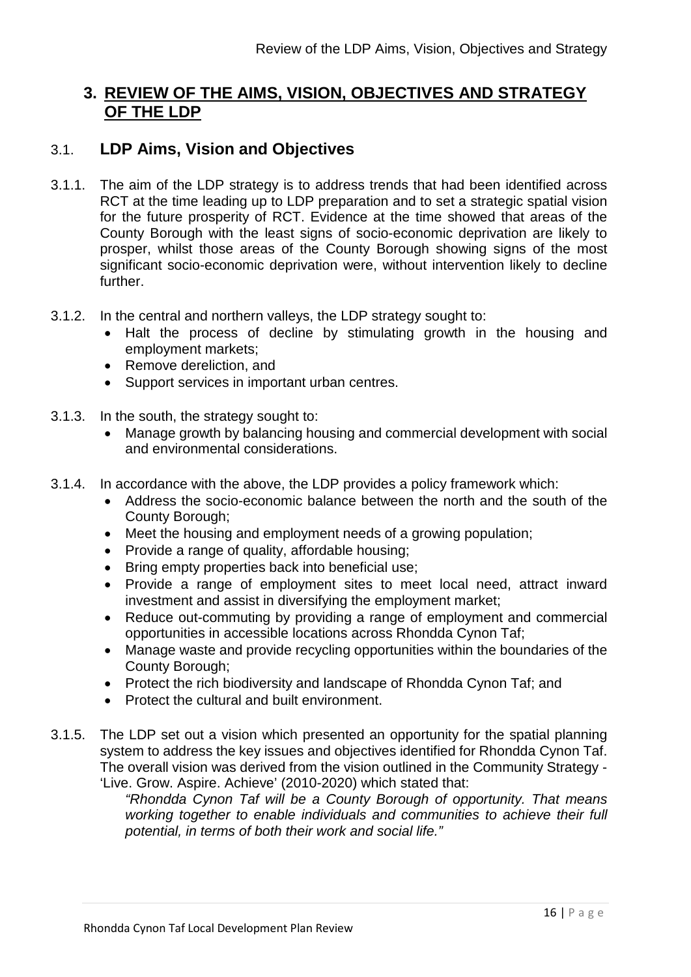# **3. REVIEW OF THE AIMS, VISION, OBJECTIVES AND STRATEGY OF THE LDP**

## 3.1. **LDP Aims, Vision and Objectives**

- 3.1.1. The aim of the LDP strategy is to address trends that had been identified across RCT at the time leading up to LDP preparation and to set a strategic spatial vision for the future prosperity of RCT. Evidence at the time showed that areas of the County Borough with the least signs of socio-economic deprivation are likely to prosper, whilst those areas of the County Borough showing signs of the most significant socio-economic deprivation were, without intervention likely to decline further.
- 3.1.2. In the central and northern valleys, the LDP strategy sought to:
	- Halt the process of decline by stimulating growth in the housing and employment markets;
	- Remove dereliction, and
	- Support services in important urban centres.
- 3.1.3. In the south, the strategy sought to:
	- Manage growth by balancing housing and commercial development with social and environmental considerations.
- 3.1.4. In accordance with the above, the LDP provides a policy framework which:
	- Address the socio-economic balance between the north and the south of the County Borough;
	- Meet the housing and employment needs of a growing population;
	- Provide a range of quality, affordable housing;
	- Bring empty properties back into beneficial use;
	- Provide a range of employment sites to meet local need, attract inward investment and assist in diversifying the employment market;
	- Reduce out-commuting by providing a range of employment and commercial opportunities in accessible locations across Rhondda Cynon Taf;
	- Manage waste and provide recycling opportunities within the boundaries of the County Borough;
	- Protect the rich biodiversity and landscape of Rhondda Cynon Taf; and
	- Protect the cultural and built environment.
- 3.1.5. The LDP set out a vision which presented an opportunity for the spatial planning system to address the key issues and objectives identified for Rhondda Cynon Taf. The overall vision was derived from the vision outlined in the Community Strategy - 'Live. Grow. Aspire. Achieve' (2010-2020) which stated that:

*"Rhondda Cynon Taf will be a County Borough of opportunity. That means working together to enable individuals and communities to achieve their full potential, in terms of both their work and social life."*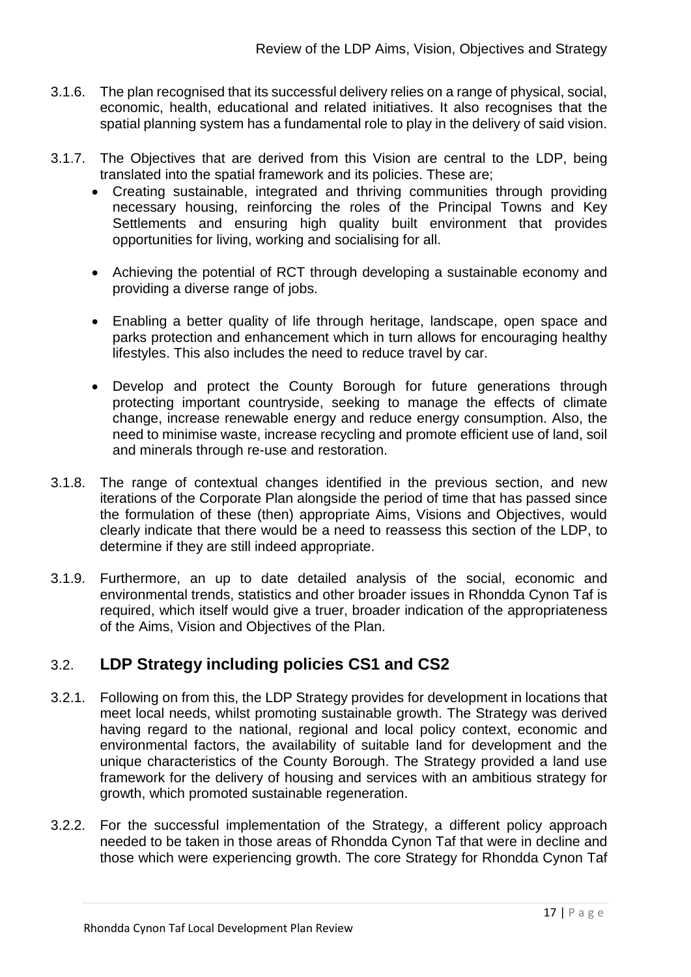- 3.1.6. The plan recognised that its successful delivery relies on a range of physical, social, economic, health, educational and related initiatives. It also recognises that the spatial planning system has a fundamental role to play in the delivery of said vision.
- 3.1.7. The Objectives that are derived from this Vision are central to the LDP, being translated into the spatial framework and its policies. These are;
	- Creating sustainable, integrated and thriving communities through providing necessary housing, reinforcing the roles of the Principal Towns and Key Settlements and ensuring high quality built environment that provides opportunities for living, working and socialising for all.
	- Achieving the potential of RCT through developing a sustainable economy and providing a diverse range of jobs.
	- Enabling a better quality of life through heritage, landscape, open space and parks protection and enhancement which in turn allows for encouraging healthy lifestyles. This also includes the need to reduce travel by car.
	- Develop and protect the County Borough for future generations through protecting important countryside, seeking to manage the effects of climate change, increase renewable energy and reduce energy consumption. Also, the need to minimise waste, increase recycling and promote efficient use of land, soil and minerals through re-use and restoration.
- 3.1.8. The range of contextual changes identified in the previous section, and new iterations of the Corporate Plan alongside the period of time that has passed since the formulation of these (then) appropriate Aims, Visions and Objectives, would clearly indicate that there would be a need to reassess this section of the LDP, to determine if they are still indeed appropriate.
- 3.1.9. Furthermore, an up to date detailed analysis of the social, economic and environmental trends, statistics and other broader issues in Rhondda Cynon Taf is required, which itself would give a truer, broader indication of the appropriateness of the Aims, Vision and Objectives of the Plan.

# 3.2. **LDP Strategy including policies CS1 and CS2**

- 3.2.1. Following on from this, the LDP Strategy provides for development in locations that meet local needs, whilst promoting sustainable growth. The Strategy was derived having regard to the national, regional and local policy context, economic and environmental factors, the availability of suitable land for development and the unique characteristics of the County Borough. The Strategy provided a land use framework for the delivery of housing and services with an ambitious strategy for growth, which promoted sustainable regeneration.
- 3.2.2. For the successful implementation of the Strategy, a different policy approach needed to be taken in those areas of Rhondda Cynon Taf that were in decline and those which were experiencing growth. The core Strategy for Rhondda Cynon Taf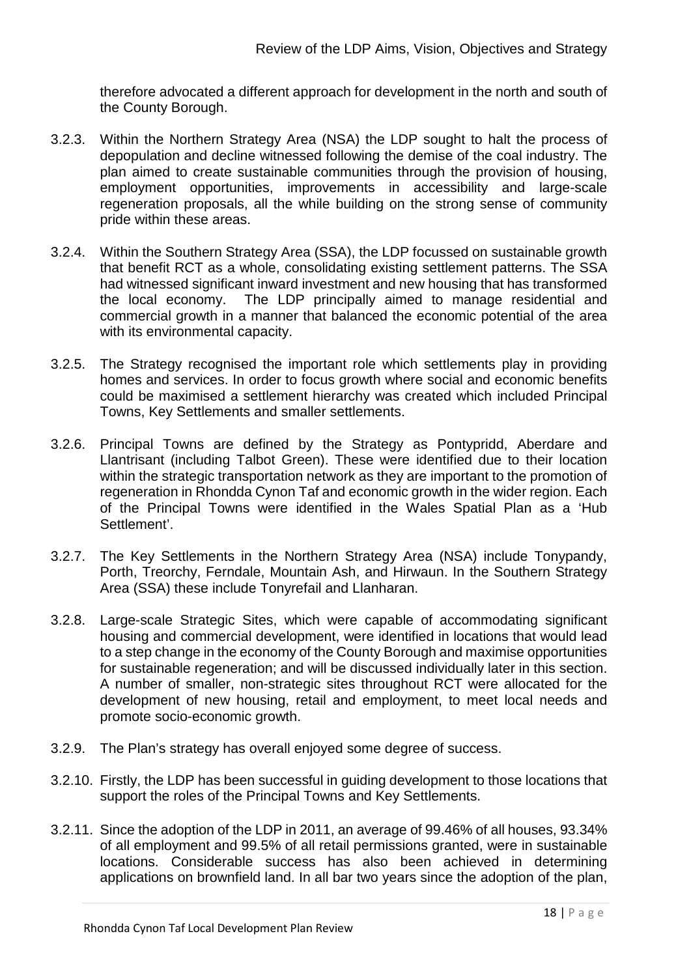therefore advocated a different approach for development in the north and south of the County Borough.

- 3.2.3. Within the Northern Strategy Area (NSA) the LDP sought to halt the process of depopulation and decline witnessed following the demise of the coal industry. The plan aimed to create sustainable communities through the provision of housing, employment opportunities, improvements in accessibility and large-scale regeneration proposals, all the while building on the strong sense of community pride within these areas.
- 3.2.4. Within the Southern Strategy Area (SSA), the LDP focussed on sustainable growth that benefit RCT as a whole, consolidating existing settlement patterns. The SSA had witnessed significant inward investment and new housing that has transformed the local economy. The LDP principally aimed to manage residential and commercial growth in a manner that balanced the economic potential of the area with its environmental capacity.
- 3.2.5. The Strategy recognised the important role which settlements play in providing homes and services. In order to focus growth where social and economic benefits could be maximised a settlement hierarchy was created which included Principal Towns, Key Settlements and smaller settlements.
- 3.2.6. Principal Towns are defined by the Strategy as Pontypridd, Aberdare and Llantrisant (including Talbot Green). These were identified due to their location within the strategic transportation network as they are important to the promotion of regeneration in Rhondda Cynon Taf and economic growth in the wider region. Each of the Principal Towns were identified in the Wales Spatial Plan as a 'Hub Settlement'.
- 3.2.7. The Key Settlements in the Northern Strategy Area (NSA) include Tonypandy, Porth, Treorchy, Ferndale, Mountain Ash, and Hirwaun. In the Southern Strategy Area (SSA) these include Tonyrefail and Llanharan.
- 3.2.8. Large-scale Strategic Sites, which were capable of accommodating significant housing and commercial development, were identified in locations that would lead to a step change in the economy of the County Borough and maximise opportunities for sustainable regeneration; and will be discussed individually later in this section. A number of smaller, non-strategic sites throughout RCT were allocated for the development of new housing, retail and employment, to meet local needs and promote socio-economic growth.
- 3.2.9. The Plan's strategy has overall enjoyed some degree of success.
- 3.2.10. Firstly, the LDP has been successful in guiding development to those locations that support the roles of the Principal Towns and Key Settlements.
- 3.2.11. Since the adoption of the LDP in 2011, an average of 99.46% of all houses, 93.34% of all employment and 99.5% of all retail permissions granted, were in sustainable locations. Considerable success has also been achieved in determining applications on brownfield land. In all bar two years since the adoption of the plan,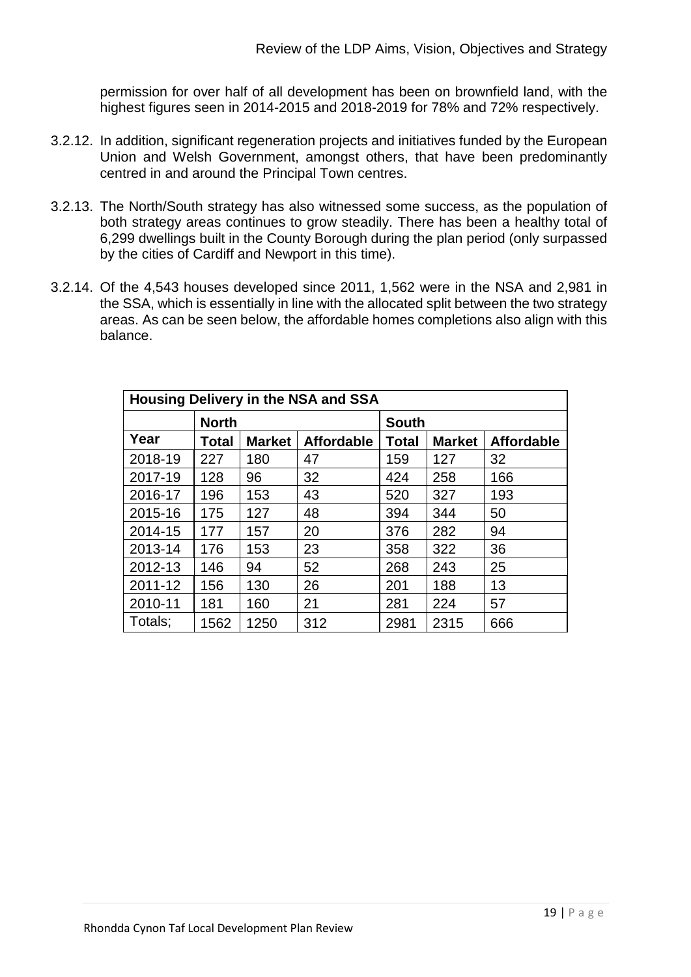permission for over half of all development has been on brownfield land, with the highest figures seen in 2014-2015 and 2018-2019 for 78% and 72% respectively.

- 3.2.12. In addition, significant regeneration projects and initiatives funded by the European Union and Welsh Government, amongst others, that have been predominantly centred in and around the Principal Town centres.
- 3.2.13. The North/South strategy has also witnessed some success, as the population of both strategy areas continues to grow steadily. There has been a healthy total of 6,299 dwellings built in the County Borough during the plan period (only surpassed by the cities of Cardiff and Newport in this time).
- 3.2.14. Of the 4,543 houses developed since 2011, 1,562 were in the NSA and 2,981 in the SSA, which is essentially in line with the allocated split between the two strategy areas. As can be seen below, the affordable homes completions also align with this balance.

| <b>Housing Delivery in the NSA and SSA</b> |       |               |                   |       |               |                   |  |  |  |  |
|--------------------------------------------|-------|---------------|-------------------|-------|---------------|-------------------|--|--|--|--|
|                                            |       | <b>South</b>  |                   |       |               |                   |  |  |  |  |
| Year                                       | Total | <b>Market</b> | <b>Affordable</b> | Total | <b>Market</b> | <b>Affordable</b> |  |  |  |  |
| 2018-19                                    | 227   | 180           | 47                | 159   | 127           | 32                |  |  |  |  |
| 2017-19                                    | 128   | 96            | 32                | 424   | 258           | 166               |  |  |  |  |
| 2016-17                                    | 196   | 153           | 43                | 520   | 327           | 193               |  |  |  |  |
| 2015-16                                    | 175   | 127           | 48                | 394   | 344           | 50                |  |  |  |  |
| 2014-15                                    | 177   | 157           | 20                | 376   | 282           | 94                |  |  |  |  |
| 2013-14                                    | 176   | 153           | 23                | 358   | 322           | 36                |  |  |  |  |
| 2012-13                                    | 146   | 94            | 52                | 268   | 243           | 25                |  |  |  |  |
| 2011-12                                    | 156   | 130           | 26                | 201   | 188           | 13                |  |  |  |  |
| 2010-11                                    | 181   | 160           | 21                | 281   | 224           | 57                |  |  |  |  |
| Totals;                                    | 1562  | 1250          | 312               | 2981  | 2315          | 666               |  |  |  |  |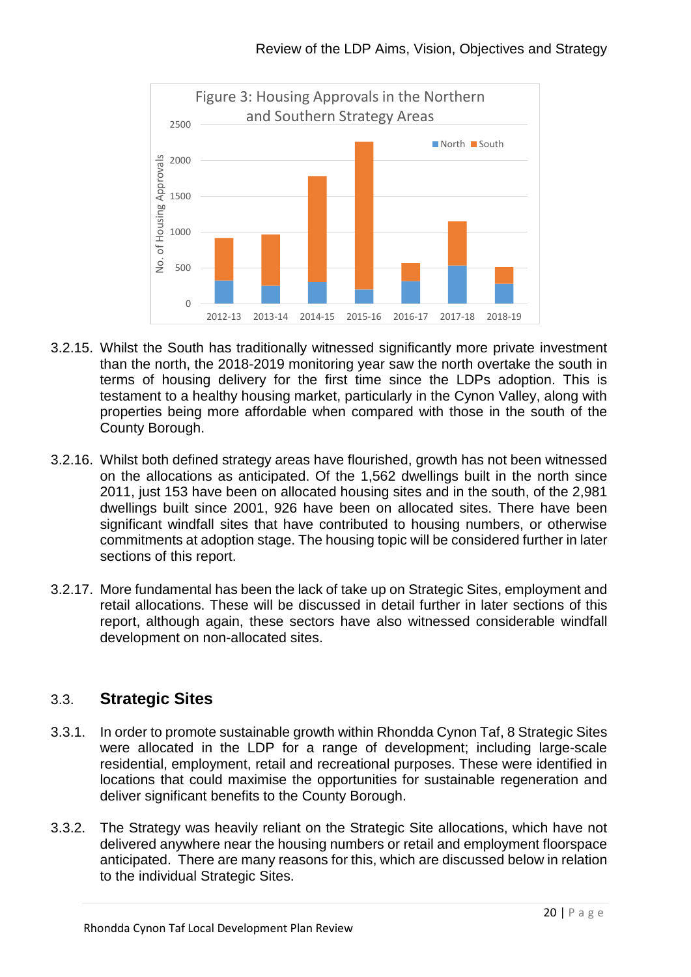

- 3.2.15. Whilst the South has traditionally witnessed significantly more private investment than the north, the 2018-2019 monitoring year saw the north overtake the south in terms of housing delivery for the first time since the LDPs adoption. This is testament to a healthy housing market, particularly in the Cynon Valley, along with properties being more affordable when compared with those in the south of the County Borough.
- 3.2.16. Whilst both defined strategy areas have flourished, growth has not been witnessed on the allocations as anticipated. Of the 1,562 dwellings built in the north since 2011, just 153 have been on allocated housing sites and in the south, of the 2,981 dwellings built since 2001, 926 have been on allocated sites. There have been significant windfall sites that have contributed to housing numbers, or otherwise commitments at adoption stage. The housing topic will be considered further in later sections of this report.
- 3.2.17. More fundamental has been the lack of take up on Strategic Sites, employment and retail allocations. These will be discussed in detail further in later sections of this report, although again, these sectors have also witnessed considerable windfall development on non-allocated sites.

# 3.3. **Strategic Sites**

- 3.3.1. In order to promote sustainable growth within Rhondda Cynon Taf, 8 Strategic Sites were allocated in the LDP for a range of development; including large-scale residential, employment, retail and recreational purposes. These were identified in locations that could maximise the opportunities for sustainable regeneration and deliver significant benefits to the County Borough.
- 3.3.2. The Strategy was heavily reliant on the Strategic Site allocations, which have not delivered anywhere near the housing numbers or retail and employment floorspace anticipated. There are many reasons for this, which are discussed below in relation to the individual Strategic Sites.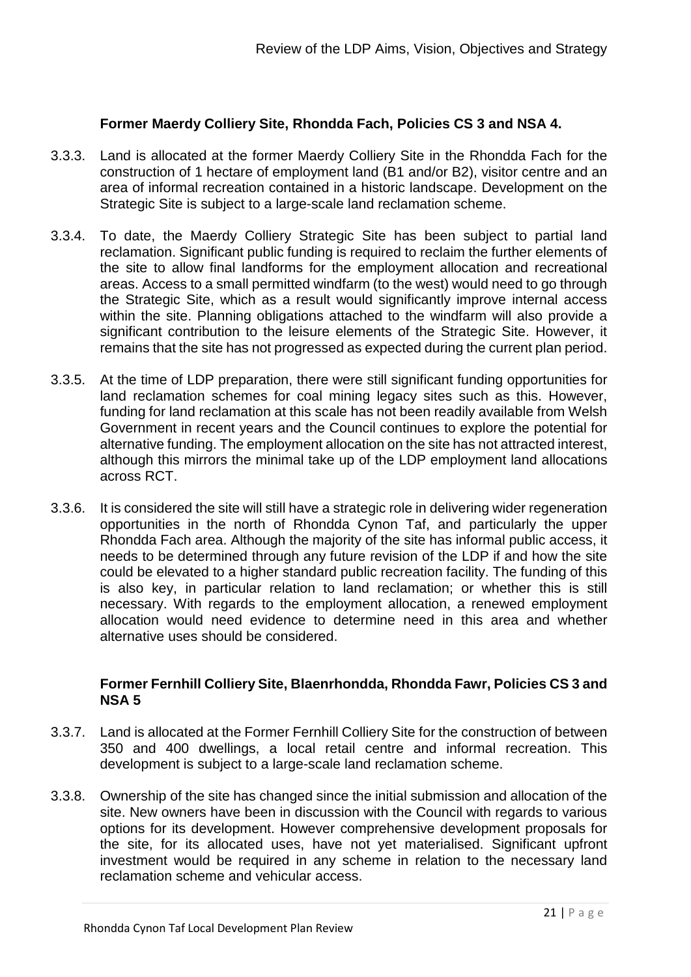#### **Former Maerdy Colliery Site, Rhondda Fach, Policies CS 3 and NSA 4.**

- 3.3.3. Land is allocated at the former Maerdy Colliery Site in the Rhondda Fach for the construction of 1 hectare of employment land (B1 and/or B2), visitor centre and an area of informal recreation contained in a historic landscape. Development on the Strategic Site is subject to a large-scale land reclamation scheme.
- 3.3.4. To date, the Maerdy Colliery Strategic Site has been subject to partial land reclamation. Significant public funding is required to reclaim the further elements of the site to allow final landforms for the employment allocation and recreational areas. Access to a small permitted windfarm (to the west) would need to go through the Strategic Site, which as a result would significantly improve internal access within the site. Planning obligations attached to the windfarm will also provide a significant contribution to the leisure elements of the Strategic Site. However, it remains that the site has not progressed as expected during the current plan period.
- 3.3.5. At the time of LDP preparation, there were still significant funding opportunities for land reclamation schemes for coal mining legacy sites such as this. However, funding for land reclamation at this scale has not been readily available from Welsh Government in recent years and the Council continues to explore the potential for alternative funding. The employment allocation on the site has not attracted interest, although this mirrors the minimal take up of the LDP employment land allocations across RCT.
- 3.3.6. It is considered the site will still have a strategic role in delivering wider regeneration opportunities in the north of Rhondda Cynon Taf, and particularly the upper Rhondda Fach area. Although the majority of the site has informal public access, it needs to be determined through any future revision of the LDP if and how the site could be elevated to a higher standard public recreation facility. The funding of this is also key, in particular relation to land reclamation; or whether this is still necessary. With regards to the employment allocation, a renewed employment allocation would need evidence to determine need in this area and whether alternative uses should be considered.

### **Former Fernhill Colliery Site, Blaenrhondda, Rhondda Fawr, Policies CS 3 and NSA 5**

- 3.3.7. Land is allocated at the Former Fernhill Colliery Site for the construction of between 350 and 400 dwellings, a local retail centre and informal recreation. This development is subject to a large-scale land reclamation scheme.
- 3.3.8. Ownership of the site has changed since the initial submission and allocation of the site. New owners have been in discussion with the Council with regards to various options for its development. However comprehensive development proposals for the site, for its allocated uses, have not yet materialised. Significant upfront investment would be required in any scheme in relation to the necessary land reclamation scheme and vehicular access.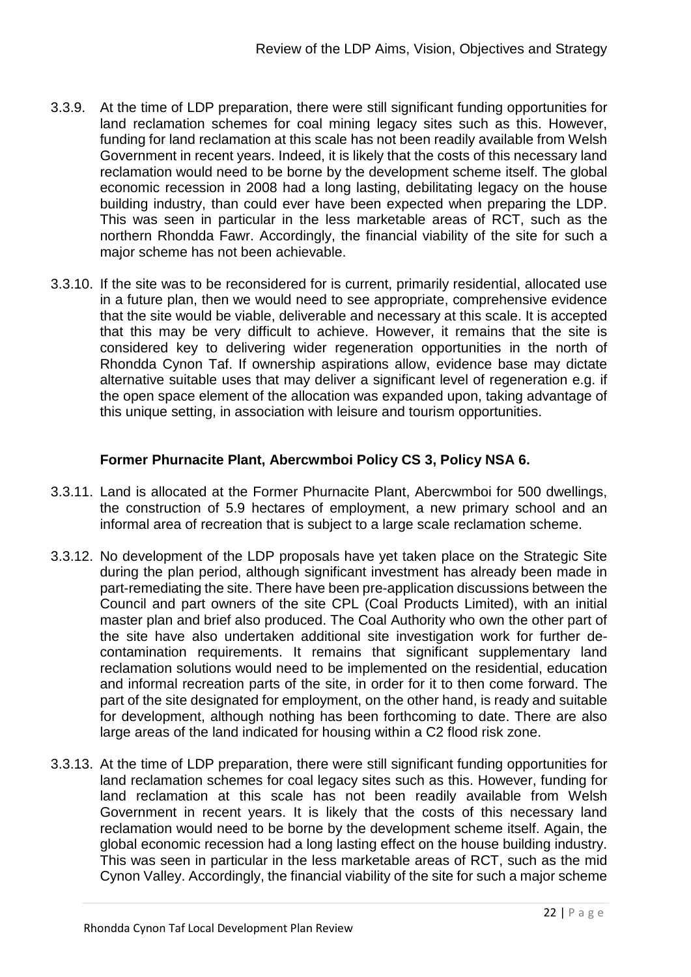- 3.3.9. At the time of LDP preparation, there were still significant funding opportunities for land reclamation schemes for coal mining legacy sites such as this. However, funding for land reclamation at this scale has not been readily available from Welsh Government in recent years. Indeed, it is likely that the costs of this necessary land reclamation would need to be borne by the development scheme itself. The global economic recession in 2008 had a long lasting, debilitating legacy on the house building industry, than could ever have been expected when preparing the LDP. This was seen in particular in the less marketable areas of RCT, such as the northern Rhondda Fawr. Accordingly, the financial viability of the site for such a major scheme has not been achievable.
- 3.3.10. If the site was to be reconsidered for is current, primarily residential, allocated use in a future plan, then we would need to see appropriate, comprehensive evidence that the site would be viable, deliverable and necessary at this scale. It is accepted that this may be very difficult to achieve. However, it remains that the site is considered key to delivering wider regeneration opportunities in the north of Rhondda Cynon Taf. If ownership aspirations allow, evidence base may dictate alternative suitable uses that may deliver a significant level of regeneration e.g. if the open space element of the allocation was expanded upon, taking advantage of this unique setting, in association with leisure and tourism opportunities.

### **Former Phurnacite Plant, Abercwmboi Policy CS 3, Policy NSA 6.**

- 3.3.11. Land is allocated at the Former Phurnacite Plant, Abercwmboi for 500 dwellings, the construction of 5.9 hectares of employment, a new primary school and an informal area of recreation that is subject to a large scale reclamation scheme.
- 3.3.12. No development of the LDP proposals have yet taken place on the Strategic Site during the plan period, although significant investment has already been made in part-remediating the site. There have been pre-application discussions between the Council and part owners of the site CPL (Coal Products Limited), with an initial master plan and brief also produced. The Coal Authority who own the other part of the site have also undertaken additional site investigation work for further decontamination requirements. It remains that significant supplementary land reclamation solutions would need to be implemented on the residential, education and informal recreation parts of the site, in order for it to then come forward. The part of the site designated for employment, on the other hand, is ready and suitable for development, although nothing has been forthcoming to date. There are also large areas of the land indicated for housing within a C2 flood risk zone.
- 3.3.13. At the time of LDP preparation, there were still significant funding opportunities for land reclamation schemes for coal legacy sites such as this. However, funding for land reclamation at this scale has not been readily available from Welsh Government in recent years. It is likely that the costs of this necessary land reclamation would need to be borne by the development scheme itself. Again, the global economic recession had a long lasting effect on the house building industry. This was seen in particular in the less marketable areas of RCT, such as the mid Cynon Valley. Accordingly, the financial viability of the site for such a major scheme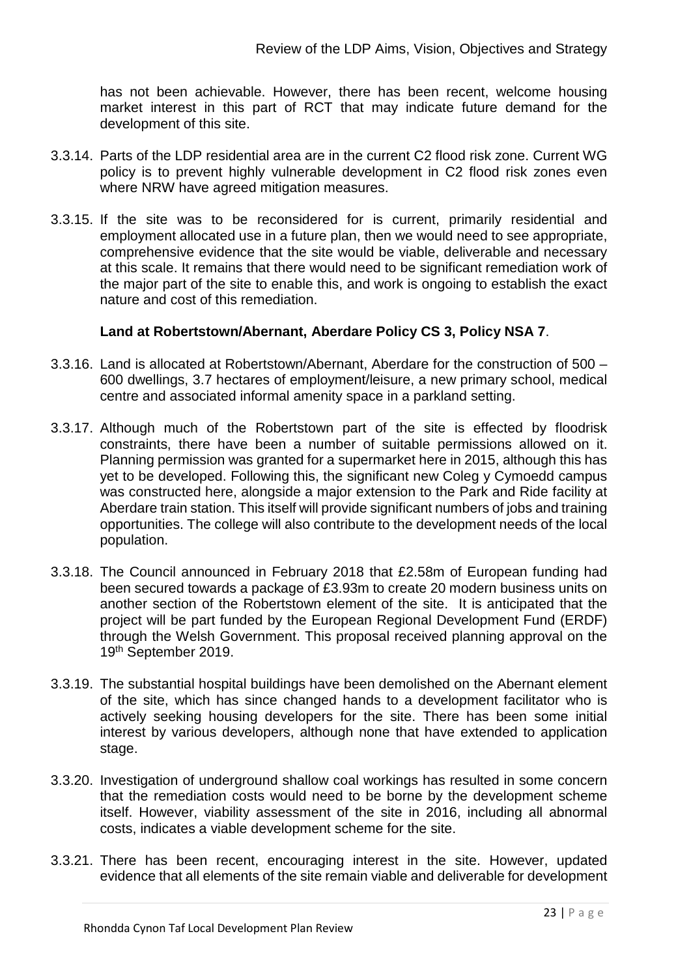has not been achievable. However, there has been recent, welcome housing market interest in this part of RCT that may indicate future demand for the development of this site.

- 3.3.14. Parts of the LDP residential area are in the current C2 flood risk zone. Current WG policy is to prevent highly vulnerable development in C2 flood risk zones even where NRW have agreed mitigation measures.
- 3.3.15. If the site was to be reconsidered for is current, primarily residential and employment allocated use in a future plan, then we would need to see appropriate, comprehensive evidence that the site would be viable, deliverable and necessary at this scale. It remains that there would need to be significant remediation work of the major part of the site to enable this, and work is ongoing to establish the exact nature and cost of this remediation.

### **Land at Robertstown/Abernant, Aberdare Policy CS 3, Policy NSA 7**.

- 3.3.16. Land is allocated at Robertstown/Abernant, Aberdare for the construction of 500 600 dwellings, 3.7 hectares of employment/leisure, a new primary school, medical centre and associated informal amenity space in a parkland setting.
- 3.3.17. Although much of the Robertstown part of the site is effected by floodrisk constraints, there have been a number of suitable permissions allowed on it. Planning permission was granted for a supermarket here in 2015, although this has yet to be developed. Following this, the significant new Coleg y Cymoedd campus was constructed here, alongside a major extension to the Park and Ride facility at Aberdare train station. This itself will provide significant numbers of jobs and training opportunities. The college will also contribute to the development needs of the local population.
- 3.3.18. The Council announced in February 2018 that £2.58m of European funding had been secured towards a package of £3.93m to create 20 modern business units on another section of the Robertstown element of the site. It is anticipated that the project will be part funded by the European Regional Development Fund (ERDF) through the Welsh Government. This proposal received planning approval on the 19th September 2019.
- 3.3.19. The substantial hospital buildings have been demolished on the Abernant element of the site, which has since changed hands to a development facilitator who is actively seeking housing developers for the site. There has been some initial interest by various developers, although none that have extended to application stage.
- 3.3.20. Investigation of underground shallow coal workings has resulted in some concern that the remediation costs would need to be borne by the development scheme itself. However, viability assessment of the site in 2016, including all abnormal costs, indicates a viable development scheme for the site.
- 3.3.21. There has been recent, encouraging interest in the site. However, updated evidence that all elements of the site remain viable and deliverable for development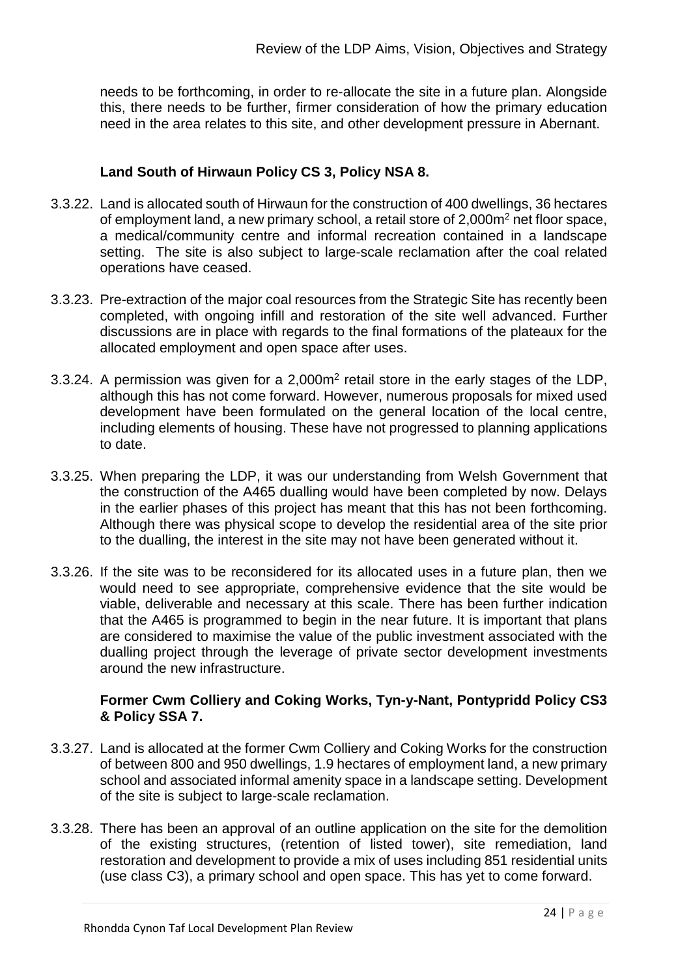needs to be forthcoming, in order to re-allocate the site in a future plan. Alongside this, there needs to be further, firmer consideration of how the primary education need in the area relates to this site, and other development pressure in Abernant.

## **Land South of Hirwaun Policy CS 3, Policy NSA 8.**

- 3.3.22. Land is allocated south of Hirwaun for the construction of 400 dwellings, 36 hectares of employment land, a new primary school, a retail store of 2,000m2 net floor space, a medical/community centre and informal recreation contained in a landscape setting. The site is also subject to large-scale reclamation after the coal related operations have ceased.
- 3.3.23. Pre-extraction of the major coal resources from the Strategic Site has recently been completed, with ongoing infill and restoration of the site well advanced. Further discussions are in place with regards to the final formations of the plateaux for the allocated employment and open space after uses.
- 3.3.24. A permission was given for a 2,000m2 retail store in the early stages of the LDP, although this has not come forward. However, numerous proposals for mixed used development have been formulated on the general location of the local centre, including elements of housing. These have not progressed to planning applications to date.
- 3.3.25. When preparing the LDP, it was our understanding from Welsh Government that the construction of the A465 dualling would have been completed by now. Delays in the earlier phases of this project has meant that this has not been forthcoming. Although there was physical scope to develop the residential area of the site prior to the dualling, the interest in the site may not have been generated without it.
- 3.3.26. If the site was to be reconsidered for its allocated uses in a future plan, then we would need to see appropriate, comprehensive evidence that the site would be viable, deliverable and necessary at this scale. There has been further indication that the A465 is programmed to begin in the near future. It is important that plans are considered to maximise the value of the public investment associated with the dualling project through the leverage of private sector development investments around the new infrastructure.

### **Former Cwm Colliery and Coking Works, Tyn-y-Nant, Pontypridd Policy CS3 & Policy SSA 7.**

- 3.3.27. Land is allocated at the former Cwm Colliery and Coking Works for the construction of between 800 and 950 dwellings, 1.9 hectares of employment land, a new primary school and associated informal amenity space in a landscape setting. Development of the site is subject to large-scale reclamation.
- 3.3.28. There has been an approval of an outline application on the site for the demolition of the existing structures, (retention of listed tower), site remediation, land restoration and development to provide a mix of uses including 851 residential units (use class C3), a primary school and open space. This has yet to come forward.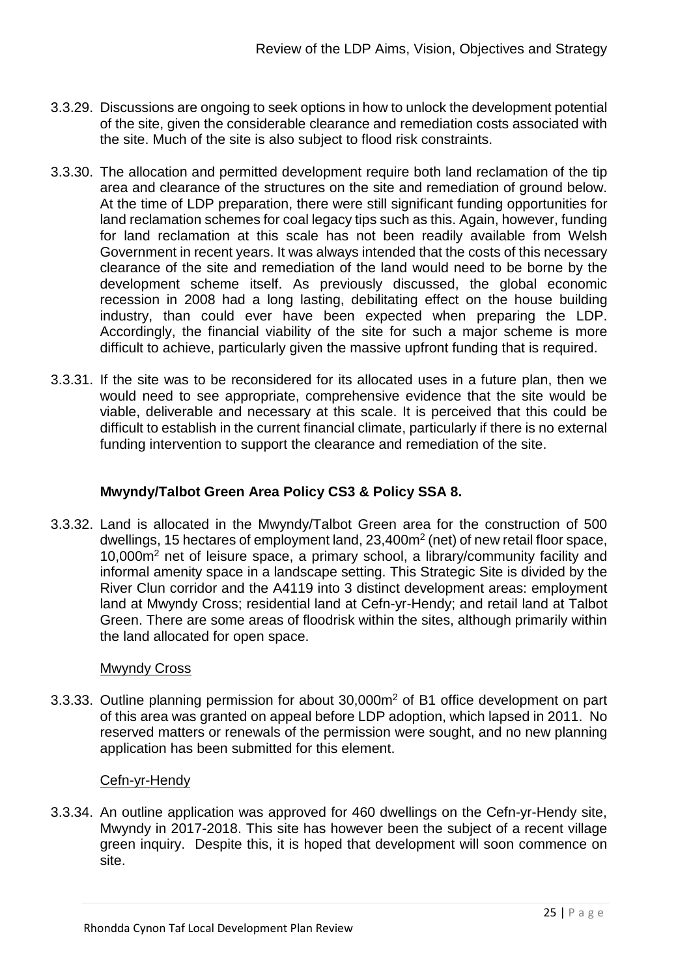- 3.3.29. Discussions are ongoing to seek options in how to unlock the development potential of the site, given the considerable clearance and remediation costs associated with the site. Much of the site is also subject to flood risk constraints.
- 3.3.30. The allocation and permitted development require both land reclamation of the tip area and clearance of the structures on the site and remediation of ground below. At the time of LDP preparation, there were still significant funding opportunities for land reclamation schemes for coal legacy tips such as this. Again, however, funding for land reclamation at this scale has not been readily available from Welsh Government in recent years. It was always intended that the costs of this necessary clearance of the site and remediation of the land would need to be borne by the development scheme itself. As previously discussed, the global economic recession in 2008 had a long lasting, debilitating effect on the house building industry, than could ever have been expected when preparing the LDP. Accordingly, the financial viability of the site for such a major scheme is more difficult to achieve, particularly given the massive upfront funding that is required.
- 3.3.31. If the site was to be reconsidered for its allocated uses in a future plan, then we would need to see appropriate, comprehensive evidence that the site would be viable, deliverable and necessary at this scale. It is perceived that this could be difficult to establish in the current financial climate, particularly if there is no external funding intervention to support the clearance and remediation of the site.

## **Mwyndy/Talbot Green Area Policy CS3 & Policy SSA 8.**

3.3.32. Land is allocated in the Mwyndy/Talbot Green area for the construction of 500 dwellings, 15 hectares of employment land, 23,400m2 (net) of new retail floor space, 10,000m2 net of leisure space, a primary school, a library/community facility and informal amenity space in a landscape setting. This Strategic Site is divided by the River Clun corridor and the A4119 into 3 distinct development areas: employment land at Mwyndy Cross; residential land at Cefn-yr-Hendy; and retail land at Talbot Green. There are some areas of floodrisk within the sites, although primarily within the land allocated for open space.

### Mwyndy Cross

3.3.33. Outline planning permission for about 30,000m2 of B1 office development on part of this area was granted on appeal before LDP adoption, which lapsed in 2011. No reserved matters or renewals of the permission were sought, and no new planning application has been submitted for this element.

#### Cefn-yr-Hendy

3.3.34. An outline application was approved for 460 dwellings on the Cefn-yr-Hendy site, Mwyndy in 2017-2018. This site has however been the subject of a recent village green inquiry. Despite this, it is hoped that development will soon commence on site.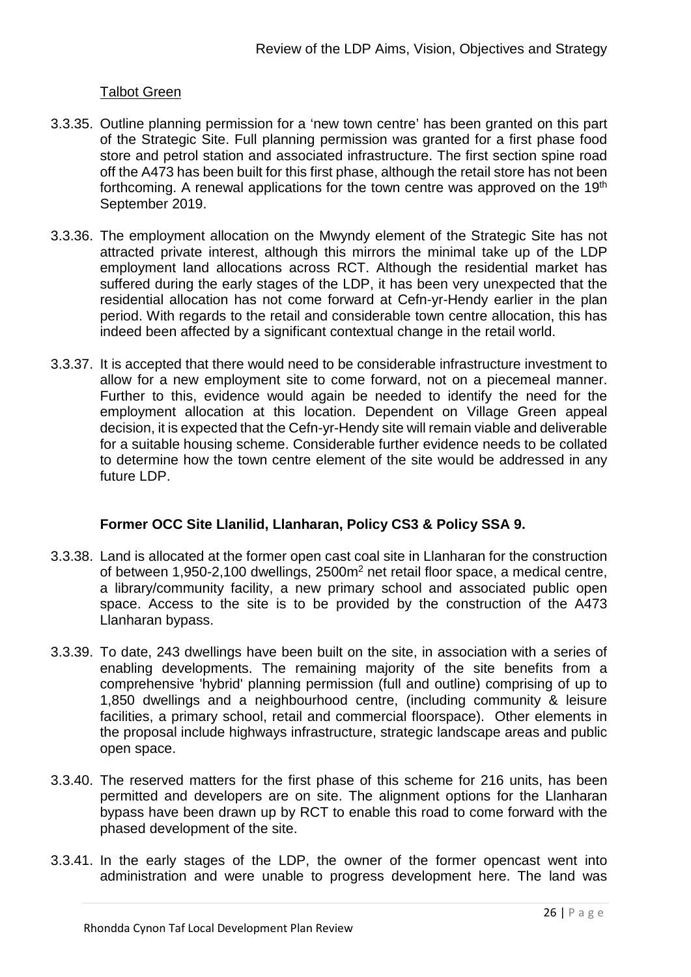### Talbot Green

- 3.3.35. Outline planning permission for a 'new town centre' has been granted on this part of the Strategic Site. Full planning permission was granted for a first phase food store and petrol station and associated infrastructure. The first section spine road off the A473 has been built for this first phase, although the retail store has not been forthcoming. A renewal applications for the town centre was approved on the 19<sup>th</sup> September 2019.
- 3.3.36. The employment allocation on the Mwyndy element of the Strategic Site has not attracted private interest, although this mirrors the minimal take up of the LDP employment land allocations across RCT. Although the residential market has suffered during the early stages of the LDP, it has been very unexpected that the residential allocation has not come forward at Cefn-yr-Hendy earlier in the plan period. With regards to the retail and considerable town centre allocation, this has indeed been affected by a significant contextual change in the retail world.
- 3.3.37. It is accepted that there would need to be considerable infrastructure investment to allow for a new employment site to come forward, not on a piecemeal manner. Further to this, evidence would again be needed to identify the need for the employment allocation at this location. Dependent on Village Green appeal decision, it is expected that the Cefn-yr-Hendy site will remain viable and deliverable for a suitable housing scheme. Considerable further evidence needs to be collated to determine how the town centre element of the site would be addressed in any future LDP.

### **Former OCC Site Llanilid, Llanharan, Policy CS3 & Policy SSA 9.**

- 3.3.38. Land is allocated at the former open cast coal site in Llanharan for the construction of between 1,950-2,100 dwellings, 2500m2 net retail floor space, a medical centre, a library/community facility, a new primary school and associated public open space. Access to the site is to be provided by the construction of the A473 Llanharan bypass.
- 3.3.39. To date, 243 dwellings have been built on the site, in association with a series of enabling developments. The remaining majority of the site benefits from a comprehensive 'hybrid' planning permission (full and outline) comprising of up to 1,850 dwellings and a neighbourhood centre, (including community & leisure facilities, a primary school, retail and commercial floorspace). Other elements in the proposal include highways infrastructure, strategic landscape areas and public open space.
- 3.3.40. The reserved matters for the first phase of this scheme for 216 units, has been permitted and developers are on site. The alignment options for the Llanharan bypass have been drawn up by RCT to enable this road to come forward with the phased development of the site.
- 3.3.41. In the early stages of the LDP, the owner of the former opencast went into administration and were unable to progress development here. The land was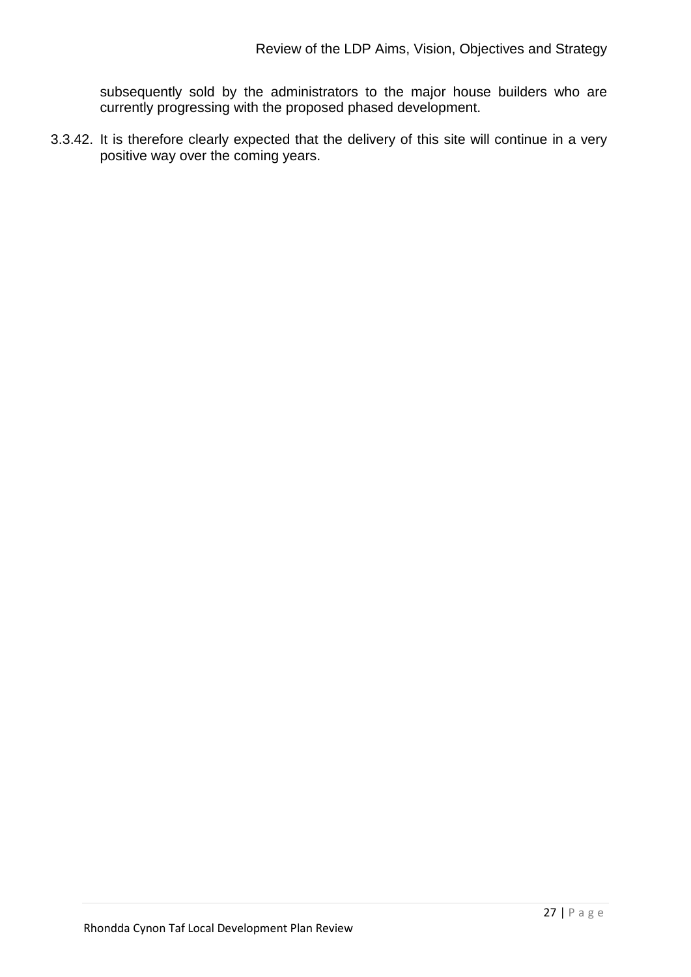subsequently sold by the administrators to the major house builders who are currently progressing with the proposed phased development.

3.3.42. It is therefore clearly expected that the delivery of this site will continue in a very positive way over the coming years.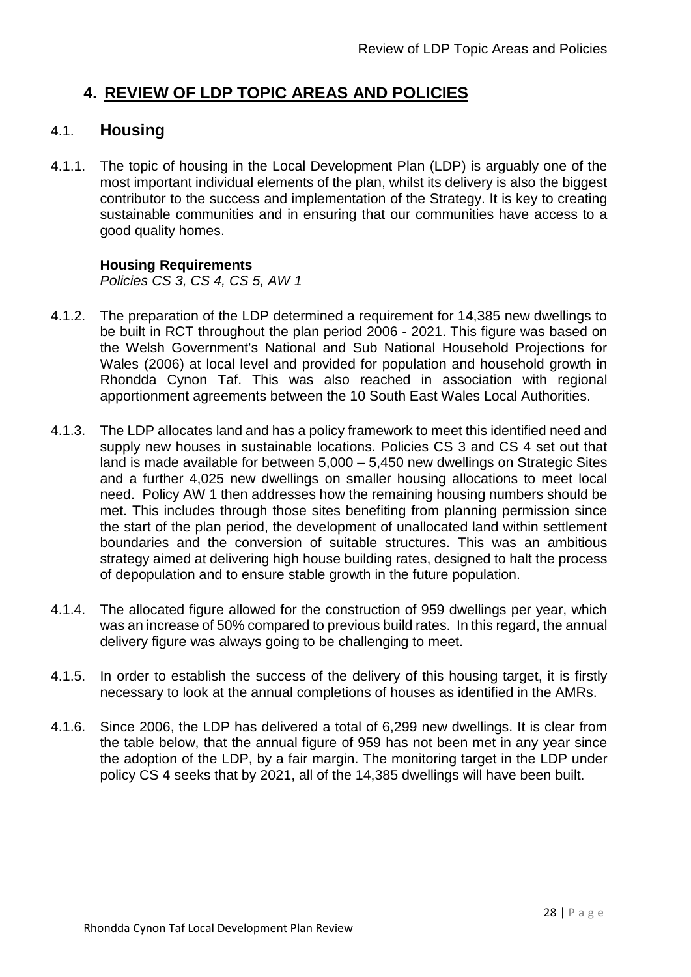# **4. REVIEW OF LDP TOPIC AREAS AND POLICIES**

## 4.1. **Housing**

4.1.1. The topic of housing in the Local Development Plan (LDP) is arguably one of the most important individual elements of the plan, whilst its delivery is also the biggest contributor to the success and implementation of the Strategy. It is key to creating sustainable communities and in ensuring that our communities have access to a good quality homes.

### **Housing Requirements**

*Policies CS 3, CS 4, CS 5, AW 1*

- 4.1.2. The preparation of the LDP determined a requirement for 14,385 new dwellings to be built in RCT throughout the plan period 2006 - 2021. This figure was based on the Welsh Government's National and Sub National Household Projections for Wales (2006) at local level and provided for population and household growth in Rhondda Cynon Taf. This was also reached in association with regional apportionment agreements between the 10 South East Wales Local Authorities.
- 4.1.3. The LDP allocates land and has a policy framework to meet this identified need and supply new houses in sustainable locations. Policies CS 3 and CS 4 set out that land is made available for between 5,000 – 5,450 new dwellings on Strategic Sites and a further 4,025 new dwellings on smaller housing allocations to meet local need. Policy AW 1 then addresses how the remaining housing numbers should be met. This includes through those sites benefiting from planning permission since the start of the plan period, the development of unallocated land within settlement boundaries and the conversion of suitable structures. This was an ambitious strategy aimed at delivering high house building rates, designed to halt the process of depopulation and to ensure stable growth in the future population.
- 4.1.4. The allocated figure allowed for the construction of 959 dwellings per year, which was an increase of 50% compared to previous build rates. In this regard, the annual delivery figure was always going to be challenging to meet.
- 4.1.5. In order to establish the success of the delivery of this housing target, it is firstly necessary to look at the annual completions of houses as identified in the AMRs.
- 4.1.6. Since 2006, the LDP has delivered a total of 6,299 new dwellings. It is clear from the table below, that the annual figure of 959 has not been met in any year since the adoption of the LDP, by a fair margin. The monitoring target in the LDP under policy CS 4 seeks that by 2021, all of the 14,385 dwellings will have been built.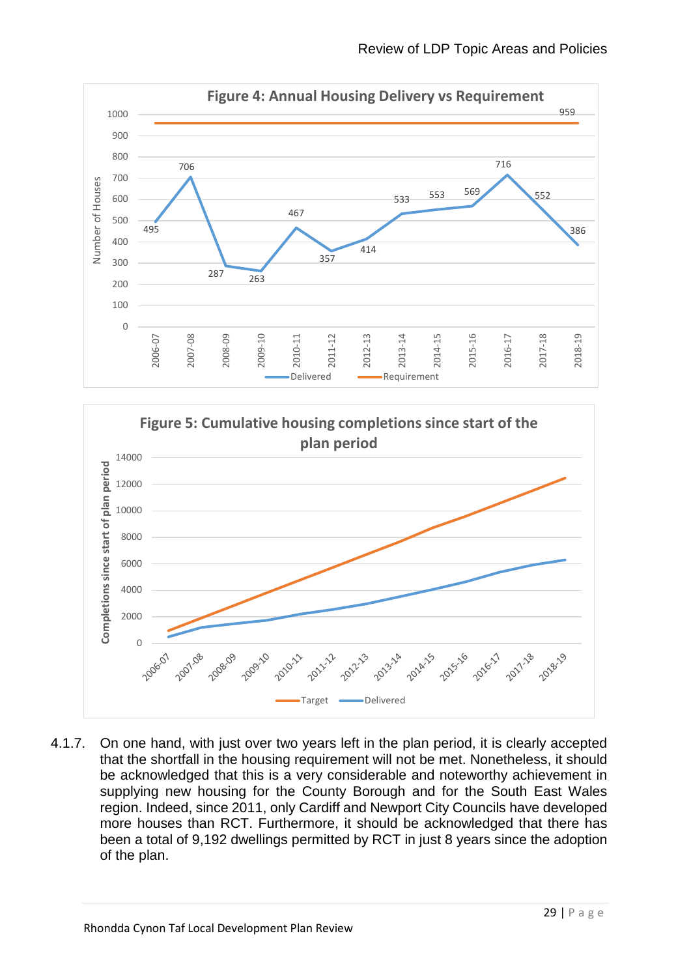



4.1.7. On one hand, with just over two years left in the plan period, it is clearly accepted that the shortfall in the housing requirement will not be met. Nonetheless, it should be acknowledged that this is a very considerable and noteworthy achievement in supplying new housing for the County Borough and for the South East Wales region. Indeed, since 2011, only Cardiff and Newport City Councils have developed more houses than RCT. Furthermore, it should be acknowledged that there has been a total of 9,192 dwellings permitted by RCT in just 8 years since the adoption of the plan.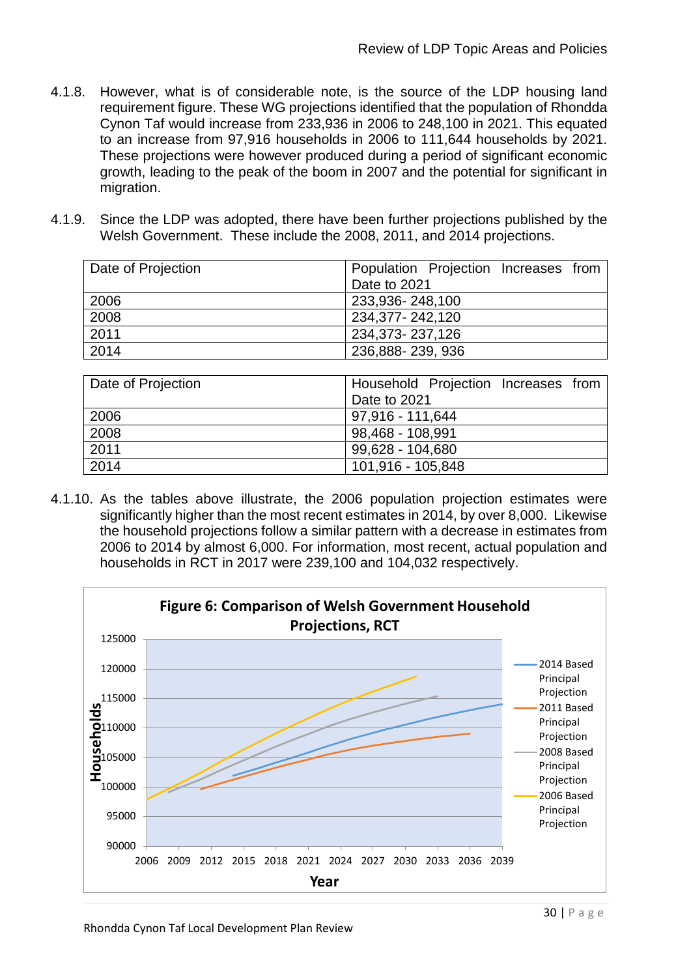- 4.1.8. However, what is of considerable note, is the source of the LDP housing land requirement figure. These WG projections identified that the population of Rhondda Cynon Taf would increase from 233,936 in 2006 to 248,100 in 2021. This equated to an increase from 97,916 households in 2006 to 111,644 households by 2021. These projections were however produced during a period of significant economic growth, leading to the peak of the boom in 2007 and the potential for significant in migration.
- 4.1.9. Since the LDP was adopted, there have been further projections published by the Welsh Government. These include the 2008, 2011, and 2014 projections.

| Date of Projection | Population Projection Increases from |
|--------------------|--------------------------------------|
|                    | Date to 2021                         |
| 2006               | 233,936-248,100                      |
| 2008               | 234,377-242,120                      |
| 2011               | 234,373-237,126                      |
| 2014               | 236,888-239,936                      |
|                    |                                      |

| Date of Projection | Household Projection Increases from |
|--------------------|-------------------------------------|
|                    | Date to 2021                        |
| 2006               | 97,916 - 111,644                    |
| 2008               | 98,468 - 108,991                    |
| 2011               | 99,628 - 104,680                    |
| 2014               | 101,916 - 105,848                   |

4.1.10. As the tables above illustrate, the 2006 population projection estimates were significantly higher than the most recent estimates in 2014, by over 8,000. Likewise the household projections follow a similar pattern with a decrease in estimates from 2006 to 2014 by almost 6,000. For information, most recent, actual population and households in RCT in 2017 were 239,100 and 104,032 respectively.

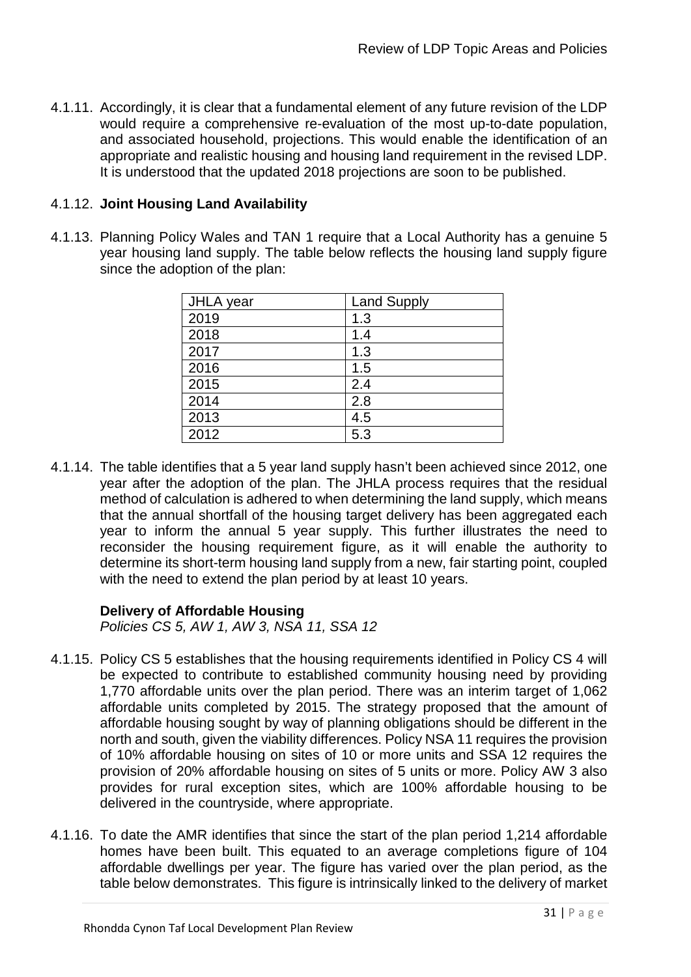4.1.11. Accordingly, it is clear that a fundamental element of any future revision of the LDP would require a comprehensive re-evaluation of the most up-to-date population, and associated household, projections. This would enable the identification of an appropriate and realistic housing and housing land requirement in the revised LDP. It is understood that the updated 2018 projections are soon to be published.

### 4.1.12. **Joint Housing Land Availability**

4.1.13. Planning Policy Wales and TAN 1 require that a Local Authority has a genuine 5 year housing land supply. The table below reflects the housing land supply figure since the adoption of the plan:

| JHLA year | <b>Land Supply</b> |
|-----------|--------------------|
| 2019      | 1.3                |
| 2018      | 1.4                |
| 2017      | 1.3                |
| 2016      | 1.5                |
| 2015      | 2.4                |
| 2014      | 2.8                |
| 2013      | 4.5                |
| 2012      | 5.3                |

4.1.14. The table identifies that a 5 year land supply hasn't been achieved since 2012, one year after the adoption of the plan. The JHLA process requires that the residual method of calculation is adhered to when determining the land supply, which means that the annual shortfall of the housing target delivery has been aggregated each year to inform the annual 5 year supply. This further illustrates the need to reconsider the housing requirement figure, as it will enable the authority to determine its short-term housing land supply from a new, fair starting point, coupled with the need to extend the plan period by at least 10 years.

### **Delivery of Affordable Housing**

*Policies CS 5, AW 1, AW 3, NSA 11, SSA 12*

- 4.1.15. Policy CS 5 establishes that the housing requirements identified in Policy CS 4 will be expected to contribute to established community housing need by providing 1,770 affordable units over the plan period. There was an interim target of 1,062 affordable units completed by 2015. The strategy proposed that the amount of affordable housing sought by way of planning obligations should be different in the north and south, given the viability differences. Policy NSA 11 requires the provision of 10% affordable housing on sites of 10 or more units and SSA 12 requires the provision of 20% affordable housing on sites of 5 units or more. Policy AW 3 also provides for rural exception sites, which are 100% affordable housing to be delivered in the countryside, where appropriate.
- 4.1.16. To date the AMR identifies that since the start of the plan period 1,214 affordable homes have been built. This equated to an average completions figure of 104 affordable dwellings per year. The figure has varied over the plan period, as the table below demonstrates. This figure is intrinsically linked to the delivery of market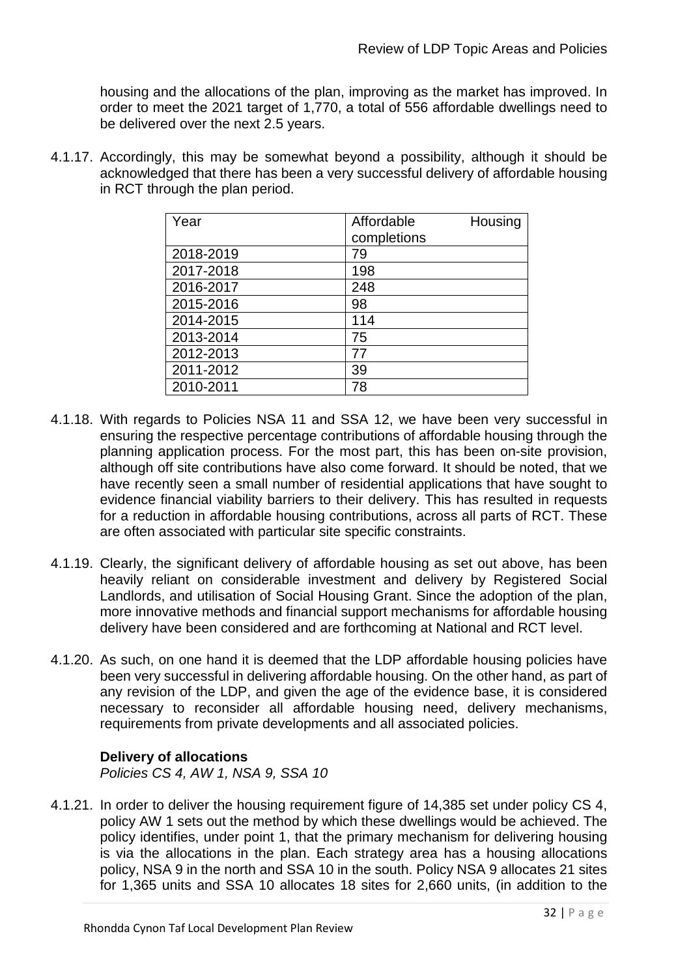housing and the allocations of the plan, improving as the market has improved. In order to meet the 2021 target of 1,770, a total of 556 affordable dwellings need to be delivered over the next 2.5 years.

4.1.17. Accordingly, this may be somewhat beyond a possibility, although it should be acknowledged that there has been a very successful delivery of affordable housing in RCT through the plan period.

| Year      | Affordable<br>completions | Housing |
|-----------|---------------------------|---------|
| 2018-2019 | 79                        |         |
| 2017-2018 | 198                       |         |
| 2016-2017 | 248                       |         |
| 2015-2016 | 98                        |         |
| 2014-2015 | 114                       |         |
| 2013-2014 | 75                        |         |
| 2012-2013 | 77                        |         |
| 2011-2012 | 39                        |         |
| 2010-2011 | 78                        |         |

- 4.1.18. With regards to Policies NSA 11 and SSA 12, we have been very successful in ensuring the respective percentage contributions of affordable housing through the planning application process. For the most part, this has been on-site provision, although off site contributions have also come forward. It should be noted, that we have recently seen a small number of residential applications that have sought to evidence financial viability barriers to their delivery. This has resulted in requests for a reduction in affordable housing contributions, across all parts of RCT. These are often associated with particular site specific constraints.
- 4.1.19. Clearly, the significant delivery of affordable housing as set out above, has been heavily reliant on considerable investment and delivery by Registered Social Landlords, and utilisation of Social Housing Grant. Since the adoption of the plan, more innovative methods and financial support mechanisms for affordable housing delivery have been considered and are forthcoming at National and RCT level.
- 4.1.20. As such, on one hand it is deemed that the LDP affordable housing policies have been very successful in delivering affordable housing. On the other hand, as part of any revision of the LDP, and given the age of the evidence base, it is considered necessary to reconsider all affordable housing need, delivery mechanisms, requirements from private developments and all associated policies.

### **Delivery of allocations**

*Policies CS 4, AW 1, NSA 9, SSA 10*

4.1.21. In order to deliver the housing requirement figure of 14,385 set under policy CS 4, policy AW 1 sets out the method by which these dwellings would be achieved. The policy identifies, under point 1, that the primary mechanism for delivering housing is via the allocations in the plan. Each strategy area has a housing allocations policy, NSA 9 in the north and SSA 10 in the south. Policy NSA 9 allocates 21 sites for 1,365 units and SSA 10 allocates 18 sites for 2,660 units, (in addition to the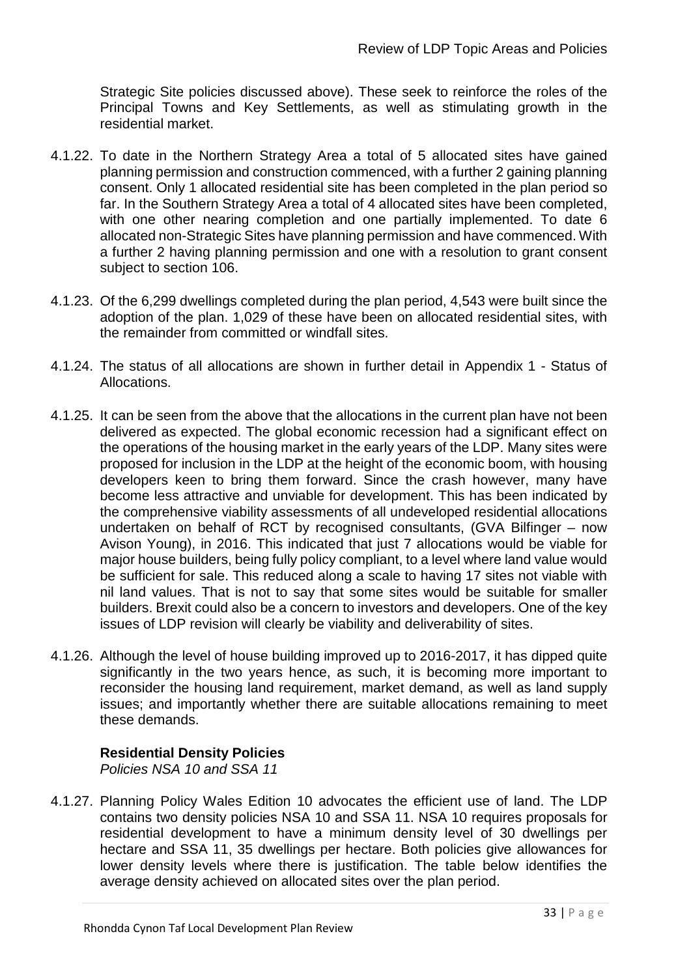Strategic Site policies discussed above). These seek to reinforce the roles of the Principal Towns and Key Settlements, as well as stimulating growth in the residential market.

- 4.1.22. To date in the Northern Strategy Area a total of 5 allocated sites have gained planning permission and construction commenced, with a further 2 gaining planning consent. Only 1 allocated residential site has been completed in the plan period so far. In the Southern Strategy Area a total of 4 allocated sites have been completed, with one other nearing completion and one partially implemented. To date 6 allocated non-Strategic Sites have planning permission and have commenced. With a further 2 having planning permission and one with a resolution to grant consent subject to section 106.
- 4.1.23. Of the 6,299 dwellings completed during the plan period, 4,543 were built since the adoption of the plan. 1,029 of these have been on allocated residential sites, with the remainder from committed or windfall sites.
- 4.1.24. The status of all allocations are shown in further detail in Appendix 1 Status of Allocations.
- 4.1.25. It can be seen from the above that the allocations in the current plan have not been delivered as expected. The global economic recession had a significant effect on the operations of the housing market in the early years of the LDP. Many sites were proposed for inclusion in the LDP at the height of the economic boom, with housing developers keen to bring them forward. Since the crash however, many have become less attractive and unviable for development. This has been indicated by the comprehensive viability assessments of all undeveloped residential allocations undertaken on behalf of RCT by recognised consultants, (GVA Bilfinger – now Avison Young), in 2016. This indicated that just 7 allocations would be viable for major house builders, being fully policy compliant, to a level where land value would be sufficient for sale. This reduced along a scale to having 17 sites not viable with nil land values. That is not to say that some sites would be suitable for smaller builders. Brexit could also be a concern to investors and developers. One of the key issues of LDP revision will clearly be viability and deliverability of sites.
- 4.1.26. Although the level of house building improved up to 2016-2017, it has dipped quite significantly in the two years hence, as such, it is becoming more important to reconsider the housing land requirement, market demand, as well as land supply issues; and importantly whether there are suitable allocations remaining to meet these demands.

### **Residential Density Policies**

*Policies NSA 10 and SSA 11*

4.1.27. Planning Policy Wales Edition 10 advocates the efficient use of land. The LDP contains two density policies NSA 10 and SSA 11. NSA 10 requires proposals for residential development to have a minimum density level of 30 dwellings per hectare and SSA 11, 35 dwellings per hectare. Both policies give allowances for lower density levels where there is justification. The table below identifies the average density achieved on allocated sites over the plan period.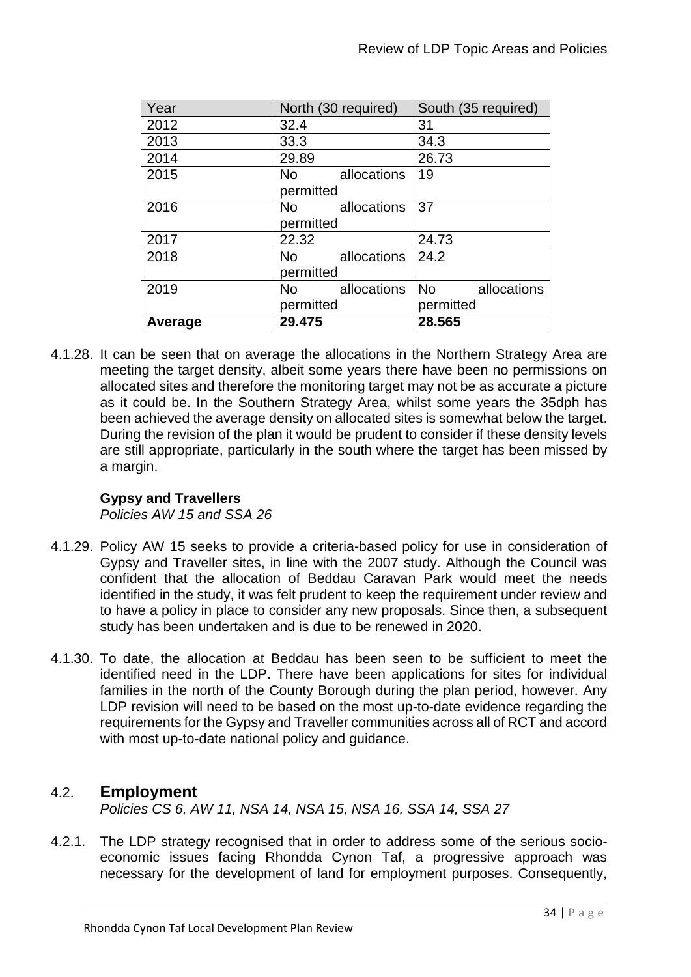| Year    | North (30 required)      | South (35 required)      |
|---------|--------------------------|--------------------------|
| 2012    | 32.4                     | 31                       |
| 2013    | 33.3                     | 34.3                     |
| 2014    | 29.89                    | 26.73                    |
| 2015    | <b>No</b><br>allocations | 19                       |
|         | permitted                |                          |
| 2016    | No.<br>allocations       | 37                       |
|         | permitted                |                          |
| 2017    | 22.32                    | 24.73                    |
| 2018    | allocations<br><b>No</b> | 24.2                     |
|         | permitted                |                          |
| 2019    | <b>No</b><br>allocations | <b>No</b><br>allocations |
|         | permitted                | permitted                |
| Average | 29.475                   | 28.565                   |

4.1.28. It can be seen that on average the allocations in the Northern Strategy Area are meeting the target density, albeit some years there have been no permissions on allocated sites and therefore the monitoring target may not be as accurate a picture as it could be. In the Southern Strategy Area, whilst some years the 35dph has been achieved the average density on allocated sites is somewhat below the target. During the revision of the plan it would be prudent to consider if these density levels are still appropriate, particularly in the south where the target has been missed by a margin.

## **Gypsy and Travellers**

*Policies AW 15 and SSA 26*

- 4.1.29. Policy AW 15 seeks to provide a criteria-based policy for use in consideration of Gypsy and Traveller sites, in line with the 2007 study. Although the Council was confident that the allocation of Beddau Caravan Park would meet the needs identified in the study, it was felt prudent to keep the requirement under review and to have a policy in place to consider any new proposals. Since then, a subsequent study has been undertaken and is due to be renewed in 2020.
- 4.1.30. To date, the allocation at Beddau has been seen to be sufficient to meet the identified need in the LDP. There have been applications for sites for individual families in the north of the County Borough during the plan period, however. Any LDP revision will need to be based on the most up-to-date evidence regarding the requirements for the Gypsy and Traveller communities across all of RCT and accord with most up-to-date national policy and guidance.

## 4.2. **Employment**

*Policies CS 6, AW 11, NSA 14, NSA 15, NSA 16, SSA 14, SSA 27*

4.2.1. The LDP strategy recognised that in order to address some of the serious socioeconomic issues facing Rhondda Cynon Taf, a progressive approach was necessary for the development of land for employment purposes. Consequently,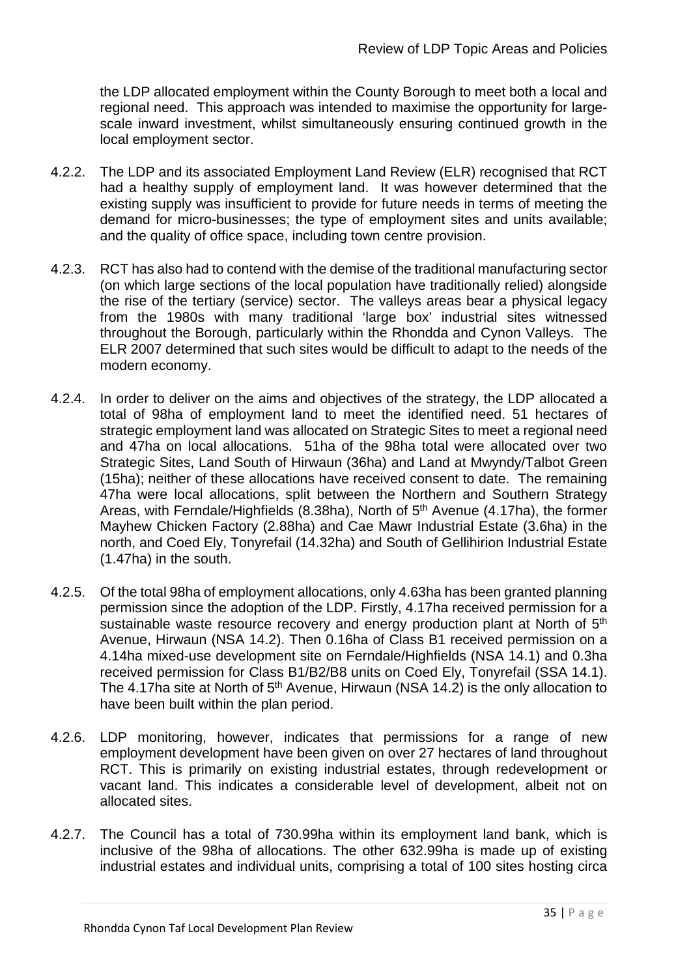the LDP allocated employment within the County Borough to meet both a local and regional need. This approach was intended to maximise the opportunity for largescale inward investment, whilst simultaneously ensuring continued growth in the local employment sector.

- 4.2.2. The LDP and its associated Employment Land Review (ELR) recognised that RCT had a healthy supply of employment land. It was however determined that the existing supply was insufficient to provide for future needs in terms of meeting the demand for micro-businesses; the type of employment sites and units available; and the quality of office space, including town centre provision.
- 4.2.3. RCT has also had to contend with the demise of the traditional manufacturing sector (on which large sections of the local population have traditionally relied) alongside the rise of the tertiary (service) sector. The valleys areas bear a physical legacy from the 1980s with many traditional 'large box' industrial sites witnessed throughout the Borough, particularly within the Rhondda and Cynon Valleys. The ELR 2007 determined that such sites would be difficult to adapt to the needs of the modern economy.
- 4.2.4. In order to deliver on the aims and objectives of the strategy, the LDP allocated a total of 98ha of employment land to meet the identified need. 51 hectares of strategic employment land was allocated on Strategic Sites to meet a regional need and 47ha on local allocations. 51ha of the 98ha total were allocated over two Strategic Sites, Land South of Hirwaun (36ha) and Land at Mwyndy/Talbot Green (15ha); neither of these allocations have received consent to date. The remaining 47ha were local allocations, split between the Northern and Southern Strategy Areas, with Ferndale/Highfields (8.38ha), North of 5th Avenue (4.17ha), the former Mayhew Chicken Factory (2.88ha) and Cae Mawr Industrial Estate (3.6ha) in the north, and Coed Ely, Tonyrefail (14.32ha) and South of Gellihirion Industrial Estate (1.47ha) in the south.
- 4.2.5. Of the total 98ha of employment allocations, only 4.63ha has been granted planning permission since the adoption of the LDP. Firstly, 4.17ha received permission for a sustainable waste resource recovery and energy production plant at North of 5<sup>th</sup> Avenue, Hirwaun (NSA 14.2). Then 0.16ha of Class B1 received permission on a 4.14ha mixed-use development site on Ferndale/Highfields (NSA 14.1) and 0.3ha received permission for Class B1/B2/B8 units on Coed Ely, Tonyrefail (SSA 14.1). The 4.17ha site at North of  $5<sup>th</sup>$  Avenue, Hirwaun (NSA 14.2) is the only allocation to have been built within the plan period.
- 4.2.6. LDP monitoring, however, indicates that permissions for a range of new employment development have been given on over 27 hectares of land throughout RCT. This is primarily on existing industrial estates, through redevelopment or vacant land. This indicates a considerable level of development, albeit not on allocated sites.
- 4.2.7. The Council has a total of 730.99ha within its employment land bank, which is inclusive of the 98ha of allocations. The other 632.99ha is made up of existing industrial estates and individual units, comprising a total of 100 sites hosting circa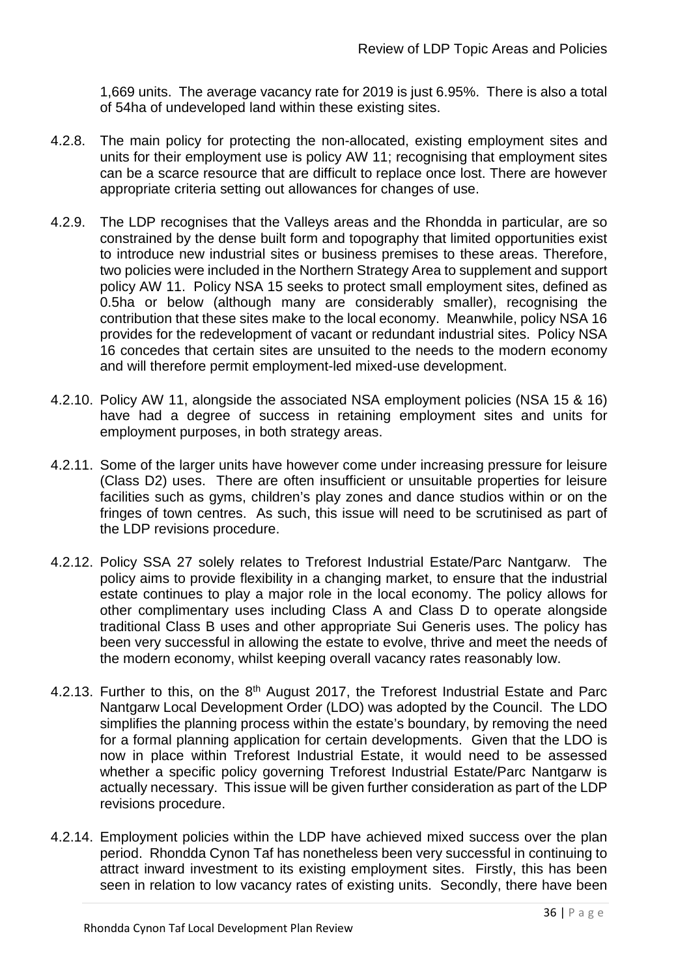1,669 units. The average vacancy rate for 2019 is just 6.95%. There is also a total of 54ha of undeveloped land within these existing sites.

- 4.2.8. The main policy for protecting the non-allocated, existing employment sites and units for their employment use is policy AW 11; recognising that employment sites can be a scarce resource that are difficult to replace once lost. There are however appropriate criteria setting out allowances for changes of use.
- 4.2.9. The LDP recognises that the Valleys areas and the Rhondda in particular, are so constrained by the dense built form and topography that limited opportunities exist to introduce new industrial sites or business premises to these areas. Therefore, two policies were included in the Northern Strategy Area to supplement and support policy AW 11. Policy NSA 15 seeks to protect small employment sites, defined as 0.5ha or below (although many are considerably smaller), recognising the contribution that these sites make to the local economy. Meanwhile, policy NSA 16 provides for the redevelopment of vacant or redundant industrial sites. Policy NSA 16 concedes that certain sites are unsuited to the needs to the modern economy and will therefore permit employment-led mixed-use development.
- 4.2.10. Policy AW 11, alongside the associated NSA employment policies (NSA 15 & 16) have had a degree of success in retaining employment sites and units for employment purposes, in both strategy areas.
- 4.2.11. Some of the larger units have however come under increasing pressure for leisure (Class D2) uses. There are often insufficient or unsuitable properties for leisure facilities such as gyms, children's play zones and dance studios within or on the fringes of town centres. As such, this issue will need to be scrutinised as part of the LDP revisions procedure.
- 4.2.12. Policy SSA 27 solely relates to Treforest Industrial Estate/Parc Nantgarw. The policy aims to provide flexibility in a changing market, to ensure that the industrial estate continues to play a major role in the local economy. The policy allows for other complimentary uses including Class A and Class D to operate alongside traditional Class B uses and other appropriate Sui Generis uses. The policy has been very successful in allowing the estate to evolve, thrive and meet the needs of the modern economy, whilst keeping overall vacancy rates reasonably low.
- 4.2.13. Further to this, on the 8<sup>th</sup> August 2017, the Treforest Industrial Estate and Parc Nantgarw Local Development Order (LDO) was adopted by the Council. The LDO simplifies the planning process within the estate's boundary, by removing the need for a formal planning application for certain developments. Given that the LDO is now in place within Treforest Industrial Estate, it would need to be assessed whether a specific policy governing Treforest Industrial Estate/Parc Nantgarw is actually necessary. This issue will be given further consideration as part of the LDP revisions procedure.
- 4.2.14. Employment policies within the LDP have achieved mixed success over the plan period. Rhondda Cynon Taf has nonetheless been very successful in continuing to attract inward investment to its existing employment sites. Firstly, this has been seen in relation to low vacancy rates of existing units. Secondly, there have been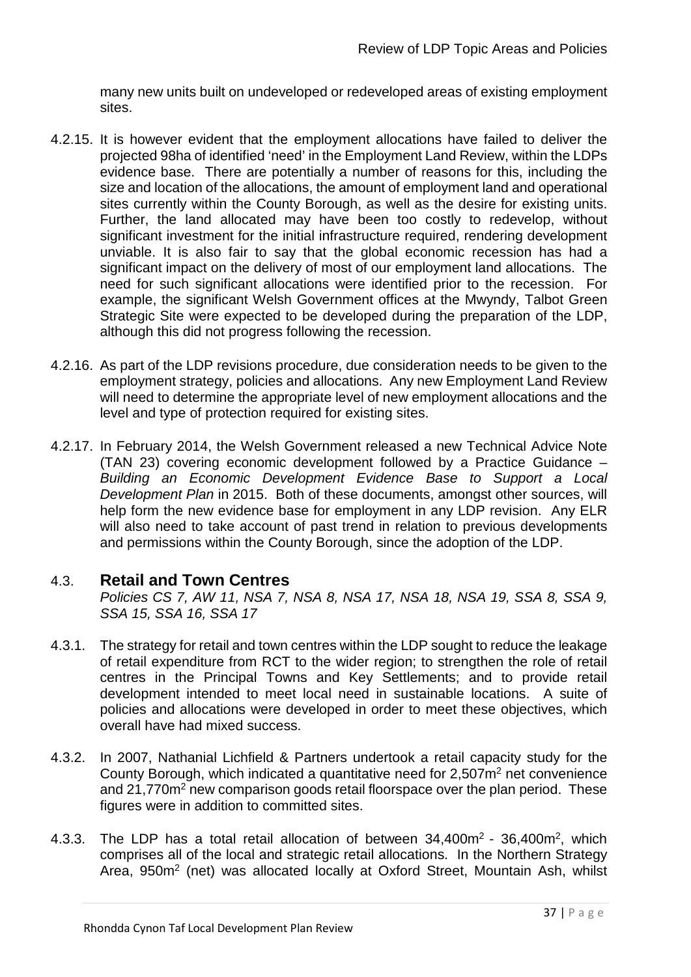many new units built on undeveloped or redeveloped areas of existing employment sites.

- 4.2.15. It is however evident that the employment allocations have failed to deliver the projected 98ha of identified 'need' in the Employment Land Review, within the LDPs evidence base. There are potentially a number of reasons for this, including the size and location of the allocations, the amount of employment land and operational sites currently within the County Borough, as well as the desire for existing units. Further, the land allocated may have been too costly to redevelop, without significant investment for the initial infrastructure required, rendering development unviable. It is also fair to say that the global economic recession has had a significant impact on the delivery of most of our employment land allocations. The need for such significant allocations were identified prior to the recession. For example, the significant Welsh Government offices at the Mwyndy, Talbot Green Strategic Site were expected to be developed during the preparation of the LDP, although this did not progress following the recession.
- 4.2.16. As part of the LDP revisions procedure, due consideration needs to be given to the employment strategy, policies and allocations. Any new Employment Land Review will need to determine the appropriate level of new employment allocations and the level and type of protection required for existing sites.
- 4.2.17. In February 2014, the Welsh Government released a new Technical Advice Note (TAN 23) covering economic development followed by a Practice Guidance – *Building an Economic Development Evidence Base to Support a Local Development Plan* in 2015. Both of these documents, amongst other sources, will help form the new evidence base for employment in any LDP revision. Any ELR will also need to take account of past trend in relation to previous developments and permissions within the County Borough, since the adoption of the LDP.

## 4.3. **Retail and Town Centres**

*Policies CS 7, AW 11, NSA 7, NSA 8, NSA 17, NSA 18, NSA 19, SSA 8, SSA 9, SSA 15, SSA 16, SSA 17*

- 4.3.1. The strategy for retail and town centres within the LDP sought to reduce the leakage of retail expenditure from RCT to the wider region; to strengthen the role of retail centres in the Principal Towns and Key Settlements; and to provide retail development intended to meet local need in sustainable locations. A suite of policies and allocations were developed in order to meet these objectives, which overall have had mixed success.
- 4.3.2. In 2007, Nathanial Lichfield & Partners undertook a retail capacity study for the County Borough, which indicated a quantitative need for  $2.507<sup>m²</sup>$  net convenience and 21,770m<sup>2</sup> new comparison goods retail floorspace over the plan period. These figures were in addition to committed sites.
- 4.3.3. The LDP has a total retail allocation of between 34,400m<sup>2</sup> 36,400m<sup>2</sup>, which comprises all of the local and strategic retail allocations. In the Northern Strategy Area, 950m<sup>2</sup> (net) was allocated locally at Oxford Street, Mountain Ash, whilst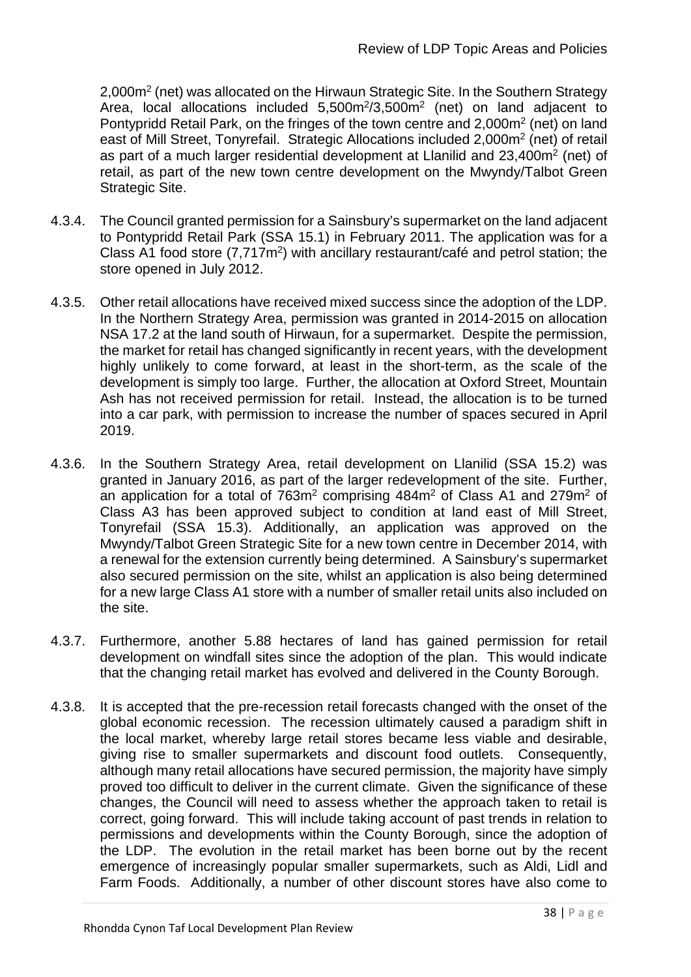2,000m2 (net) was allocated on the Hirwaun Strategic Site. In the Southern Strategy Area, local allocations included  $5,500m^2/3,500m^2$  (net) on land adjacent to Pontypridd Retail Park, on the fringes of the town centre and 2,000m2 (net) on land east of Mill Street, Tonyrefail. Strategic Allocations included 2,000m2 (net) of retail as part of a much larger residential development at Llanilid and 23,400m2 (net) of retail, as part of the new town centre development on the Mwyndy/Talbot Green Strategic Site.

- 4.3.4. The Council granted permission for a Sainsbury's supermarket on the land adjacent to Pontypridd Retail Park (SSA 15.1) in February 2011. The application was for a Class A1 food store (7,717m2) with ancillary restaurant/café and petrol station; the store opened in July 2012.
- 4.3.5. Other retail allocations have received mixed success since the adoption of the LDP. In the Northern Strategy Area, permission was granted in 2014-2015 on allocation NSA 17.2 at the land south of Hirwaun, for a supermarket. Despite the permission, the market for retail has changed significantly in recent years, with the development highly unlikely to come forward, at least in the short-term, as the scale of the development is simply too large. Further, the allocation at Oxford Street, Mountain Ash has not received permission for retail. Instead, the allocation is to be turned into a car park, with permission to increase the number of spaces secured in April 2019.
- 4.3.6. In the Southern Strategy Area, retail development on Llanilid (SSA 15.2) was granted in January 2016, as part of the larger redevelopment of the site. Further, an application for a total of 763m<sup>2</sup> comprising 484m<sup>2</sup> of Class A1 and 279m<sup>2</sup> of Class A3 has been approved subject to condition at land east of Mill Street, Tonyrefail (SSA 15.3). Additionally, an application was approved on the Mwyndy/Talbot Green Strategic Site for a new town centre in December 2014, with a renewal for the extension currently being determined. A Sainsbury's supermarket also secured permission on the site, whilst an application is also being determined for a new large Class A1 store with a number of smaller retail units also included on the site.
- 4.3.7. Furthermore, another 5.88 hectares of land has gained permission for retail development on windfall sites since the adoption of the plan. This would indicate that the changing retail market has evolved and delivered in the County Borough.
- 4.3.8. It is accepted that the pre-recession retail forecasts changed with the onset of the global economic recession. The recession ultimately caused a paradigm shift in the local market, whereby large retail stores became less viable and desirable, giving rise to smaller supermarkets and discount food outlets. Consequently, although many retail allocations have secured permission, the majority have simply proved too difficult to deliver in the current climate. Given the significance of these changes, the Council will need to assess whether the approach taken to retail is correct, going forward. This will include taking account of past trends in relation to permissions and developments within the County Borough, since the adoption of the LDP. The evolution in the retail market has been borne out by the recent emergence of increasingly popular smaller supermarkets, such as Aldi, Lidl and Farm Foods. Additionally, a number of other discount stores have also come to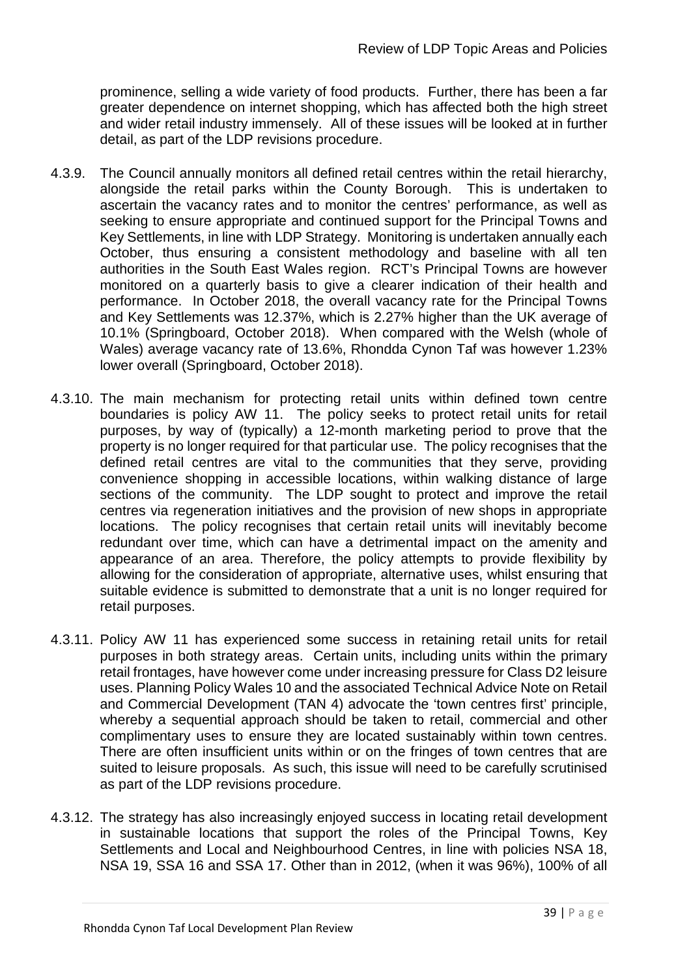prominence, selling a wide variety of food products. Further, there has been a far greater dependence on internet shopping, which has affected both the high street and wider retail industry immensely. All of these issues will be looked at in further detail, as part of the LDP revisions procedure.

- 4.3.9. The Council annually monitors all defined retail centres within the retail hierarchy, alongside the retail parks within the County Borough. This is undertaken to ascertain the vacancy rates and to monitor the centres' performance, as well as seeking to ensure appropriate and continued support for the Principal Towns and Key Settlements, in line with LDP Strategy. Monitoring is undertaken annually each October, thus ensuring a consistent methodology and baseline with all ten authorities in the South East Wales region. RCT's Principal Towns are however monitored on a quarterly basis to give a clearer indication of their health and performance. In October 2018, the overall vacancy rate for the Principal Towns and Key Settlements was 12.37%, which is 2.27% higher than the UK average of 10.1% (Springboard, October 2018). When compared with the Welsh (whole of Wales) average vacancy rate of 13.6%, Rhondda Cynon Taf was however 1.23% lower overall (Springboard, October 2018).
- 4.3.10. The main mechanism for protecting retail units within defined town centre boundaries is policy AW 11. The policy seeks to protect retail units for retail purposes, by way of (typically) a 12-month marketing period to prove that the property is no longer required for that particular use. The policy recognises that the defined retail centres are vital to the communities that they serve, providing convenience shopping in accessible locations, within walking distance of large sections of the community. The LDP sought to protect and improve the retail centres via regeneration initiatives and the provision of new shops in appropriate locations. The policy recognises that certain retail units will inevitably become redundant over time, which can have a detrimental impact on the amenity and appearance of an area. Therefore, the policy attempts to provide flexibility by allowing for the consideration of appropriate, alternative uses, whilst ensuring that suitable evidence is submitted to demonstrate that a unit is no longer required for retail purposes.
- 4.3.11. Policy AW 11 has experienced some success in retaining retail units for retail purposes in both strategy areas. Certain units, including units within the primary retail frontages, have however come under increasing pressure for Class D2 leisure uses. Planning Policy Wales 10 and the associated Technical Advice Note on Retail and Commercial Development (TAN 4) advocate the 'town centres first' principle, whereby a sequential approach should be taken to retail, commercial and other complimentary uses to ensure they are located sustainably within town centres. There are often insufficient units within or on the fringes of town centres that are suited to leisure proposals. As such, this issue will need to be carefully scrutinised as part of the LDP revisions procedure.
- 4.3.12. The strategy has also increasingly enjoyed success in locating retail development in sustainable locations that support the roles of the Principal Towns, Key Settlements and Local and Neighbourhood Centres, in line with policies NSA 18, NSA 19, SSA 16 and SSA 17. Other than in 2012, (when it was 96%), 100% of all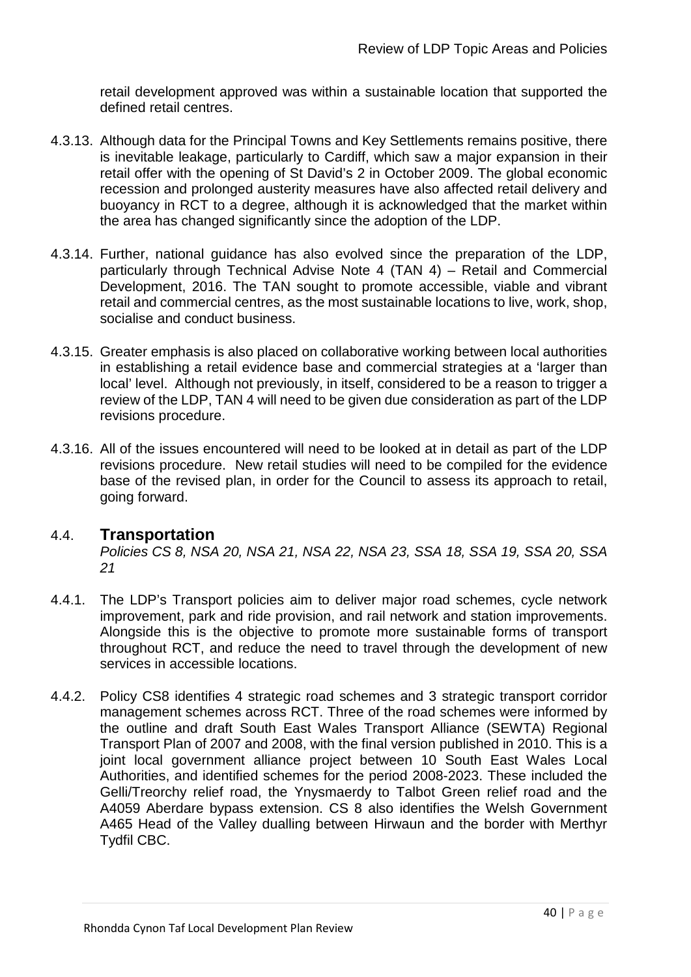retail development approved was within a sustainable location that supported the defined retail centres.

- 4.3.13. Although data for the Principal Towns and Key Settlements remains positive, there is inevitable leakage, particularly to Cardiff, which saw a major expansion in their retail offer with the opening of St David's 2 in October 2009. The global economic recession and prolonged austerity measures have also affected retail delivery and buoyancy in RCT to a degree, although it is acknowledged that the market within the area has changed significantly since the adoption of the LDP.
- 4.3.14. Further, national guidance has also evolved since the preparation of the LDP, particularly through Technical Advise Note 4 (TAN 4) – Retail and Commercial Development, 2016. The TAN sought to promote accessible, viable and vibrant retail and commercial centres, as the most sustainable locations to live, work, shop, socialise and conduct business.
- 4.3.15. Greater emphasis is also placed on collaborative working between local authorities in establishing a retail evidence base and commercial strategies at a 'larger than local' level. Although not previously, in itself, considered to be a reason to trigger a review of the LDP, TAN 4 will need to be given due consideration as part of the LDP revisions procedure.
- 4.3.16. All of the issues encountered will need to be looked at in detail as part of the LDP revisions procedure. New retail studies will need to be compiled for the evidence base of the revised plan, in order for the Council to assess its approach to retail, going forward.

## 4.4. **Transportation**

*Policies CS 8, NSA 20, NSA 21, NSA 22, NSA 23, SSA 18, SSA 19, SSA 20, SSA 21*

- 4.4.1. The LDP's Transport policies aim to deliver major road schemes, cycle network improvement, park and ride provision, and rail network and station improvements. Alongside this is the objective to promote more sustainable forms of transport throughout RCT, and reduce the need to travel through the development of new services in accessible locations.
- 4.4.2. Policy CS8 identifies 4 strategic road schemes and 3 strategic transport corridor management schemes across RCT. Three of the road schemes were informed by the outline and draft South East Wales Transport Alliance (SEWTA) Regional Transport Plan of 2007 and 2008, with the final version published in 2010. This is a joint local government alliance project between 10 South East Wales Local Authorities, and identified schemes for the period 2008-2023. These included the Gelli/Treorchy relief road, the Ynysmaerdy to Talbot Green relief road and the A4059 Aberdare bypass extension. CS 8 also identifies the Welsh Government A465 Head of the Valley dualling between Hirwaun and the border with Merthyr Tydfil CBC.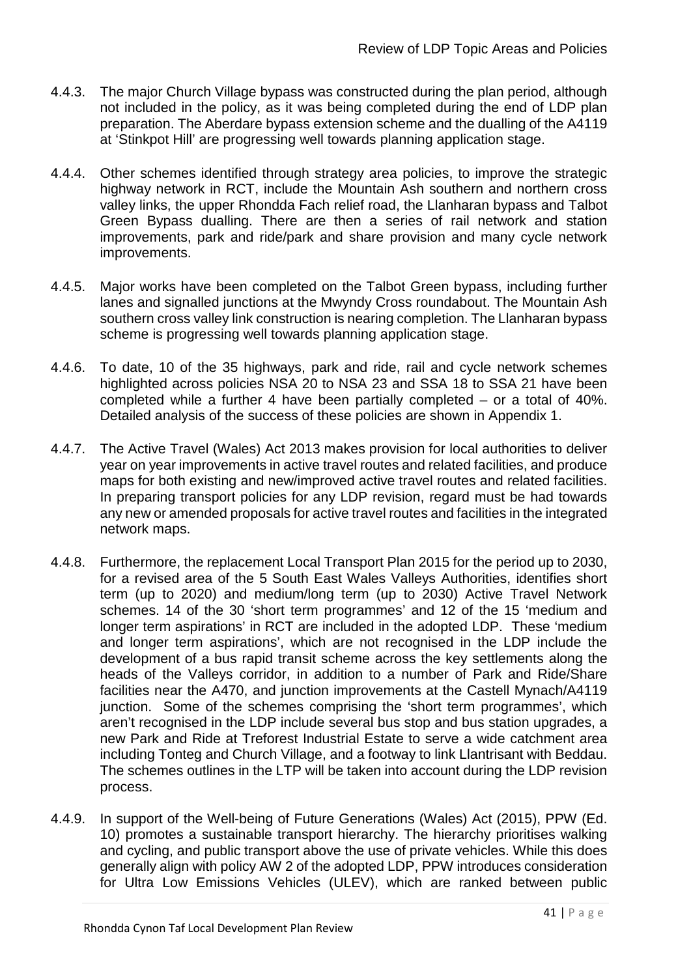- 4.4.3. The major Church Village bypass was constructed during the plan period, although not included in the policy, as it was being completed during the end of LDP plan preparation. The Aberdare bypass extension scheme and the dualling of the A4119 at 'Stinkpot Hill' are progressing well towards planning application stage.
- 4.4.4. Other schemes identified through strategy area policies, to improve the strategic highway network in RCT, include the Mountain Ash southern and northern cross valley links, the upper Rhondda Fach relief road, the Llanharan bypass and Talbot Green Bypass dualling. There are then a series of rail network and station improvements, park and ride/park and share provision and many cycle network improvements.
- 4.4.5. Major works have been completed on the Talbot Green bypass, including further lanes and signalled junctions at the Mwyndy Cross roundabout. The Mountain Ash southern cross valley link construction is nearing completion. The Llanharan bypass scheme is progressing well towards planning application stage.
- 4.4.6. To date, 10 of the 35 highways, park and ride, rail and cycle network schemes highlighted across policies NSA 20 to NSA 23 and SSA 18 to SSA 21 have been completed while a further 4 have been partially completed – or a total of 40%. Detailed analysis of the success of these policies are shown in Appendix 1.
- 4.4.7. The Active Travel (Wales) Act 2013 makes provision for local authorities to deliver year on year improvements in active travel routes and related facilities, and produce maps for both existing and new/improved active travel routes and related facilities. In preparing transport policies for any LDP revision, regard must be had towards any new or amended proposals for active travel routes and facilities in the integrated network maps.
- 4.4.8. Furthermore, the replacement Local Transport Plan 2015 for the period up to 2030, for a revised area of the 5 South East Wales Valleys Authorities, identifies short term (up to 2020) and medium/long term (up to 2030) Active Travel Network schemes. 14 of the 30 'short term programmes' and 12 of the 15 'medium and longer term aspirations' in RCT are included in the adopted LDP. These 'medium and longer term aspirations', which are not recognised in the LDP include the development of a bus rapid transit scheme across the key settlements along the heads of the Valleys corridor, in addition to a number of Park and Ride/Share facilities near the A470, and junction improvements at the Castell Mynach/A4119 junction. Some of the schemes comprising the 'short term programmes', which aren't recognised in the LDP include several bus stop and bus station upgrades, a new Park and Ride at Treforest Industrial Estate to serve a wide catchment area including Tonteg and Church Village, and a footway to link Llantrisant with Beddau. The schemes outlines in the LTP will be taken into account during the LDP revision process.
- 4.4.9. In support of the Well-being of Future Generations (Wales) Act (2015), PPW (Ed. 10) promotes a sustainable transport hierarchy. The hierarchy prioritises walking and cycling, and public transport above the use of private vehicles. While this does generally align with policy AW 2 of the adopted LDP, PPW introduces consideration for Ultra Low Emissions Vehicles (ULEV), which are ranked between public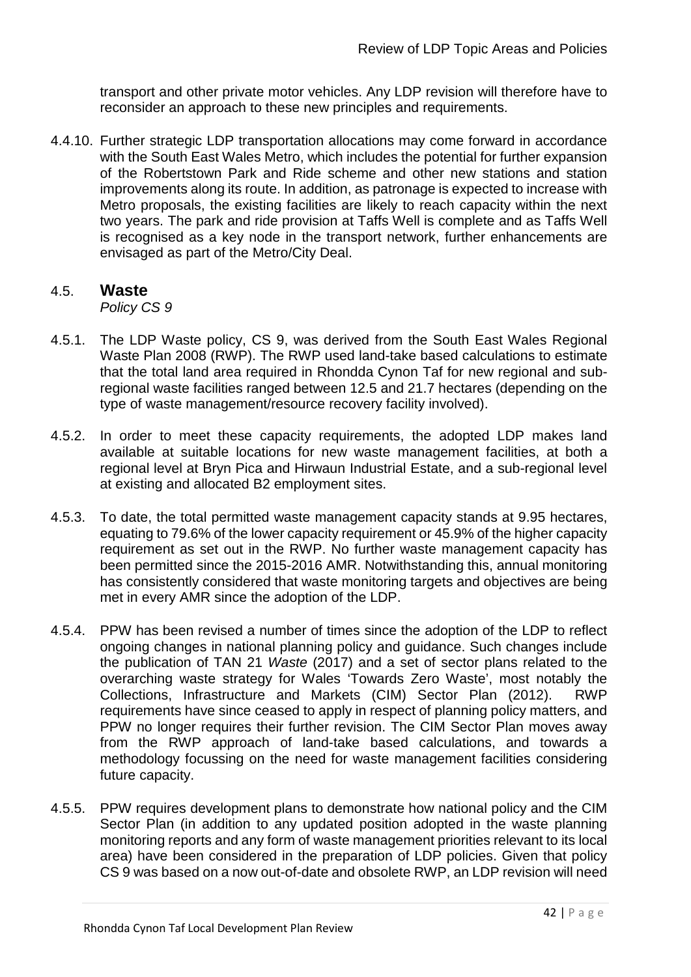transport and other private motor vehicles. Any LDP revision will therefore have to reconsider an approach to these new principles and requirements.

4.4.10. Further strategic LDP transportation allocations may come forward in accordance with the South East Wales Metro, which includes the potential for further expansion of the Robertstown Park and Ride scheme and other new stations and station improvements along its route. In addition, as patronage is expected to increase with Metro proposals, the existing facilities are likely to reach capacity within the next two years. The park and ride provision at Taffs Well is complete and as Taffs Well is recognised as a key node in the transport network, further enhancements are envisaged as part of the Metro/City Deal.

## 4.5. **Waste**

*Policy CS 9*

- 4.5.1. The LDP Waste policy, CS 9, was derived from the South East Wales Regional Waste Plan 2008 (RWP). The RWP used land-take based calculations to estimate that the total land area required in Rhondda Cynon Taf for new regional and subregional waste facilities ranged between 12.5 and 21.7 hectares (depending on the type of waste management/resource recovery facility involved).
- 4.5.2. In order to meet these capacity requirements, the adopted LDP makes land available at suitable locations for new waste management facilities, at both a regional level at Bryn Pica and Hirwaun Industrial Estate, and a sub-regional level at existing and allocated B2 employment sites.
- 4.5.3. To date, the total permitted waste management capacity stands at 9.95 hectares, equating to 79.6% of the lower capacity requirement or 45.9% of the higher capacity requirement as set out in the RWP. No further waste management capacity has been permitted since the 2015-2016 AMR. Notwithstanding this, annual monitoring has consistently considered that waste monitoring targets and objectives are being met in every AMR since the adoption of the LDP.
- 4.5.4. PPW has been revised a number of times since the adoption of the LDP to reflect ongoing changes in national planning policy and guidance. Such changes include the publication of TAN 21 *Waste* (2017) and a set of sector plans related to the overarching waste strategy for Wales 'Towards Zero Waste', most notably the Collections, Infrastructure and Markets (CIM) Sector Plan (2012). RWP requirements have since ceased to apply in respect of planning policy matters, and PPW no longer requires their further revision. The CIM Sector Plan moves away from the RWP approach of land-take based calculations, and towards a methodology focussing on the need for waste management facilities considering future capacity.
- 4.5.5. PPW requires development plans to demonstrate how national policy and the CIM Sector Plan (in addition to any updated position adopted in the waste planning monitoring reports and any form of waste management priorities relevant to its local area) have been considered in the preparation of LDP policies. Given that policy CS 9 was based on a now out-of-date and obsolete RWP, an LDP revision will need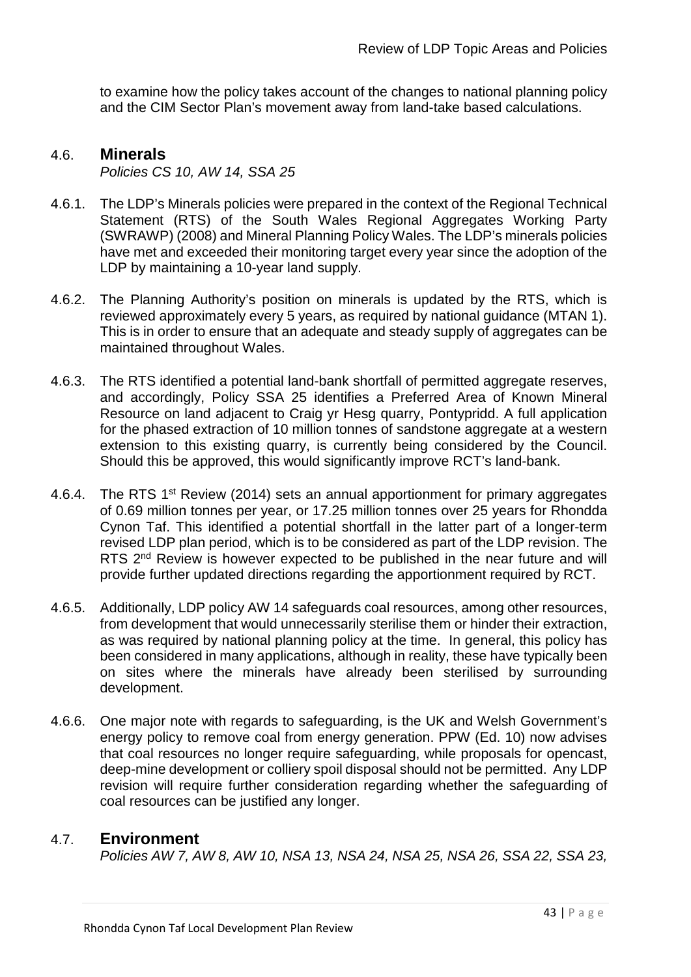to examine how the policy takes account of the changes to national planning policy and the CIM Sector Plan's movement away from land-take based calculations.

## 4.6. **Minerals**

*Policies CS 10, AW 14, SSA 25*

- 4.6.1. The LDP's Minerals policies were prepared in the context of the Regional Technical Statement (RTS) of the South Wales Regional Aggregates Working Party (SWRAWP) (2008) and Mineral Planning Policy Wales. The LDP's minerals policies have met and exceeded their monitoring target every year since the adoption of the LDP by maintaining a 10-year land supply.
- 4.6.2. The Planning Authority's position on minerals is updated by the RTS, which is reviewed approximately every 5 years, as required by national guidance (MTAN 1). This is in order to ensure that an adequate and steady supply of aggregates can be maintained throughout Wales.
- 4.6.3. The RTS identified a potential land-bank shortfall of permitted aggregate reserves, and accordingly, Policy SSA 25 identifies a Preferred Area of Known Mineral Resource on land adjacent to Craig yr Hesg quarry, Pontypridd. A full application for the phased extraction of 10 million tonnes of sandstone aggregate at a western extension to this existing quarry, is currently being considered by the Council. Should this be approved, this would significantly improve RCT's land-bank.
- 4.6.4. The RTS 1<sup>st</sup> Review (2014) sets an annual apportionment for primary aggregates of 0.69 million tonnes per year, or 17.25 million tonnes over 25 years for Rhondda Cynon Taf. This identified a potential shortfall in the latter part of a longer-term revised LDP plan period, which is to be considered as part of the LDP revision. The RTS 2<sup>nd</sup> Review is however expected to be published in the near future and will provide further updated directions regarding the apportionment required by RCT.
- 4.6.5. Additionally, LDP policy AW 14 safeguards coal resources, among other resources, from development that would unnecessarily sterilise them or hinder their extraction, as was required by national planning policy at the time. In general, this policy has been considered in many applications, although in reality, these have typically been on sites where the minerals have already been sterilised by surrounding development.
- 4.6.6. One major note with regards to safeguarding, is the UK and Welsh Government's energy policy to remove coal from energy generation. PPW (Ed. 10) now advises that coal resources no longer require safeguarding, while proposals for opencast, deep-mine development or colliery spoil disposal should not be permitted. Any LDP revision will require further consideration regarding whether the safeguarding of coal resources can be justified any longer.

## 4.7. **Environment**

*Policies AW 7, AW 8, AW 10, NSA 13, NSA 24, NSA 25, NSA 26, SSA 22, SSA 23,*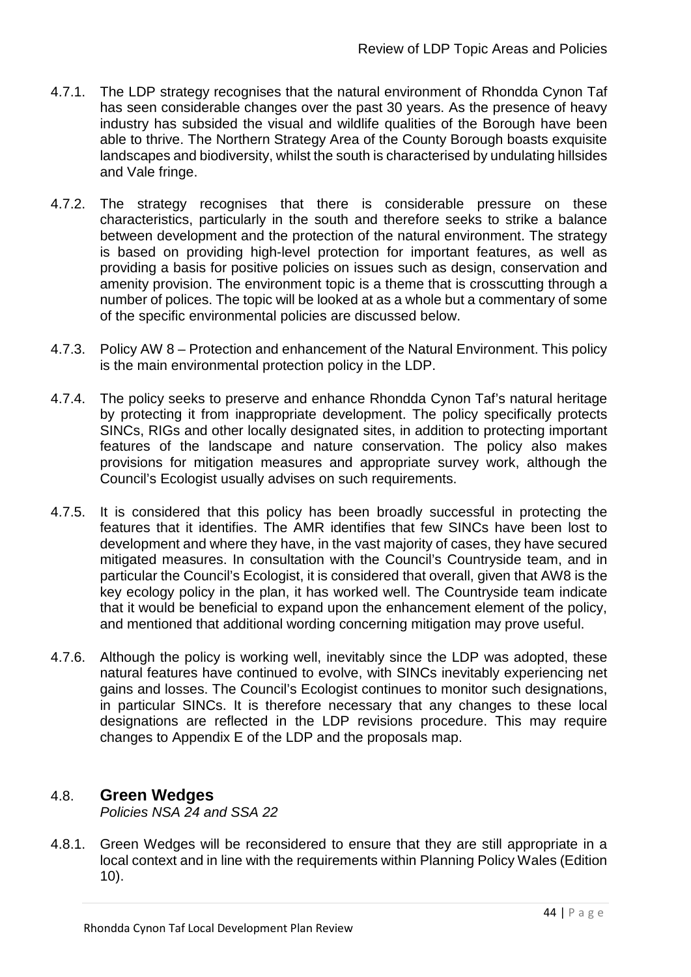- 4.7.1. The LDP strategy recognises that the natural environment of Rhondda Cynon Taf has seen considerable changes over the past 30 years. As the presence of heavy industry has subsided the visual and wildlife qualities of the Borough have been able to thrive. The Northern Strategy Area of the County Borough boasts exquisite landscapes and biodiversity, whilst the south is characterised by undulating hillsides and Vale fringe.
- 4.7.2. The strategy recognises that there is considerable pressure on these characteristics, particularly in the south and therefore seeks to strike a balance between development and the protection of the natural environment. The strategy is based on providing high-level protection for important features, as well as providing a basis for positive policies on issues such as design, conservation and amenity provision. The environment topic is a theme that is crosscutting through a number of polices. The topic will be looked at as a whole but a commentary of some of the specific environmental policies are discussed below.
- 4.7.3. Policy AW 8 Protection and enhancement of the Natural Environment. This policy is the main environmental protection policy in the LDP.
- 4.7.4. The policy seeks to preserve and enhance Rhondda Cynon Taf's natural heritage by protecting it from inappropriate development. The policy specifically protects SINCs, RIGs and other locally designated sites, in addition to protecting important features of the landscape and nature conservation. The policy also makes provisions for mitigation measures and appropriate survey work, although the Council's Ecologist usually advises on such requirements.
- 4.7.5. It is considered that this policy has been broadly successful in protecting the features that it identifies. The AMR identifies that few SINCs have been lost to development and where they have, in the vast majority of cases, they have secured mitigated measures. In consultation with the Council's Countryside team, and in particular the Council's Ecologist, it is considered that overall, given that AW8 is the key ecology policy in the plan, it has worked well. The Countryside team indicate that it would be beneficial to expand upon the enhancement element of the policy, and mentioned that additional wording concerning mitigation may prove useful.
- 4.7.6. Although the policy is working well, inevitably since the LDP was adopted, these natural features have continued to evolve, with SINCs inevitably experiencing net gains and losses. The Council's Ecologist continues to monitor such designations, in particular SINCs. It is therefore necessary that any changes to these local designations are reflected in the LDP revisions procedure. This may require changes to Appendix E of the LDP and the proposals map.

## 4.8. **Green Wedges**

*Policies NSA 24 and SSA 22*

4.8.1. Green Wedges will be reconsidered to ensure that they are still appropriate in a local context and in line with the requirements within Planning Policy Wales (Edition 10).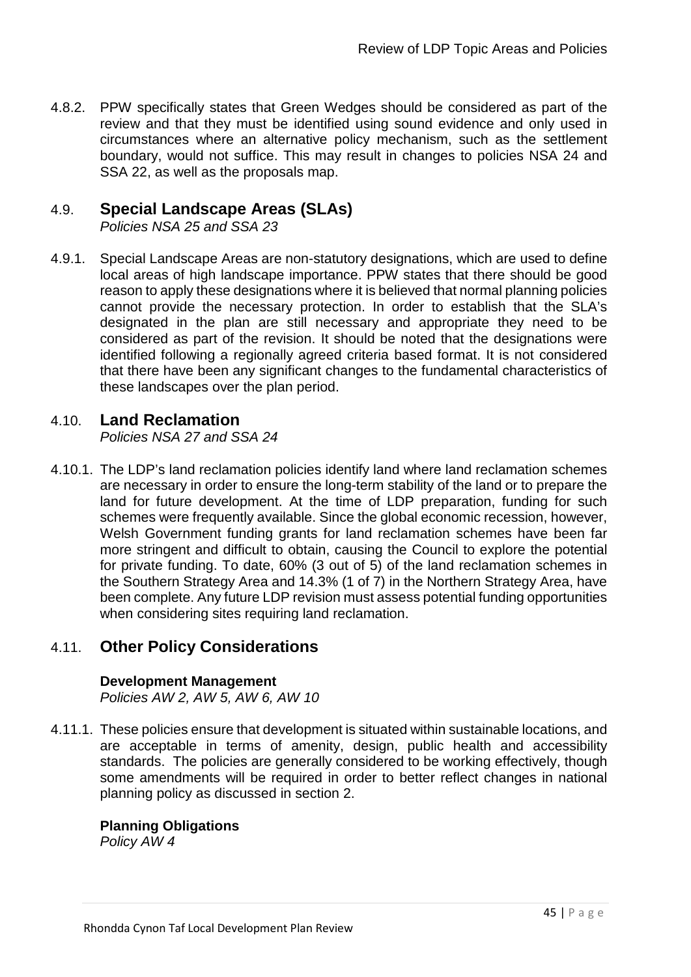4.8.2. PPW specifically states that Green Wedges should be considered as part of the review and that they must be identified using sound evidence and only used in circumstances where an alternative policy mechanism, such as the settlement boundary, would not suffice. This may result in changes to policies NSA 24 and SSA 22, as well as the proposals map.

## 4.9. **Special Landscape Areas (SLAs)**

*Policies NSA 25 and SSA 23*

4.9.1. Special Landscape Areas are non-statutory designations, which are used to define local areas of high landscape importance. PPW states that there should be good reason to apply these designations where it is believed that normal planning policies cannot provide the necessary protection. In order to establish that the SLA's designated in the plan are still necessary and appropriate they need to be considered as part of the revision. It should be noted that the designations were identified following a regionally agreed criteria based format. It is not considered that there have been any significant changes to the fundamental characteristics of these landscapes over the plan period.

## 4.10. **Land Reclamation**

*Policies NSA 27 and SSA 24* 

4.10.1. The LDP's land reclamation policies identify land where land reclamation schemes are necessary in order to ensure the long-term stability of the land or to prepare the land for future development. At the time of LDP preparation, funding for such schemes were frequently available. Since the global economic recession, however, Welsh Government funding grants for land reclamation schemes have been far more stringent and difficult to obtain, causing the Council to explore the potential for private funding. To date, 60% (3 out of 5) of the land reclamation schemes in the Southern Strategy Area and 14.3% (1 of 7) in the Northern Strategy Area, have been complete. Any future LDP revision must assess potential funding opportunities when considering sites requiring land reclamation.

## 4.11. **Other Policy Considerations**

### **Development Management**

*Policies AW 2, AW 5, AW 6, AW 10*

4.11.1. These policies ensure that development is situated within sustainable locations, and are acceptable in terms of amenity, design, public health and accessibility standards. The policies are generally considered to be working effectively, though some amendments will be required in order to better reflect changes in national planning policy as discussed in section 2.

## **Planning Obligations**

*Policy AW 4*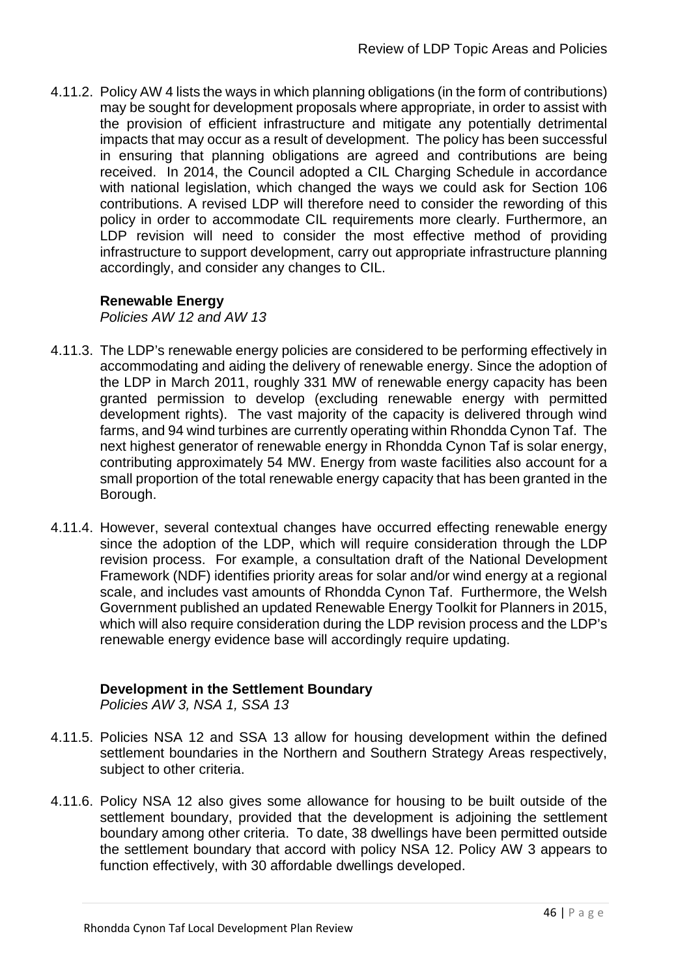4.11.2. Policy AW 4 lists the ways in which planning obligations (in the form of contributions) may be sought for development proposals where appropriate, in order to assist with the provision of efficient infrastructure and mitigate any potentially detrimental impacts that may occur as a result of development. The policy has been successful in ensuring that planning obligations are agreed and contributions are being received. In 2014, the Council adopted a CIL Charging Schedule in accordance with national legislation, which changed the ways we could ask for Section 106 contributions. A revised LDP will therefore need to consider the rewording of this policy in order to accommodate CIL requirements more clearly. Furthermore, an LDP revision will need to consider the most effective method of providing infrastructure to support development, carry out appropriate infrastructure planning accordingly, and consider any changes to CIL.

## **Renewable Energy**

*Policies AW 12 and AW 13*

- 4.11.3. The LDP's renewable energy policies are considered to be performing effectively in accommodating and aiding the delivery of renewable energy. Since the adoption of the LDP in March 2011, roughly 331 MW of renewable energy capacity has been granted permission to develop (excluding renewable energy with permitted development rights). The vast majority of the capacity is delivered through wind farms, and 94 wind turbines are currently operating within Rhondda Cynon Taf. The next highest generator of renewable energy in Rhondda Cynon Taf is solar energy, contributing approximately 54 MW. Energy from waste facilities also account for a small proportion of the total renewable energy capacity that has been granted in the Borough.
- 4.11.4. However, several contextual changes have occurred effecting renewable energy since the adoption of the LDP, which will require consideration through the LDP revision process. For example, a consultation draft of the National Development Framework (NDF) identifies priority areas for solar and/or wind energy at a regional scale, and includes vast amounts of Rhondda Cynon Taf. Furthermore, the Welsh Government published an updated Renewable Energy Toolkit for Planners in 2015, which will also require consideration during the LDP revision process and the LDP's renewable energy evidence base will accordingly require updating.

## **Development in the Settlement Boundary**

*Policies AW 3, NSA 1, SSA 13*

- 4.11.5. Policies NSA 12 and SSA 13 allow for housing development within the defined settlement boundaries in the Northern and Southern Strategy Areas respectively, subject to other criteria.
- 4.11.6. Policy NSA 12 also gives some allowance for housing to be built outside of the settlement boundary, provided that the development is adjoining the settlement boundary among other criteria. To date, 38 dwellings have been permitted outside the settlement boundary that accord with policy NSA 12. Policy AW 3 appears to function effectively, with 30 affordable dwellings developed.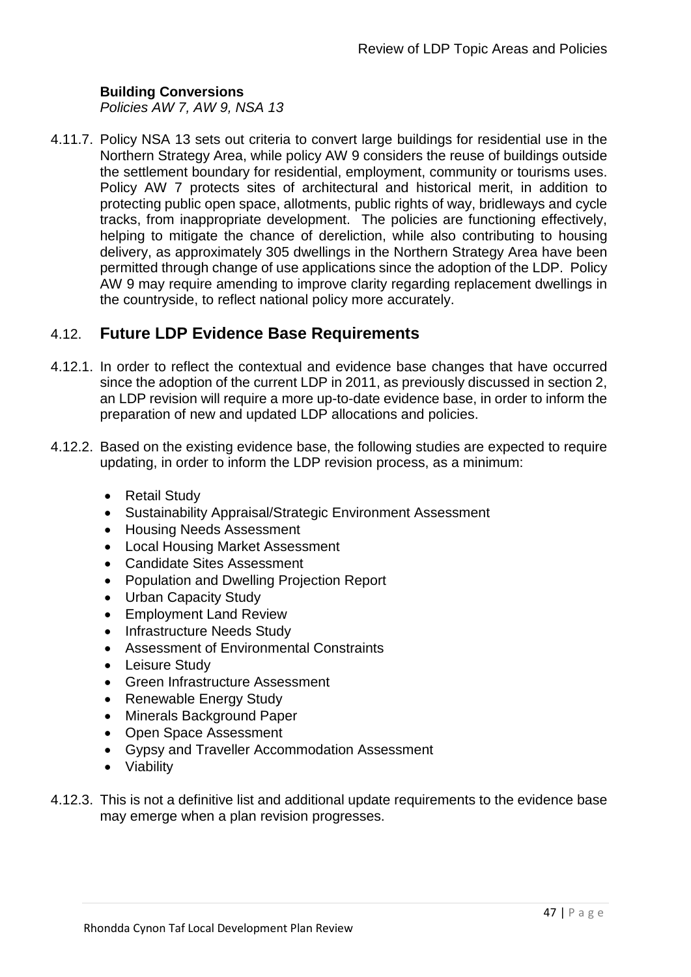### **Building Conversions**

*Policies AW 7, AW 9, NSA 13*

4.11.7. Policy NSA 13 sets out criteria to convert large buildings for residential use in the Northern Strategy Area, while policy AW 9 considers the reuse of buildings outside the settlement boundary for residential, employment, community or tourisms uses. Policy AW 7 protects sites of architectural and historical merit, in addition to protecting public open space, allotments, public rights of way, bridleways and cycle tracks, from inappropriate development. The policies are functioning effectively, helping to mitigate the chance of dereliction, while also contributing to housing delivery, as approximately 305 dwellings in the Northern Strategy Area have been permitted through change of use applications since the adoption of the LDP. Policy AW 9 may require amending to improve clarity regarding replacement dwellings in the countryside, to reflect national policy more accurately.

## 4.12. **Future LDP Evidence Base Requirements**

- 4.12.1. In order to reflect the contextual and evidence base changes that have occurred since the adoption of the current LDP in 2011, as previously discussed in section 2, an LDP revision will require a more up-to-date evidence base, in order to inform the preparation of new and updated LDP allocations and policies.
- 4.12.2. Based on the existing evidence base, the following studies are expected to require updating, in order to inform the LDP revision process, as a minimum:
	- Retail Study
	- Sustainability Appraisal/Strategic Environment Assessment
	- Housing Needs Assessment
	- Local Housing Market Assessment
	- Candidate Sites Assessment
	- Population and Dwelling Projection Report
	- Urban Capacity Study
	- Employment Land Review
	- Infrastructure Needs Study
	- Assessment of Environmental Constraints
	- Leisure Study
	- Green Infrastructure Assessment
	- Renewable Energy Study
	- Minerals Background Paper
	- Open Space Assessment
	- Gypsy and Traveller Accommodation Assessment
	- Viability
- 4.12.3. This is not a definitive list and additional update requirements to the evidence base may emerge when a plan revision progresses.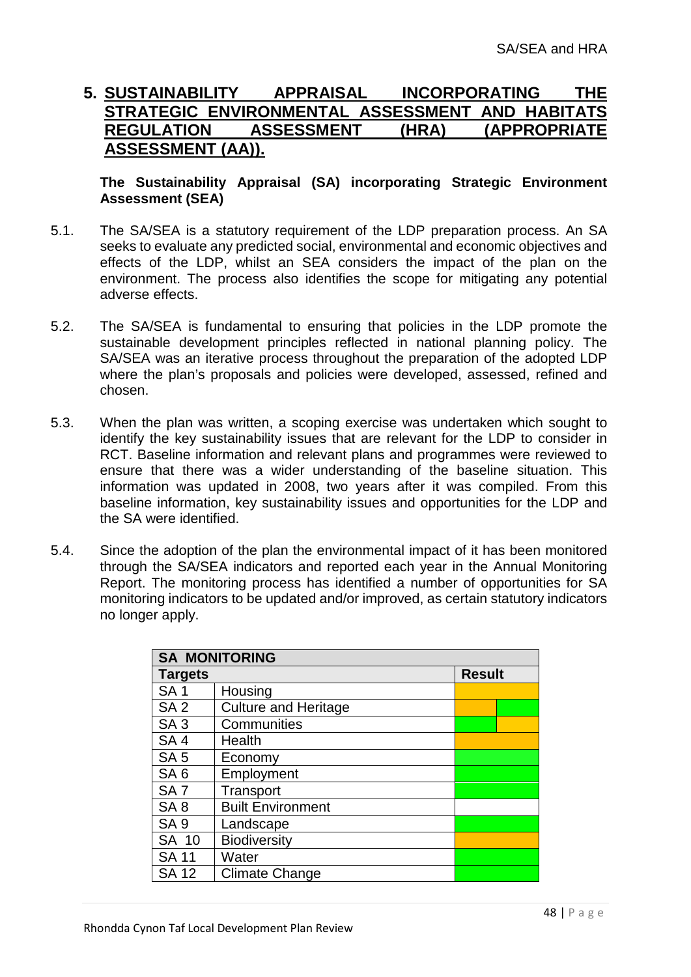## **5. SUSTAINABILITY APPRAISAL INCORPORATING THE STRATEGIC ENVIRONMENTAL ASSESSMENT AND HABITATS REGULATION ASSESSMENT (HRA) (APPROPRIATE ASSESSMENT (AA)).**

### **The Sustainability Appraisal (SA) incorporating Strategic Environment Assessment (SEA)**

- 5.1. The SA/SEA is a statutory requirement of the LDP preparation process. An SA seeks to evaluate any predicted social, environmental and economic objectives and effects of the LDP, whilst an SEA considers the impact of the plan on the environment. The process also identifies the scope for mitigating any potential adverse effects.
- 5.2. The SA/SEA is fundamental to ensuring that policies in the LDP promote the sustainable development principles reflected in national planning policy. The SA/SEA was an iterative process throughout the preparation of the adopted LDP where the plan's proposals and policies were developed, assessed, refined and chosen.
- 5.3. When the plan was written, a scoping exercise was undertaken which sought to identify the key sustainability issues that are relevant for the LDP to consider in RCT. Baseline information and relevant plans and programmes were reviewed to ensure that there was a wider understanding of the baseline situation. This information was updated in 2008, two years after it was compiled. From this baseline information, key sustainability issues and opportunities for the LDP and the SA were identified.
- 5.4. Since the adoption of the plan the environmental impact of it has been monitored through the SA/SEA indicators and reported each year in the Annual Monitoring Report. The monitoring process has identified a number of opportunities for SA monitoring indicators to be updated and/or improved, as certain statutory indicators no longer apply.

| <b>SA MONITORING</b> |                             |               |  |  |
|----------------------|-----------------------------|---------------|--|--|
| <b>Targets</b>       |                             | <b>Result</b> |  |  |
| <b>SA1</b>           | Housing                     |               |  |  |
| SA <sub>2</sub>      | <b>Culture and Heritage</b> |               |  |  |
| SA <sub>3</sub>      | Communities                 |               |  |  |
| SA <sub>4</sub>      | Health                      |               |  |  |
| SA <sub>5</sub>      | Economy                     |               |  |  |
| SA <sub>6</sub>      | Employment                  |               |  |  |
| SA <sub>7</sub>      | Transport                   |               |  |  |
| SA <sub>8</sub>      | <b>Built Environment</b>    |               |  |  |
| SA <sub>9</sub>      | Landscape                   |               |  |  |
| SA 10                | <b>Biodiversity</b>         |               |  |  |
| <b>SA 11</b>         | Water                       |               |  |  |
| <b>SA 12</b>         | <b>Climate Change</b>       |               |  |  |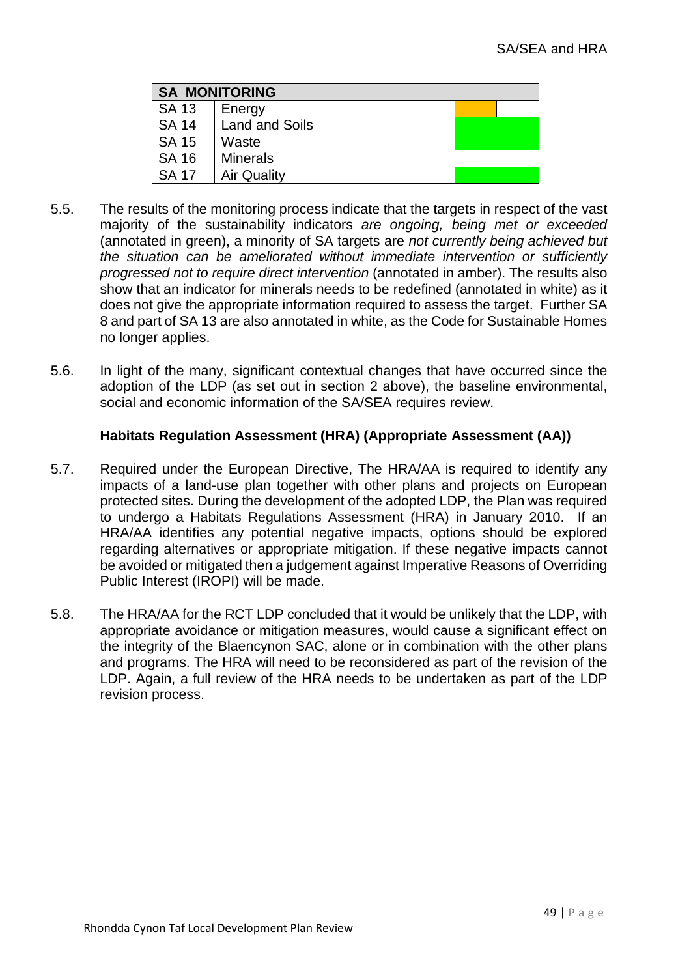| <b>SA MONITORING</b> |                       |  |  |  |
|----------------------|-----------------------|--|--|--|
| <b>SA 13</b>         | Energy                |  |  |  |
| <b>SA 14</b>         | <b>Land and Soils</b> |  |  |  |
| <b>SA 15</b>         | Waste                 |  |  |  |
| <b>SA 16</b>         | <b>Minerals</b>       |  |  |  |
| <b>SA 17</b>         | <b>Air Quality</b>    |  |  |  |

- 5.5. The results of the monitoring process indicate that the targets in respect of the vast majority of the sustainability indicators *are ongoing, being met or exceeded* (annotated in green), a minority of SA targets are *not currently being achieved but the situation can be ameliorated without immediate intervention or sufficiently progressed not to require direct intervention* (annotated in amber). The results also show that an indicator for minerals needs to be redefined (annotated in white) as it does not give the appropriate information required to assess the target. Further SA 8 and part of SA 13 are also annotated in white, as the Code for Sustainable Homes no longer applies.
- 5.6. In light of the many, significant contextual changes that have occurred since the adoption of the LDP (as set out in section 2 above), the baseline environmental, social and economic information of the SA/SEA requires review.

### **Habitats Regulation Assessment (HRA) (Appropriate Assessment (AA))**

- 5.7. Required under the European Directive, The HRA/AA is required to identify any impacts of a land-use plan together with other plans and projects on European protected sites. During the development of the adopted LDP, the Plan was required to undergo a Habitats Regulations Assessment (HRA) in January 2010. If an HRA/AA identifies any potential negative impacts, options should be explored regarding alternatives or appropriate mitigation. If these negative impacts cannot be avoided or mitigated then a judgement against Imperative Reasons of Overriding Public Interest (IROPI) will be made.
- 5.8. The HRA/AA for the RCT LDP concluded that it would be unlikely that the LDP, with appropriate avoidance or mitigation measures, would cause a significant effect on the integrity of the Blaencynon SAC, alone or in combination with the other plans and programs. The HRA will need to be reconsidered as part of the revision of the LDP. Again, a full review of the HRA needs to be undertaken as part of the LDP revision process.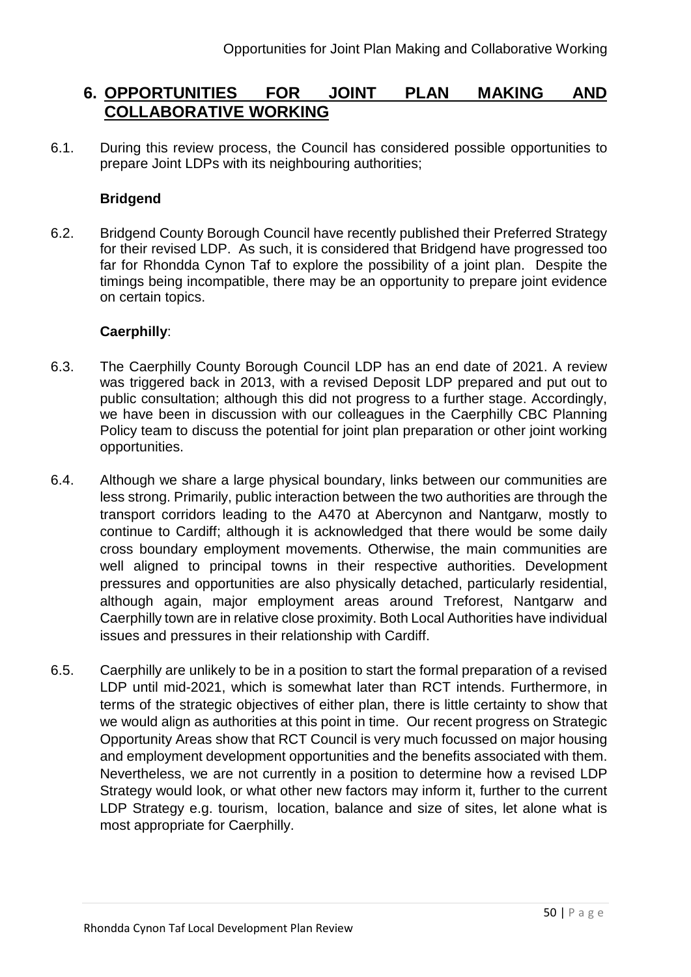## **6. OPPORTUNITIES FOR JOINT PLAN MAKING AND COLLABORATIVE WORKING**

6.1. During this review process, the Council has considered possible opportunities to prepare Joint LDPs with its neighbouring authorities;

### **Bridgend**

6.2. Bridgend County Borough Council have recently published their Preferred Strategy for their revised LDP. As such, it is considered that Bridgend have progressed too far for Rhondda Cynon Taf to explore the possibility of a joint plan. Despite the timings being incompatible, there may be an opportunity to prepare joint evidence on certain topics.

### **Caerphilly**:

- 6.3. The Caerphilly County Borough Council LDP has an end date of 2021. A review was triggered back in 2013, with a revised Deposit LDP prepared and put out to public consultation; although this did not progress to a further stage. Accordingly, we have been in discussion with our colleagues in the Caerphilly CBC Planning Policy team to discuss the potential for joint plan preparation or other joint working opportunities.
- 6.4. Although we share a large physical boundary, links between our communities are less strong. Primarily, public interaction between the two authorities are through the transport corridors leading to the A470 at Abercynon and Nantgarw, mostly to continue to Cardiff; although it is acknowledged that there would be some daily cross boundary employment movements. Otherwise, the main communities are well aligned to principal towns in their respective authorities. Development pressures and opportunities are also physically detached, particularly residential, although again, major employment areas around Treforest, Nantgarw and Caerphilly town are in relative close proximity. Both Local Authorities have individual issues and pressures in their relationship with Cardiff.
- 6.5. Caerphilly are unlikely to be in a position to start the formal preparation of a revised LDP until mid-2021, which is somewhat later than RCT intends. Furthermore, in terms of the strategic objectives of either plan, there is little certainty to show that we would align as authorities at this point in time. Our recent progress on Strategic Opportunity Areas show that RCT Council is very much focussed on major housing and employment development opportunities and the benefits associated with them. Nevertheless, we are not currently in a position to determine how a revised LDP Strategy would look, or what other new factors may inform it, further to the current LDP Strategy e.g. tourism, location, balance and size of sites, let alone what is most appropriate for Caerphilly.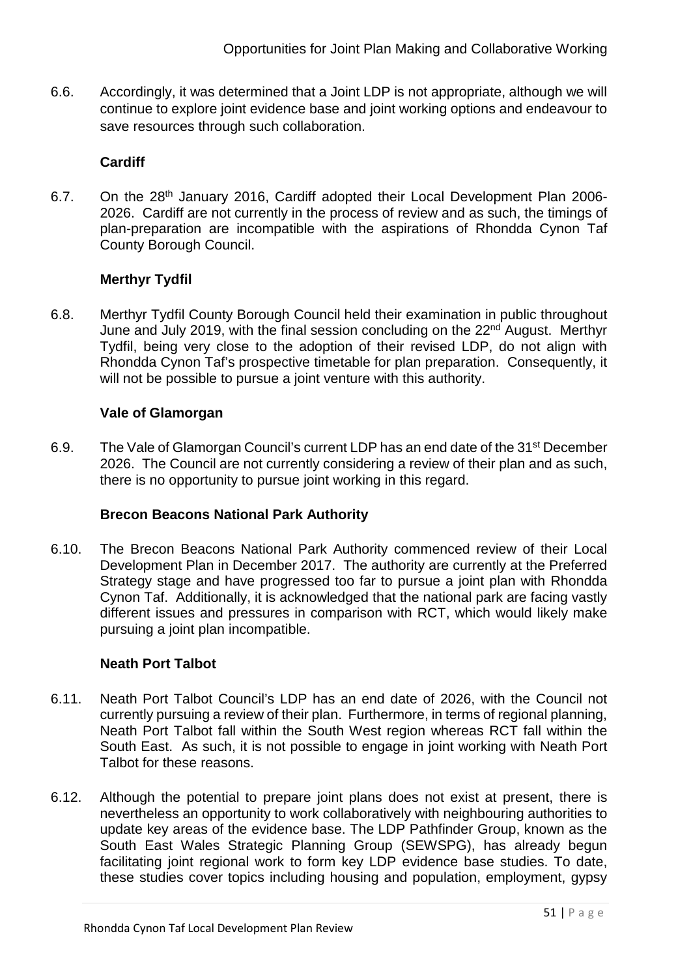6.6. Accordingly, it was determined that a Joint LDP is not appropriate, although we will continue to explore joint evidence base and joint working options and endeavour to save resources through such collaboration.

### **Cardiff**

6.7. On the 28th January 2016, Cardiff adopted their Local Development Plan 2006- 2026. Cardiff are not currently in the process of review and as such, the timings of plan-preparation are incompatible with the aspirations of Rhondda Cynon Taf County Borough Council.

## **Merthyr Tydfil**

6.8. Merthyr Tydfil County Borough Council held their examination in public throughout June and July 2019, with the final session concluding on the 22<sup>nd</sup> August. Merthyr Tydfil, being very close to the adoption of their revised LDP, do not align with Rhondda Cynon Taf's prospective timetable for plan preparation. Consequently, it will not be possible to pursue a joint venture with this authority.

### **Vale of Glamorgan**

6.9. The Vale of Glamorgan Council's current LDP has an end date of the 31<sup>st</sup> December 2026. The Council are not currently considering a review of their plan and as such, there is no opportunity to pursue joint working in this regard.

### **Brecon Beacons National Park Authority**

6.10. The Brecon Beacons National Park Authority commenced review of their Local Development Plan in December 2017. The authority are currently at the Preferred Strategy stage and have progressed too far to pursue a joint plan with Rhondda Cynon Taf. Additionally, it is acknowledged that the national park are facing vastly different issues and pressures in comparison with RCT, which would likely make pursuing a joint plan incompatible.

### **Neath Port Talbot**

- 6.11. Neath Port Talbot Council's LDP has an end date of 2026, with the Council not currently pursuing a review of their plan. Furthermore, in terms of regional planning, Neath Port Talbot fall within the South West region whereas RCT fall within the South East. As such, it is not possible to engage in joint working with Neath Port Talbot for these reasons.
- 6.12. Although the potential to prepare joint plans does not exist at present, there is nevertheless an opportunity to work collaboratively with neighbouring authorities to update key areas of the evidence base. The LDP Pathfinder Group, known as the South East Wales Strategic Planning Group (SEWSPG), has already begun facilitating joint regional work to form key LDP evidence base studies. To date, these studies cover topics including housing and population, employment, gypsy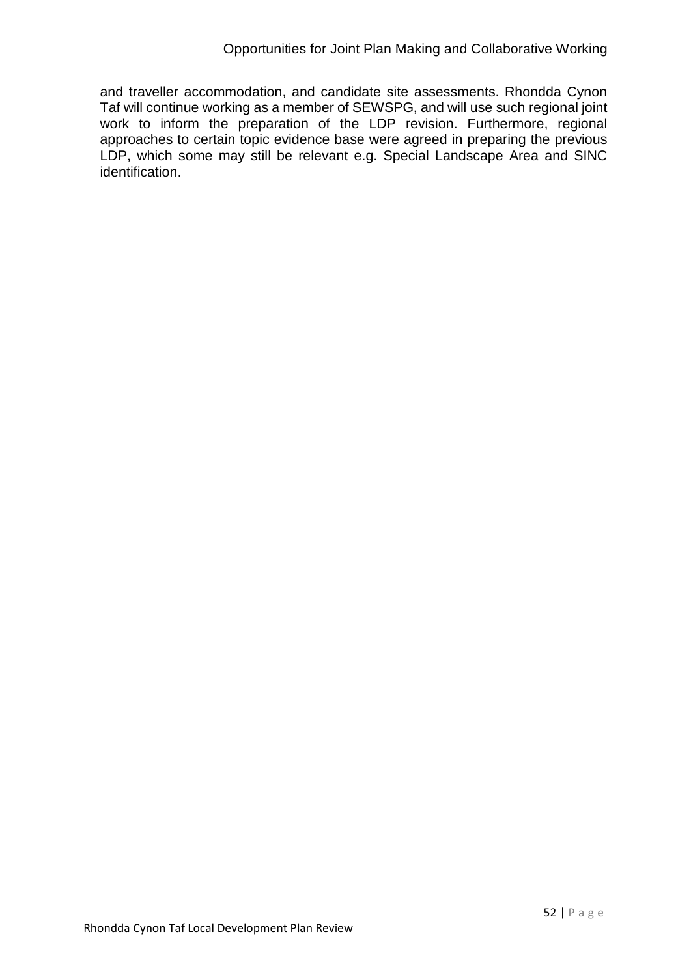and traveller accommodation, and candidate site assessments. Rhondda Cynon Taf will continue working as a member of SEWSPG, and will use such regional joint work to inform the preparation of the LDP revision. Furthermore, regional approaches to certain topic evidence base were agreed in preparing the previous LDP, which some may still be relevant e.g. Special Landscape Area and SINC identification.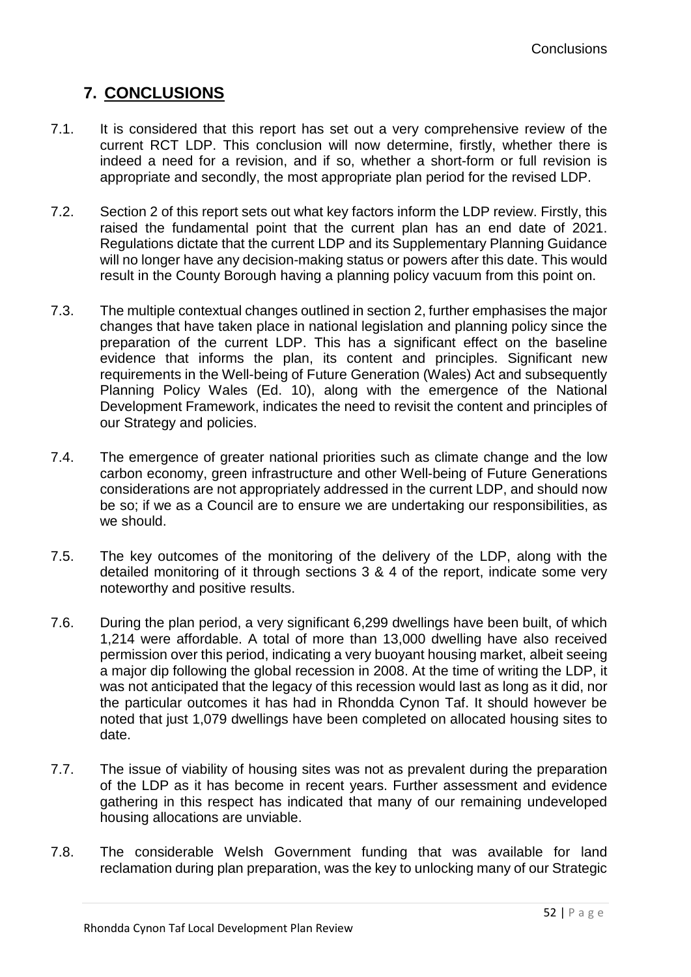# **7. CONCLUSIONS**

- 7.1. It is considered that this report has set out a very comprehensive review of the current RCT LDP. This conclusion will now determine, firstly, whether there is indeed a need for a revision, and if so, whether a short-form or full revision is appropriate and secondly, the most appropriate plan period for the revised LDP.
- 7.2. Section 2 of this report sets out what key factors inform the LDP review. Firstly, this raised the fundamental point that the current plan has an end date of 2021. Regulations dictate that the current LDP and its Supplementary Planning Guidance will no longer have any decision-making status or powers after this date. This would result in the County Borough having a planning policy vacuum from this point on.
- 7.3. The multiple contextual changes outlined in section 2, further emphasises the major changes that have taken place in national legislation and planning policy since the preparation of the current LDP. This has a significant effect on the baseline evidence that informs the plan, its content and principles. Significant new requirements in the Well-being of Future Generation (Wales) Act and subsequently Planning Policy Wales (Ed. 10), along with the emergence of the National Development Framework, indicates the need to revisit the content and principles of our Strategy and policies.
- 7.4. The emergence of greater national priorities such as climate change and the low carbon economy, green infrastructure and other Well-being of Future Generations considerations are not appropriately addressed in the current LDP, and should now be so; if we as a Council are to ensure we are undertaking our responsibilities, as we should.
- 7.5. The key outcomes of the monitoring of the delivery of the LDP, along with the detailed monitoring of it through sections 3 & 4 of the report, indicate some very noteworthy and positive results.
- 7.6. During the plan period, a very significant 6,299 dwellings have been built, of which 1,214 were affordable. A total of more than 13,000 dwelling have also received permission over this period, indicating a very buoyant housing market, albeit seeing a major dip following the global recession in 2008. At the time of writing the LDP, it was not anticipated that the legacy of this recession would last as long as it did, nor the particular outcomes it has had in Rhondda Cynon Taf. It should however be noted that just 1,079 dwellings have been completed on allocated housing sites to date.
- 7.7. The issue of viability of housing sites was not as prevalent during the preparation of the LDP as it has become in recent years. Further assessment and evidence gathering in this respect has indicated that many of our remaining undeveloped housing allocations are unviable.
- 7.8. The considerable Welsh Government funding that was available for land reclamation during plan preparation, was the key to unlocking many of our Strategic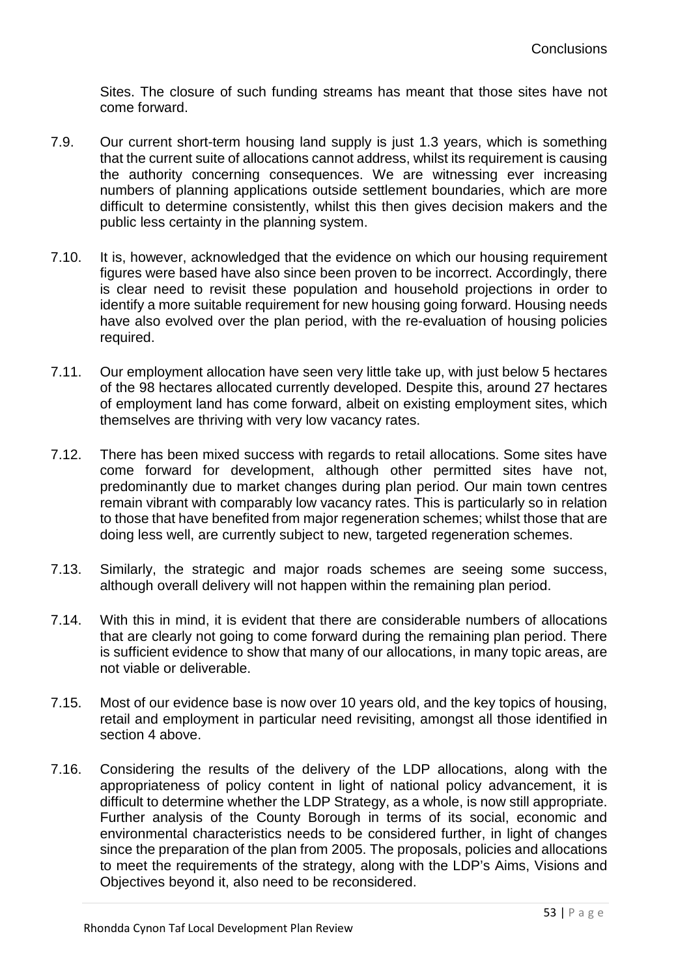Sites. The closure of such funding streams has meant that those sites have not come forward.

- 7.9. Our current short-term housing land supply is just 1.3 years, which is something that the current suite of allocations cannot address, whilst its requirement is causing the authority concerning consequences. We are witnessing ever increasing numbers of planning applications outside settlement boundaries, which are more difficult to determine consistently, whilst this then gives decision makers and the public less certainty in the planning system.
- 7.10. It is, however, acknowledged that the evidence on which our housing requirement figures were based have also since been proven to be incorrect. Accordingly, there is clear need to revisit these population and household projections in order to identify a more suitable requirement for new housing going forward. Housing needs have also evolved over the plan period, with the re-evaluation of housing policies required.
- 7.11. Our employment allocation have seen very little take up, with just below 5 hectares of the 98 hectares allocated currently developed. Despite this, around 27 hectares of employment land has come forward, albeit on existing employment sites, which themselves are thriving with very low vacancy rates.
- 7.12. There has been mixed success with regards to retail allocations. Some sites have come forward for development, although other permitted sites have not, predominantly due to market changes during plan period. Our main town centres remain vibrant with comparably low vacancy rates. This is particularly so in relation to those that have benefited from major regeneration schemes; whilst those that are doing less well, are currently subject to new, targeted regeneration schemes.
- 7.13. Similarly, the strategic and major roads schemes are seeing some success, although overall delivery will not happen within the remaining plan period.
- 7.14. With this in mind, it is evident that there are considerable numbers of allocations that are clearly not going to come forward during the remaining plan period. There is sufficient evidence to show that many of our allocations, in many topic areas, are not viable or deliverable.
- 7.15. Most of our evidence base is now over 10 years old, and the key topics of housing, retail and employment in particular need revisiting, amongst all those identified in section 4 above.
- 7.16. Considering the results of the delivery of the LDP allocations, along with the appropriateness of policy content in light of national policy advancement, it is difficult to determine whether the LDP Strategy, as a whole, is now still appropriate. Further analysis of the County Borough in terms of its social, economic and environmental characteristics needs to be considered further, in light of changes since the preparation of the plan from 2005. The proposals, policies and allocations to meet the requirements of the strategy, along with the LDP's Aims, Visions and Objectives beyond it, also need to be reconsidered.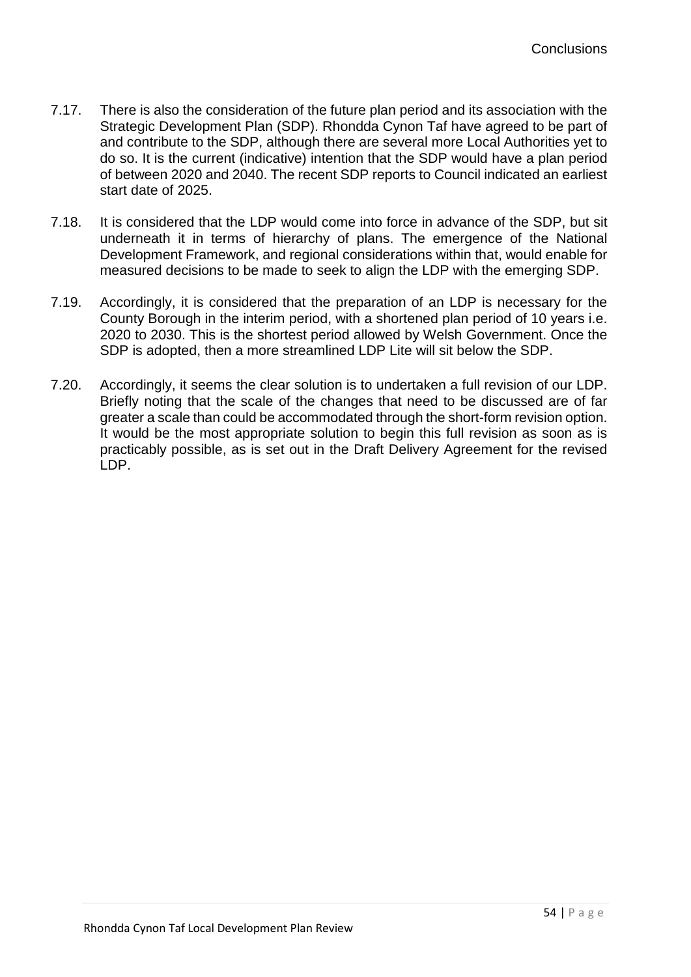- 7.17. There is also the consideration of the future plan period and its association with the Strategic Development Plan (SDP). Rhondda Cynon Taf have agreed to be part of and contribute to the SDP, although there are several more Local Authorities yet to do so. It is the current (indicative) intention that the SDP would have a plan period of between 2020 and 2040. The recent SDP reports to Council indicated an earliest start date of 2025.
- 7.18. It is considered that the LDP would come into force in advance of the SDP, but sit underneath it in terms of hierarchy of plans. The emergence of the National Development Framework, and regional considerations within that, would enable for measured decisions to be made to seek to align the LDP with the emerging SDP.
- 7.19. Accordingly, it is considered that the preparation of an LDP is necessary for the County Borough in the interim period, with a shortened plan period of 10 years i.e. 2020 to 2030. This is the shortest period allowed by Welsh Government. Once the SDP is adopted, then a more streamlined LDP Lite will sit below the SDP.
- 7.20. Accordingly, it seems the clear solution is to undertaken a full revision of our LDP. Briefly noting that the scale of the changes that need to be discussed are of far greater a scale than could be accommodated through the short-form revision option. It would be the most appropriate solution to begin this full revision as soon as is practicably possible, as is set out in the Draft Delivery Agreement for the revised LDP.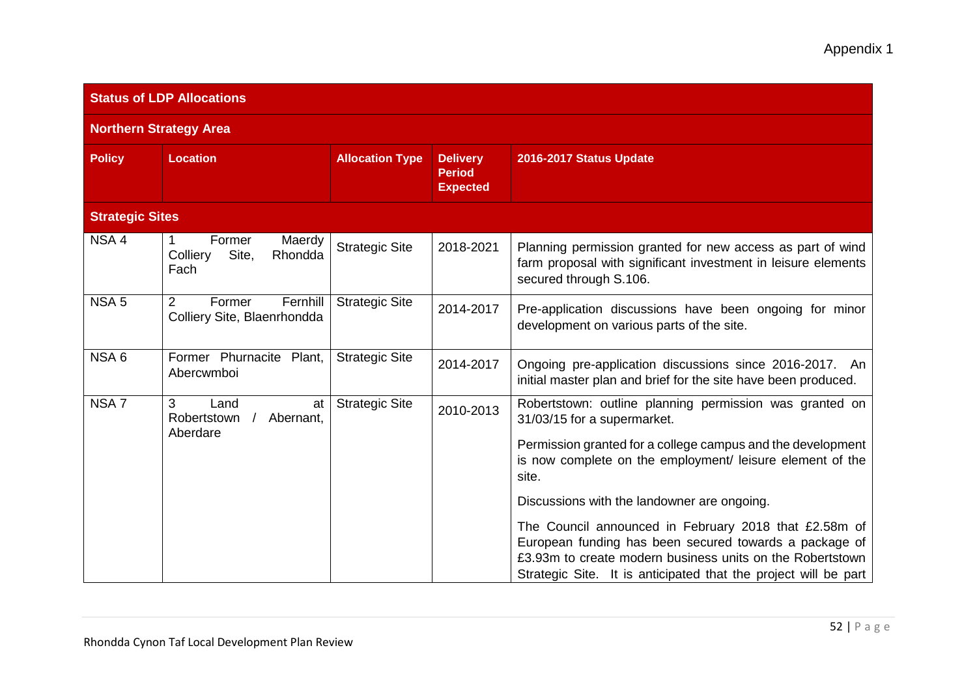| <b>Status of LDP Allocations</b> |                                                                     |                        |                                                     |                                                                                                                                                                                                                                                 |  |
|----------------------------------|---------------------------------------------------------------------|------------------------|-----------------------------------------------------|-------------------------------------------------------------------------------------------------------------------------------------------------------------------------------------------------------------------------------------------------|--|
| <b>Northern Strategy Area</b>    |                                                                     |                        |                                                     |                                                                                                                                                                                                                                                 |  |
| <b>Policy</b>                    | Location                                                            | <b>Allocation Type</b> | <b>Delivery</b><br><b>Period</b><br><b>Expected</b> | 2016-2017 Status Update                                                                                                                                                                                                                         |  |
| <b>Strategic Sites</b>           |                                                                     |                        |                                                     |                                                                                                                                                                                                                                                 |  |
| NSA <sub>4</sub>                 | Former<br>Maerdy<br>1<br>Colliery<br>Site,<br>Rhondda<br>Fach       | <b>Strategic Site</b>  | 2018-2021                                           | Planning permission granted for new access as part of wind<br>farm proposal with significant investment in leisure elements<br>secured through S.106.                                                                                           |  |
| NSA <sub>5</sub>                 | $\overline{2}$<br>Fernhill<br>Former<br>Colliery Site, Blaenrhondda | <b>Strategic Site</b>  | 2014-2017                                           | Pre-application discussions have been ongoing for minor<br>development on various parts of the site.                                                                                                                                            |  |
| NSA6                             | Former Phurnacite Plant,<br>Abercwmboi                              | <b>Strategic Site</b>  | 2014-2017                                           | Ongoing pre-application discussions since 2016-2017. An<br>initial master plan and brief for the site have been produced.                                                                                                                       |  |
| NSA <sub>7</sub>                 | 3<br>Land<br>at<br>Robertstown<br>Abernant,<br>Aberdare             | <b>Strategic Site</b>  | 2010-2013                                           | Robertstown: outline planning permission was granted on<br>31/03/15 for a supermarket.                                                                                                                                                          |  |
|                                  |                                                                     |                        |                                                     | Permission granted for a college campus and the development<br>is now complete on the employment/ leisure element of the<br>site.                                                                                                               |  |
|                                  |                                                                     |                        |                                                     | Discussions with the landowner are ongoing.                                                                                                                                                                                                     |  |
|                                  |                                                                     |                        |                                                     | The Council announced in February 2018 that £2.58m of<br>European funding has been secured towards a package of<br>£3.93m to create modern business units on the Robertstown<br>Strategic Site. It is anticipated that the project will be part |  |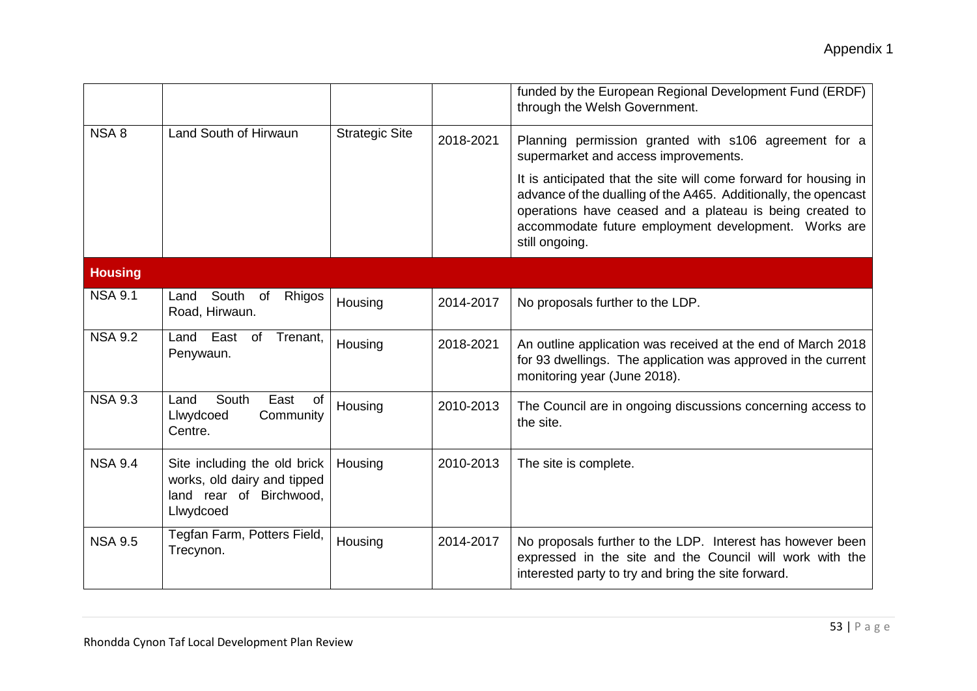|                  |                                                                                                     |                       |           | funded by the European Regional Development Fund (ERDF)<br>through the Welsh Government.                                                                                                                                                                                  |
|------------------|-----------------------------------------------------------------------------------------------------|-----------------------|-----------|---------------------------------------------------------------------------------------------------------------------------------------------------------------------------------------------------------------------------------------------------------------------------|
| NSA <sub>8</sub> | Land South of Hirwaun                                                                               | <b>Strategic Site</b> | 2018-2021 | Planning permission granted with s106 agreement for a<br>supermarket and access improvements.                                                                                                                                                                             |
|                  |                                                                                                     |                       |           | It is anticipated that the site will come forward for housing in<br>advance of the dualling of the A465. Additionally, the opencast<br>operations have ceased and a plateau is being created to<br>accommodate future employment development. Works are<br>still ongoing. |
| <b>Housing</b>   |                                                                                                     |                       |           |                                                                                                                                                                                                                                                                           |
| <b>NSA 9.1</b>   | South<br>Land<br><sub>of</sub><br>Rhigos<br>Road, Hirwaun.                                          | Housing               | 2014-2017 | No proposals further to the LDP.                                                                                                                                                                                                                                          |
| <b>NSA 9.2</b>   | East<br>Land<br>of<br>Trenant,<br>Penywaun.                                                         | Housing               | 2018-2021 | An outline application was received at the end of March 2018<br>for 93 dwellings. The application was approved in the current<br>monitoring year (June 2018).                                                                                                             |
| <b>NSA 9.3</b>   | East<br>Land<br>South<br>of<br>Llwydcoed<br>Community<br>Centre.                                    | Housing               | 2010-2013 | The Council are in ongoing discussions concerning access to<br>the site.                                                                                                                                                                                                  |
| <b>NSA 9.4</b>   | Site including the old brick<br>works, old dairy and tipped<br>land rear of Birchwood,<br>Llwydcoed | Housing               | 2010-2013 | The site is complete.                                                                                                                                                                                                                                                     |
| <b>NSA 9.5</b>   | Tegfan Farm, Potters Field,<br>Trecynon.                                                            | Housing               | 2014-2017 | No proposals further to the LDP. Interest has however been<br>expressed in the site and the Council will work with the<br>interested party to try and bring the site forward.                                                                                             |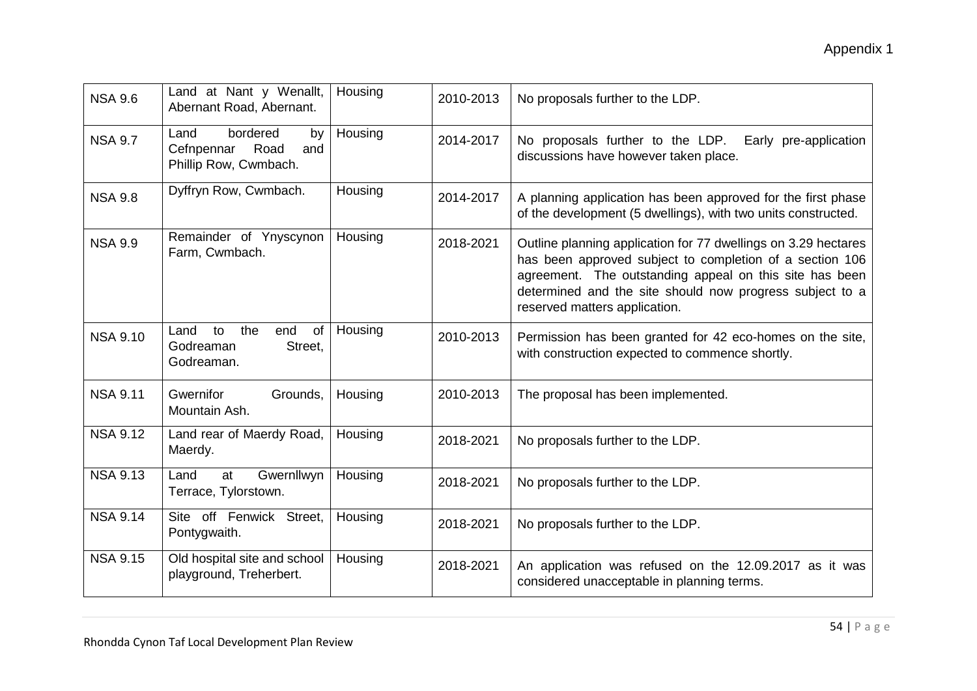| <b>NSA 9.6</b>  | Land at Nant y Wenallt,<br>Abernant Road, Abernant.                          | Housing | 2010-2013 | No proposals further to the LDP.                                                                                                                                                                                                                                                   |
|-----------------|------------------------------------------------------------------------------|---------|-----------|------------------------------------------------------------------------------------------------------------------------------------------------------------------------------------------------------------------------------------------------------------------------------------|
| <b>NSA 9.7</b>  | bordered<br>Land<br>by<br>Cefnpennar<br>Road<br>and<br>Phillip Row, Cwmbach. | Housing | 2014-2017 | No proposals further to the LDP. Early pre-application<br>discussions have however taken place.                                                                                                                                                                                    |
| <b>NSA 9.8</b>  | Dyffryn Row, Cwmbach.                                                        | Housing | 2014-2017 | A planning application has been approved for the first phase<br>of the development (5 dwellings), with two units constructed.                                                                                                                                                      |
| <b>NSA 9.9</b>  | Remainder of Ynyscynon<br>Farm, Cwmbach.                                     | Housing | 2018-2021 | Outline planning application for 77 dwellings on 3.29 hectares<br>has been approved subject to completion of a section 106<br>agreement. The outstanding appeal on this site has been<br>determined and the site should now progress subject to a<br>reserved matters application. |
| <b>NSA 9.10</b> | the<br>Land<br>end<br>of<br>to<br>Godreaman<br>Street,<br>Godreaman.         | Housing | 2010-2013 | Permission has been granted for 42 eco-homes on the site,<br>with construction expected to commence shortly.                                                                                                                                                                       |
| <b>NSA 9.11</b> | Gwernifor<br>Grounds,<br>Mountain Ash.                                       | Housing | 2010-2013 | The proposal has been implemented.                                                                                                                                                                                                                                                 |
| <b>NSA 9.12</b> | Land rear of Maerdy Road,<br>Maerdy.                                         | Housing | 2018-2021 | No proposals further to the LDP.                                                                                                                                                                                                                                                   |
| <b>NSA 9.13</b> | Land<br>Gwernllwyn<br>at<br>Terrace, Tylorstown.                             | Housing | 2018-2021 | No proposals further to the LDP.                                                                                                                                                                                                                                                   |
| <b>NSA 9.14</b> | Site off Fenwick Street,<br>Pontygwaith.                                     | Housing | 2018-2021 | No proposals further to the LDP.                                                                                                                                                                                                                                                   |
| <b>NSA 9.15</b> | Old hospital site and school<br>playground, Treherbert.                      | Housing | 2018-2021 | An application was refused on the 12.09.2017 as it was<br>considered unacceptable in planning terms.                                                                                                                                                                               |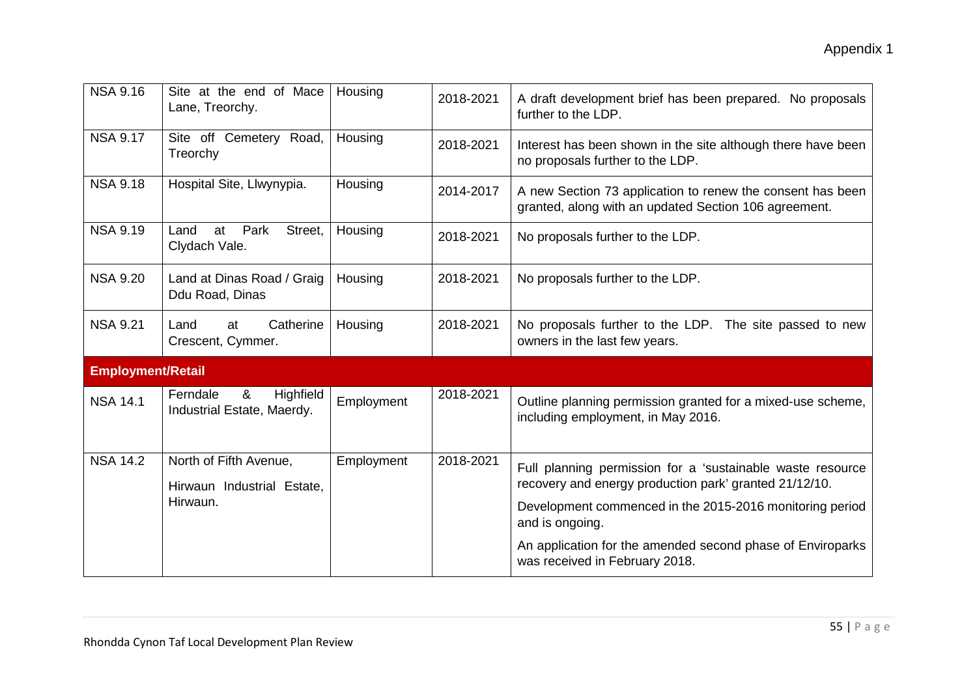| <b>NSA 9.16</b>          | Site at the end of Mace<br>Lane, Treorchy.                       | Housing    | 2018-2021 | A draft development brief has been prepared. No proposals<br>further to the LDP.                                                                                                                    |  |  |
|--------------------------|------------------------------------------------------------------|------------|-----------|-----------------------------------------------------------------------------------------------------------------------------------------------------------------------------------------------------|--|--|
| <b>NSA 9.17</b>          | Site off Cemetery Road,<br>Treorchy                              | Housing    | 2018-2021 | Interest has been shown in the site although there have been<br>no proposals further to the LDP.                                                                                                    |  |  |
| <b>NSA 9.18</b>          | Hospital Site, Llwynypia.                                        | Housing    | 2014-2017 | A new Section 73 application to renew the consent has been<br>granted, along with an updated Section 106 agreement.                                                                                 |  |  |
| <b>NSA 9.19</b>          | Park<br>Street,<br>at<br>Land<br>Clydach Vale.                   | Housing    | 2018-2021 | No proposals further to the LDP.                                                                                                                                                                    |  |  |
| <b>NSA 9.20</b>          | Land at Dinas Road / Graig<br>Ddu Road, Dinas                    | Housing    | 2018-2021 | No proposals further to the LDP.                                                                                                                                                                    |  |  |
| <b>NSA 9.21</b>          | Catherine<br>Land<br>at<br>Crescent, Cymmer.                     | Housing    | 2018-2021 | No proposals further to the LDP. The site passed to new<br>owners in the last few years.                                                                                                            |  |  |
| <b>Employment/Retail</b> |                                                                  |            |           |                                                                                                                                                                                                     |  |  |
| <b>NSA 14.1</b>          | Ferndale<br>&<br>Highfield<br>Industrial Estate, Maerdy.         | Employment | 2018-2021 | Outline planning permission granted for a mixed-use scheme,<br>including employment, in May 2016.                                                                                                   |  |  |
| <b>NSA 14.2</b>          | North of Fifth Avenue,<br>Hirwaun Industrial Estate,<br>Hirwaun. | Employment | 2018-2021 | Full planning permission for a 'sustainable waste resource<br>recovery and energy production park' granted 21/12/10.<br>Development commenced in the 2015-2016 monitoring period<br>and is ongoing. |  |  |
|                          |                                                                  |            |           | An application for the amended second phase of Enviroparks<br>was received in February 2018.                                                                                                        |  |  |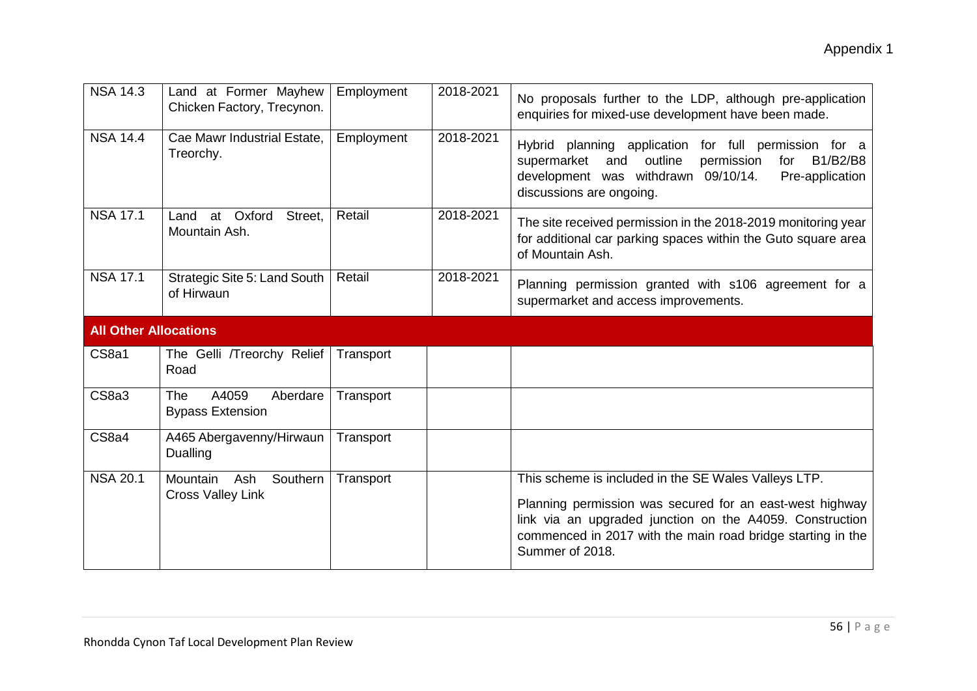| <b>NSA 14.3</b>              | Land at Former Mayhew<br>Chicken Factory, Trecynon.        | Employment | 2018-2021 | No proposals further to the LDP, although pre-application<br>enquiries for mixed-use development have been made.                                                                                                                                               |
|------------------------------|------------------------------------------------------------|------------|-----------|----------------------------------------------------------------------------------------------------------------------------------------------------------------------------------------------------------------------------------------------------------------|
| <b>NSA 14.4</b>              | Cae Mawr Industrial Estate,<br>Treorchy.                   | Employment | 2018-2021 | Hybrid planning application for full permission for a<br>outline<br>B1/B2/B8<br>supermarket<br>and<br>permission<br>for<br>development was withdrawn 09/10/14.<br>Pre-application<br>discussions are ongoing.                                                  |
| <b>NSA 17.1</b>              | Land at Oxford<br>Street,<br>Mountain Ash.                 | Retail     | 2018-2021 | The site received permission in the 2018-2019 monitoring year<br>for additional car parking spaces within the Guto square area<br>of Mountain Ash.                                                                                                             |
| <b>NSA 17.1</b>              | Strategic Site 5: Land South<br>of Hirwaun                 | Retail     | 2018-2021 | Planning permission granted with s106 agreement for a<br>supermarket and access improvements.                                                                                                                                                                  |
| <b>All Other Allocations</b> |                                                            |            |           |                                                                                                                                                                                                                                                                |
| CS8a1                        | The Gelli /Treorchy Relief<br>Road                         | Transport  |           |                                                                                                                                                                                                                                                                |
| CS8a3                        | A4059<br><b>The</b><br>Aberdare<br><b>Bypass Extension</b> | Transport  |           |                                                                                                                                                                                                                                                                |
| CS8a4                        | A465 Abergavenny/Hirwaun<br>Dualling                       | Transport  |           |                                                                                                                                                                                                                                                                |
| <b>NSA 20.1</b>              | Mountain<br>Ash<br>Southern<br><b>Cross Valley Link</b>    | Transport  |           | This scheme is included in the SE Wales Valleys LTP.<br>Planning permission was secured for an east-west highway<br>link via an upgraded junction on the A4059. Construction<br>commenced in 2017 with the main road bridge starting in the<br>Summer of 2018. |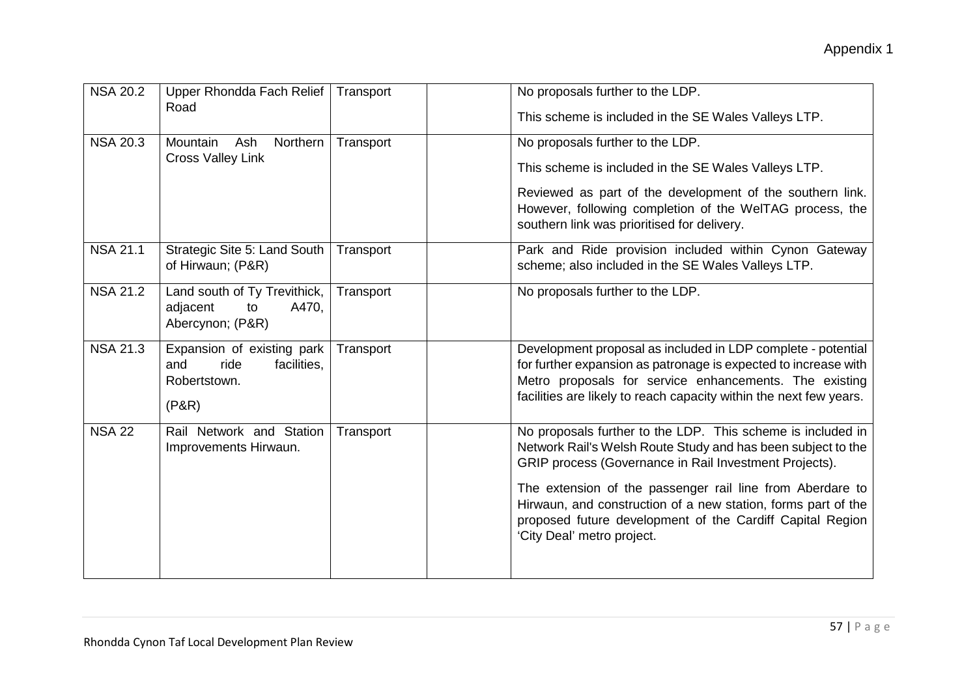| <b>NSA 20.2</b> | Upper Rhondda Fach Relief<br>Road                                                 | Transport | No proposals further to the LDP.<br>This scheme is included in the SE Wales Valleys LTP.                                                                                                                                                                                                                                                                                                                       |
|-----------------|-----------------------------------------------------------------------------------|-----------|----------------------------------------------------------------------------------------------------------------------------------------------------------------------------------------------------------------------------------------------------------------------------------------------------------------------------------------------------------------------------------------------------------------|
| <b>NSA 20.3</b> | Ash<br>Northern<br>Mountain<br><b>Cross Valley Link</b>                           | Transport | No proposals further to the LDP.<br>This scheme is included in the SE Wales Valleys LTP.<br>Reviewed as part of the development of the southern link.<br>However, following completion of the WelTAG process, the<br>southern link was prioritised for delivery.                                                                                                                                               |
| <b>NSA 21.1</b> | Strategic Site 5: Land South<br>of Hirwaun; (P&R)                                 | Transport | Park and Ride provision included within Cynon Gateway<br>scheme; also included in the SE Wales Valleys LTP.                                                                                                                                                                                                                                                                                                    |
| <b>NSA 21.2</b> | Land south of Ty Trevithick,<br>adjacent<br>A470,<br>to<br>Abercynon; (P&R)       | Transport | No proposals further to the LDP.                                                                                                                                                                                                                                                                                                                                                                               |
| <b>NSA 21.3</b> | Expansion of existing park<br>and<br>facilities,<br>ride<br>Robertstown.<br>(P&R) | Transport | Development proposal as included in LDP complete - potential<br>for further expansion as patronage is expected to increase with<br>Metro proposals for service enhancements. The existing<br>facilities are likely to reach capacity within the next few years.                                                                                                                                                |
| <b>NSA 22</b>   | Rail Network and Station<br>Improvements Hirwaun.                                 | Transport | No proposals further to the LDP. This scheme is included in<br>Network Rail's Welsh Route Study and has been subject to the<br>GRIP process (Governance in Rail Investment Projects).<br>The extension of the passenger rail line from Aberdare to<br>Hirwaun, and construction of a new station, forms part of the<br>proposed future development of the Cardiff Capital Region<br>'City Deal' metro project. |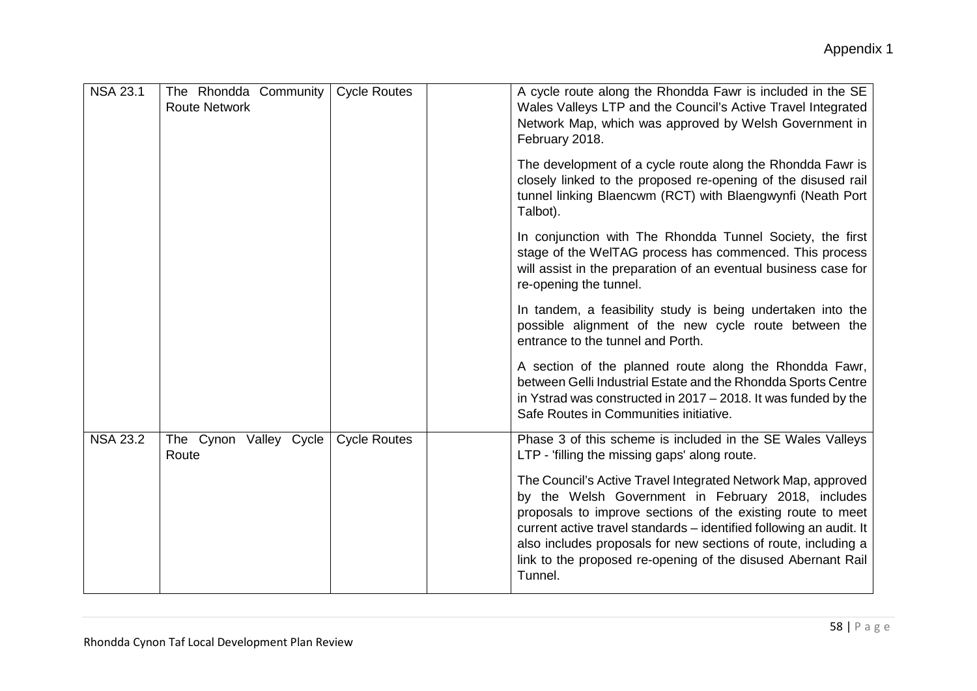| <b>NSA 23.1</b> | The Rhondda Community<br><b>Route Network</b> | <b>Cycle Routes</b> | A cycle route along the Rhondda Fawr is included in the SE<br>Wales Valleys LTP and the Council's Active Travel Integrated<br>Network Map, which was approved by Welsh Government in<br>February 2018.                                                                                                                                                                                                |
|-----------------|-----------------------------------------------|---------------------|-------------------------------------------------------------------------------------------------------------------------------------------------------------------------------------------------------------------------------------------------------------------------------------------------------------------------------------------------------------------------------------------------------|
|                 |                                               |                     | The development of a cycle route along the Rhondda Fawr is<br>closely linked to the proposed re-opening of the disused rail<br>tunnel linking Blaencwm (RCT) with Blaengwynfi (Neath Port<br>Talbot).                                                                                                                                                                                                 |
|                 |                                               |                     | In conjunction with The Rhondda Tunnel Society, the first<br>stage of the WeITAG process has commenced. This process<br>will assist in the preparation of an eventual business case for<br>re-opening the tunnel.                                                                                                                                                                                     |
|                 |                                               |                     | In tandem, a feasibility study is being undertaken into the<br>possible alignment of the new cycle route between the<br>entrance to the tunnel and Porth.                                                                                                                                                                                                                                             |
|                 |                                               |                     | A section of the planned route along the Rhondda Fawr,<br>between Gelli Industrial Estate and the Rhondda Sports Centre<br>in Ystrad was constructed in 2017 – 2018. It was funded by the<br>Safe Routes in Communities initiative.                                                                                                                                                                   |
| <b>NSA 23.2</b> | The Cynon Valley Cycle<br>Route               | <b>Cycle Routes</b> | Phase 3 of this scheme is included in the SE Wales Valleys<br>LTP - 'filling the missing gaps' along route.                                                                                                                                                                                                                                                                                           |
|                 |                                               |                     | The Council's Active Travel Integrated Network Map, approved<br>by the Welsh Government in February 2018, includes<br>proposals to improve sections of the existing route to meet<br>current active travel standards - identified following an audit. It<br>also includes proposals for new sections of route, including a<br>link to the proposed re-opening of the disused Abernant Rail<br>Tunnel. |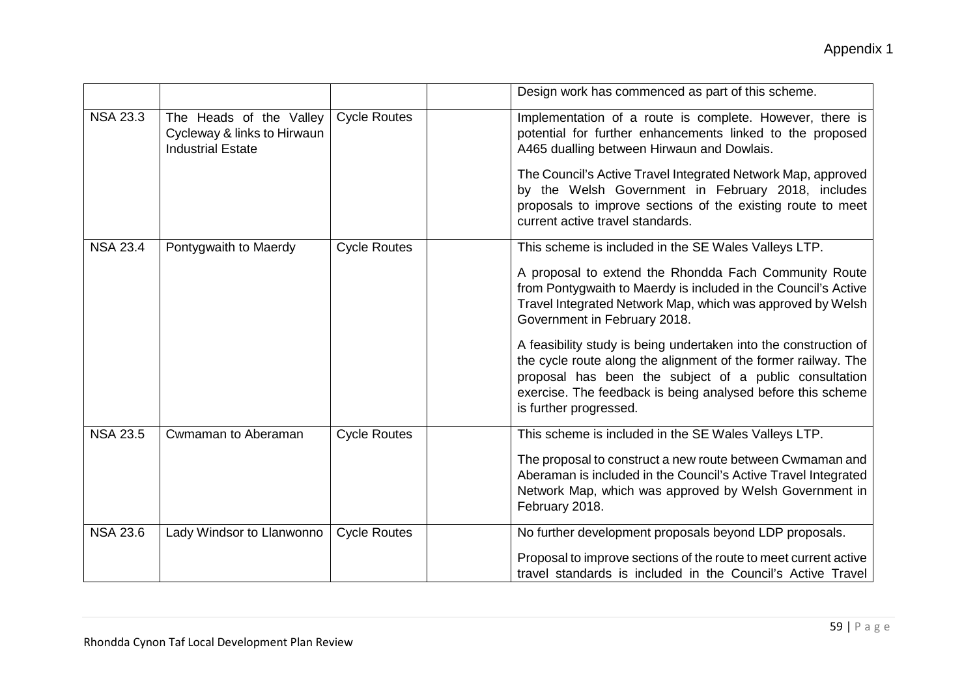|                 |                                                                                    |                     | Design work has commenced as part of this scheme.                                                                                                                                                                                                                                     |
|-----------------|------------------------------------------------------------------------------------|---------------------|---------------------------------------------------------------------------------------------------------------------------------------------------------------------------------------------------------------------------------------------------------------------------------------|
| <b>NSA 23.3</b> | The Heads of the Valley<br>Cycleway & links to Hirwaun<br><b>Industrial Estate</b> | <b>Cycle Routes</b> | Implementation of a route is complete. However, there is<br>potential for further enhancements linked to the proposed<br>A465 dualling between Hirwaun and Dowlais.                                                                                                                   |
|                 |                                                                                    |                     | The Council's Active Travel Integrated Network Map, approved<br>by the Welsh Government in February 2018, includes<br>proposals to improve sections of the existing route to meet<br>current active travel standards.                                                                 |
| <b>NSA 23.4</b> | Pontygwaith to Maerdy                                                              | <b>Cycle Routes</b> | This scheme is included in the SE Wales Valleys LTP.                                                                                                                                                                                                                                  |
|                 |                                                                                    |                     | A proposal to extend the Rhondda Fach Community Route<br>from Pontygwaith to Maerdy is included in the Council's Active<br>Travel Integrated Network Map, which was approved by Welsh<br>Government in February 2018.                                                                 |
|                 |                                                                                    |                     | A feasibility study is being undertaken into the construction of<br>the cycle route along the alignment of the former railway. The<br>proposal has been the subject of a public consultation<br>exercise. The feedback is being analysed before this scheme<br>is further progressed. |
| <b>NSA 23.5</b> | Cwmaman to Aberaman                                                                | <b>Cycle Routes</b> | This scheme is included in the SE Wales Valleys LTP.                                                                                                                                                                                                                                  |
|                 |                                                                                    |                     | The proposal to construct a new route between Cwmaman and<br>Aberaman is included in the Council's Active Travel Integrated<br>Network Map, which was approved by Welsh Government in<br>February 2018.                                                                               |
| <b>NSA 23.6</b> | Lady Windsor to Llanwonno                                                          | <b>Cycle Routes</b> | No further development proposals beyond LDP proposals.                                                                                                                                                                                                                                |
|                 |                                                                                    |                     | Proposal to improve sections of the route to meet current active<br>travel standards is included in the Council's Active Travel                                                                                                                                                       |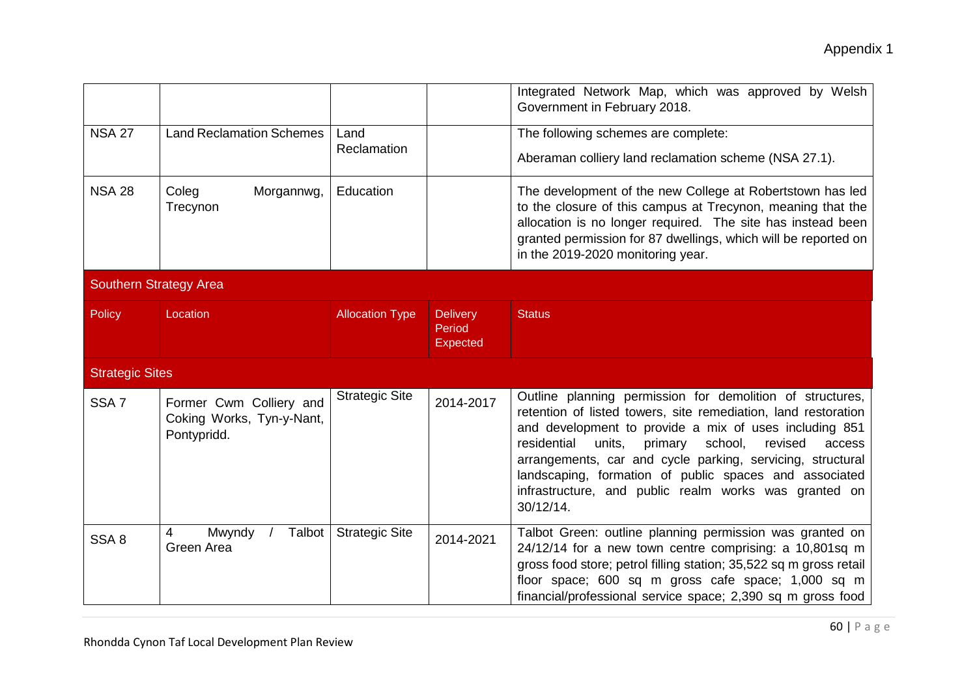|                               |                                                                     |                        |                                              | Integrated Network Map, which was approved by Welsh<br>Government in February 2018.                                                                                                                                                                                                                                                                                                                                                                     |
|-------------------------------|---------------------------------------------------------------------|------------------------|----------------------------------------------|---------------------------------------------------------------------------------------------------------------------------------------------------------------------------------------------------------------------------------------------------------------------------------------------------------------------------------------------------------------------------------------------------------------------------------------------------------|
| <b>NSA 27</b>                 | <b>Land Reclamation Schemes</b>                                     | Land<br>Reclamation    |                                              | The following schemes are complete:<br>Aberaman colliery land reclamation scheme (NSA 27.1).                                                                                                                                                                                                                                                                                                                                                            |
| <b>NSA 28</b>                 | Morgannwg,<br>Coleg<br>Trecynon                                     | Education              |                                              | The development of the new College at Robertstown has led<br>to the closure of this campus at Trecynon, meaning that the<br>allocation is no longer required. The site has instead been<br>granted permission for 87 dwellings, which will be reported on<br>in the 2019-2020 monitoring year.                                                                                                                                                          |
| <b>Southern Strategy Area</b> |                                                                     |                        |                                              |                                                                                                                                                                                                                                                                                                                                                                                                                                                         |
| Policy                        | Location                                                            | <b>Allocation Type</b> | <b>Delivery</b><br>Period<br><b>Expected</b> | <b>Status</b>                                                                                                                                                                                                                                                                                                                                                                                                                                           |
| <b>Strategic Sites</b>        |                                                                     |                        |                                              |                                                                                                                                                                                                                                                                                                                                                                                                                                                         |
| SSA <sub>7</sub>              | Former Cwm Colliery and<br>Coking Works, Tyn-y-Nant,<br>Pontypridd. | <b>Strategic Site</b>  | 2014-2017                                    | Outline planning permission for demolition of structures,<br>retention of listed towers, site remediation, land restoration<br>and development to provide a mix of uses including 851<br>residential<br>units,<br>primary<br>school,<br>revised<br>access<br>arrangements, car and cycle parking, servicing, structural<br>landscaping, formation of public spaces and associated<br>infrastructure, and public realm works was granted on<br>30/12/14. |
| SSA <sub>8</sub>              | Talbot<br>Mwyndy<br>4<br>Green Area                                 | <b>Strategic Site</b>  | 2014-2021                                    | Talbot Green: outline planning permission was granted on<br>24/12/14 for a new town centre comprising: a 10,801sq m<br>gross food store; petrol filling station; 35,522 sq m gross retail<br>floor space; 600 sq m gross cafe space; 1,000 sq m<br>financial/professional service space; 2,390 sq m gross food                                                                                                                                          |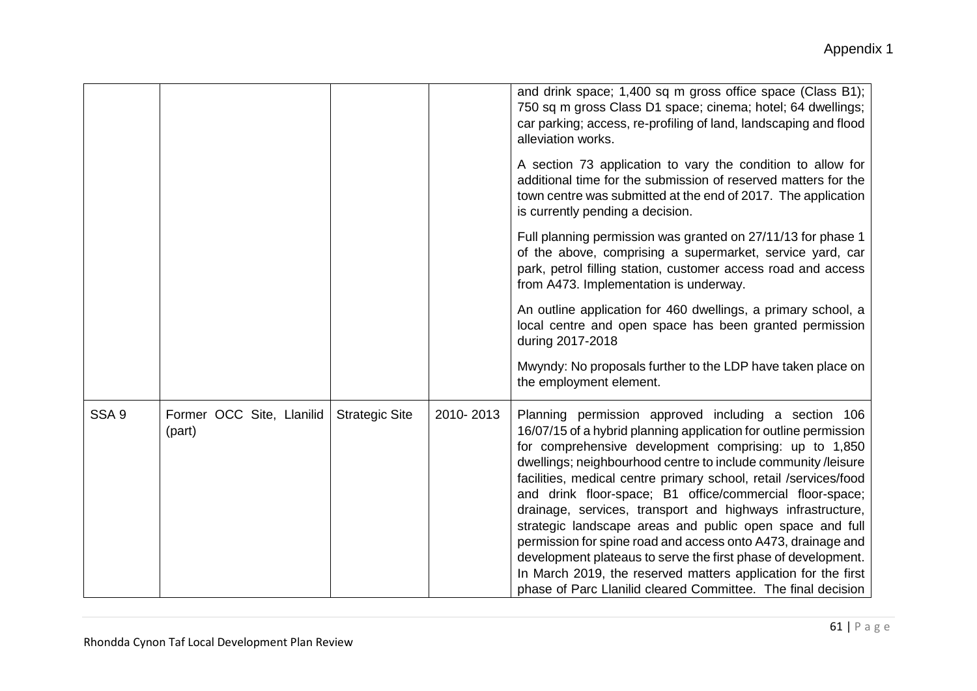|                  |                                     |                       |           | and drink space; 1,400 sq m gross office space (Class B1);<br>750 sq m gross Class D1 space; cinema; hotel; 64 dwellings;<br>car parking; access, re-profiling of land, landscaping and flood<br>alleviation works.                                                                                                                                                                                                                                                                                                                                                                                                                                                                                                                                                            |
|------------------|-------------------------------------|-----------------------|-----------|--------------------------------------------------------------------------------------------------------------------------------------------------------------------------------------------------------------------------------------------------------------------------------------------------------------------------------------------------------------------------------------------------------------------------------------------------------------------------------------------------------------------------------------------------------------------------------------------------------------------------------------------------------------------------------------------------------------------------------------------------------------------------------|
|                  |                                     |                       |           | A section 73 application to vary the condition to allow for<br>additional time for the submission of reserved matters for the<br>town centre was submitted at the end of 2017. The application<br>is currently pending a decision.                                                                                                                                                                                                                                                                                                                                                                                                                                                                                                                                             |
|                  |                                     |                       |           | Full planning permission was granted on 27/11/13 for phase 1<br>of the above, comprising a supermarket, service yard, car<br>park, petrol filling station, customer access road and access<br>from A473. Implementation is underway.                                                                                                                                                                                                                                                                                                                                                                                                                                                                                                                                           |
|                  |                                     |                       |           | An outline application for 460 dwellings, a primary school, a<br>local centre and open space has been granted permission<br>during 2017-2018                                                                                                                                                                                                                                                                                                                                                                                                                                                                                                                                                                                                                                   |
|                  |                                     |                       |           | Mwyndy: No proposals further to the LDP have taken place on<br>the employment element.                                                                                                                                                                                                                                                                                                                                                                                                                                                                                                                                                                                                                                                                                         |
| SSA <sub>9</sub> | Former OCC Site, Llanilid<br>(part) | <b>Strategic Site</b> | 2010-2013 | Planning permission approved including a section 106<br>16/07/15 of a hybrid planning application for outline permission<br>for comprehensive development comprising: up to 1,850<br>dwellings; neighbourhood centre to include community /leisure<br>facilities, medical centre primary school, retail /services/food<br>and drink floor-space; B1 office/commercial floor-space;<br>drainage, services, transport and highways infrastructure,<br>strategic landscape areas and public open space and full<br>permission for spine road and access onto A473, drainage and<br>development plateaus to serve the first phase of development.<br>In March 2019, the reserved matters application for the first<br>phase of Parc Llanilid cleared Committee. The final decision |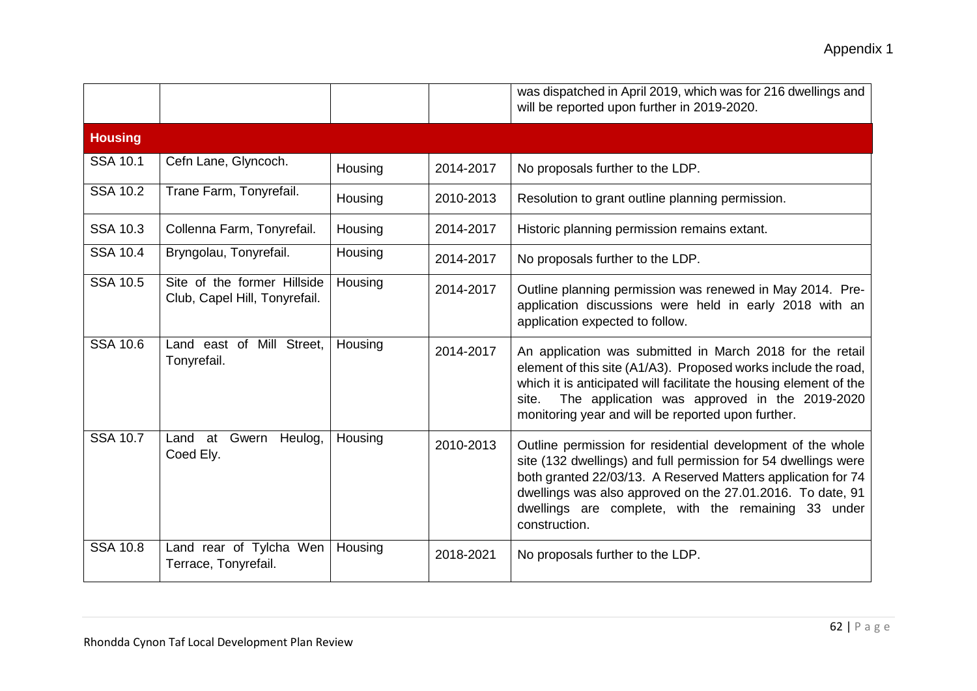|                 |                                                              |         |           | was dispatched in April 2019, which was for 216 dwellings and<br>will be reported upon further in 2019-2020.                                                                                                                                                                                                                        |
|-----------------|--------------------------------------------------------------|---------|-----------|-------------------------------------------------------------------------------------------------------------------------------------------------------------------------------------------------------------------------------------------------------------------------------------------------------------------------------------|
| <b>Housing</b>  |                                                              |         |           |                                                                                                                                                                                                                                                                                                                                     |
| <b>SSA 10.1</b> | Cefn Lane, Glyncoch.                                         | Housing | 2014-2017 | No proposals further to the LDP.                                                                                                                                                                                                                                                                                                    |
| <b>SSA 10.2</b> | Trane Farm, Tonyrefail.                                      | Housing | 2010-2013 | Resolution to grant outline planning permission.                                                                                                                                                                                                                                                                                    |
| <b>SSA 10.3</b> | Collenna Farm, Tonyrefail.                                   | Housing | 2014-2017 | Historic planning permission remains extant.                                                                                                                                                                                                                                                                                        |
| <b>SSA 10.4</b> | Bryngolau, Tonyrefail.                                       | Housing | 2014-2017 | No proposals further to the LDP.                                                                                                                                                                                                                                                                                                    |
| <b>SSA 10.5</b> | Site of the former Hillside<br>Club, Capel Hill, Tonyrefail. | Housing | 2014-2017 | Outline planning permission was renewed in May 2014. Pre-<br>application discussions were held in early 2018 with an<br>application expected to follow.                                                                                                                                                                             |
| <b>SSA 10.6</b> | Land east of Mill Street,<br>Tonyrefail.                     | Housing | 2014-2017 | An application was submitted in March 2018 for the retail<br>element of this site (A1/A3). Proposed works include the road,<br>which it is anticipated will facilitate the housing element of the<br>The application was approved in the 2019-2020<br>site.<br>monitoring year and will be reported upon further.                   |
| <b>SSA 10.7</b> | Land at Gwern<br>Heulog,<br>Coed Ely.                        | Housing | 2010-2013 | Outline permission for residential development of the whole<br>site (132 dwellings) and full permission for 54 dwellings were<br>both granted 22/03/13. A Reserved Matters application for 74<br>dwellings was also approved on the 27.01.2016. To date, 91<br>dwellings are complete, with the remaining 33 under<br>construction. |
| <b>SSA 10.8</b> | Land rear of Tylcha Wen<br>Terrace, Tonyrefail.              | Housing | 2018-2021 | No proposals further to the LDP.                                                                                                                                                                                                                                                                                                    |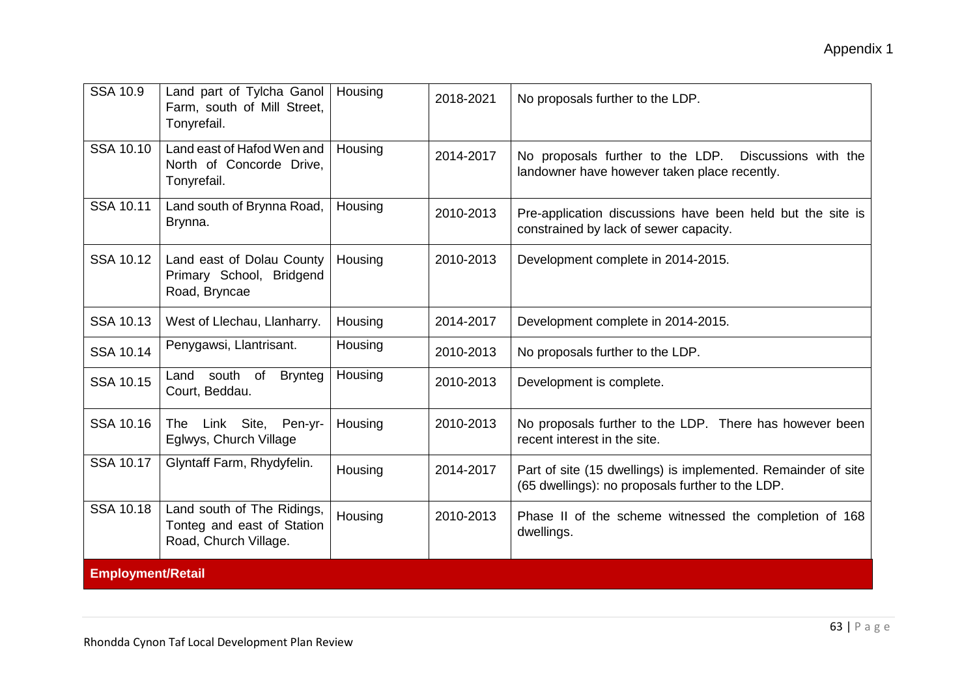| <b>SSA 10.9</b>          | Land part of Tylcha Ganol<br>Farm, south of Mill Street,<br>Tonyrefail.           | Housing | 2018-2021 | No proposals further to the LDP.                                                                                  |
|--------------------------|-----------------------------------------------------------------------------------|---------|-----------|-------------------------------------------------------------------------------------------------------------------|
| <b>SSA 10.10</b>         | Land east of Hafod Wen and<br>North of Concorde Drive,<br>Tonyrefail.             | Housing | 2014-2017 | No proposals further to the LDP. Discussions with the<br>landowner have however taken place recently.             |
| SSA 10.11                | Land south of Brynna Road,<br>Brynna.                                             | Housing | 2010-2013 | Pre-application discussions have been held but the site is<br>constrained by lack of sewer capacity.              |
| <b>SSA 10.12</b>         | Land east of Dolau County<br>Primary School, Bridgend<br>Road, Bryncae            | Housing | 2010-2013 | Development complete in 2014-2015.                                                                                |
| <b>SSA 10.13</b>         | West of Llechau, Llanharry.                                                       | Housing | 2014-2017 | Development complete in 2014-2015.                                                                                |
| <b>SSA 10.14</b>         | Penygawsi, Llantrisant.                                                           | Housing | 2010-2013 | No proposals further to the LDP.                                                                                  |
| <b>SSA 10.15</b>         | Land south of<br><b>Brynteg</b><br>Court, Beddau.                                 | Housing | 2010-2013 | Development is complete.                                                                                          |
| <b>SSA 10.16</b>         | The Link Site,<br>Pen-yr-<br>Eglwys, Church Village                               | Housing | 2010-2013 | No proposals further to the LDP. There has however been<br>recent interest in the site.                           |
| <b>SSA 10.17</b>         | Glyntaff Farm, Rhydyfelin.                                                        | Housing | 2014-2017 | Part of site (15 dwellings) is implemented. Remainder of site<br>(65 dwellings): no proposals further to the LDP. |
| <b>SSA 10.18</b>         | Land south of The Ridings,<br>Tonteg and east of Station<br>Road, Church Village. | Housing | 2010-2013 | Phase II of the scheme witnessed the completion of 168<br>dwellings.                                              |
| <b>Employment/Retail</b> |                                                                                   |         |           |                                                                                                                   |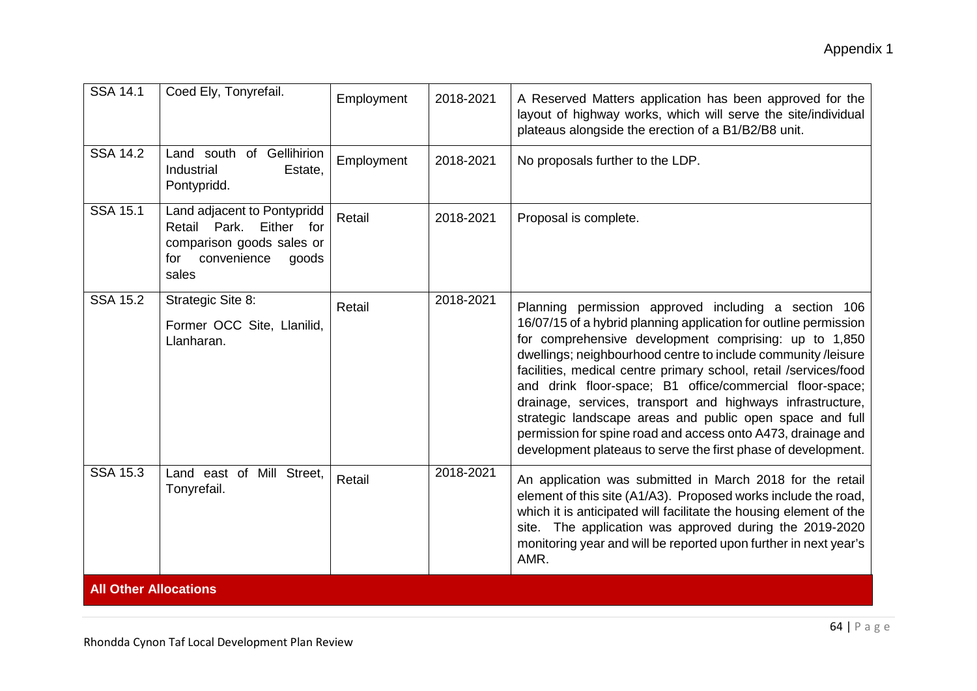| <b>SSA 14.1</b>              | Coed Ely, Tonyrefail.                                                                                                                | Employment | 2018-2021 | A Reserved Matters application has been approved for the<br>layout of highway works, which will serve the site/individual<br>plateaus alongside the erection of a B1/B2/B8 unit.                                                                                                                                                                                                                                                                                                                                                                                                                                                              |
|------------------------------|--------------------------------------------------------------------------------------------------------------------------------------|------------|-----------|-----------------------------------------------------------------------------------------------------------------------------------------------------------------------------------------------------------------------------------------------------------------------------------------------------------------------------------------------------------------------------------------------------------------------------------------------------------------------------------------------------------------------------------------------------------------------------------------------------------------------------------------------|
| <b>SSA 14.2</b>              | Land south of Gellihirion<br>Industrial<br>Estate,<br>Pontypridd.                                                                    | Employment | 2018-2021 | No proposals further to the LDP.                                                                                                                                                                                                                                                                                                                                                                                                                                                                                                                                                                                                              |
| <b>SSA 15.1</b>              | Land adjacent to Pontypridd<br>Retail<br>Park.<br>Either<br>for<br>comparison goods sales or<br>convenience<br>for<br>goods<br>sales | Retail     | 2018-2021 | Proposal is complete.                                                                                                                                                                                                                                                                                                                                                                                                                                                                                                                                                                                                                         |
| <b>SSA 15.2</b>              | Strategic Site 8:<br>Former OCC Site, Llanilid,<br>Llanharan.                                                                        | Retail     | 2018-2021 | Planning permission approved including a section 106<br>16/07/15 of a hybrid planning application for outline permission<br>for comprehensive development comprising: up to 1,850<br>dwellings; neighbourhood centre to include community /leisure<br>facilities, medical centre primary school, retail /services/food<br>and drink floor-space; B1 office/commercial floor-space;<br>drainage, services, transport and highways infrastructure,<br>strategic landscape areas and public open space and full<br>permission for spine road and access onto A473, drainage and<br>development plateaus to serve the first phase of development. |
| <b>SSA 15.3</b>              | Land east of Mill Street,<br>Tonyrefail.                                                                                             | Retail     | 2018-2021 | An application was submitted in March 2018 for the retail<br>element of this site (A1/A3). Proposed works include the road,<br>which it is anticipated will facilitate the housing element of the<br>site. The application was approved during the 2019-2020<br>monitoring year and will be reported upon further in next year's<br>AMR.                                                                                                                                                                                                                                                                                                      |
| <b>All Other Allocations</b> |                                                                                                                                      |            |           |                                                                                                                                                                                                                                                                                                                                                                                                                                                                                                                                                                                                                                               |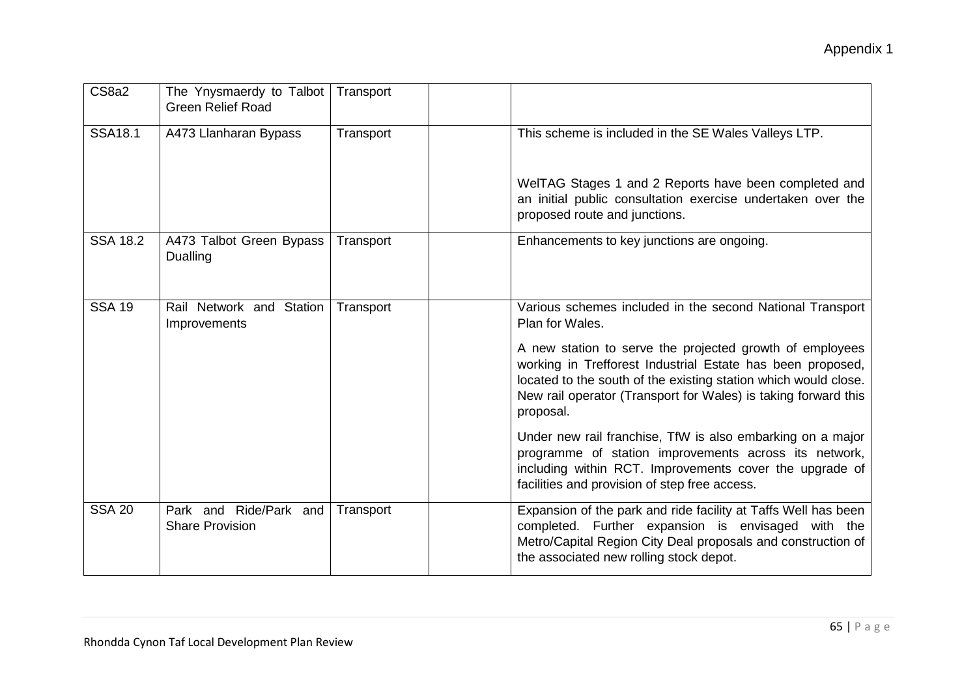| CS8a2           | The Ynysmaerdy to Talbot<br><b>Green Relief Road</b> | Transport |                                                                                                                                                                                                                                                                          |
|-----------------|------------------------------------------------------|-----------|--------------------------------------------------------------------------------------------------------------------------------------------------------------------------------------------------------------------------------------------------------------------------|
| <b>SSA18.1</b>  | A473 Llanharan Bypass                                | Transport | This scheme is included in the SE Wales Valleys LTP.                                                                                                                                                                                                                     |
|                 |                                                      |           | WelTAG Stages 1 and 2 Reports have been completed and<br>an initial public consultation exercise undertaken over the<br>proposed route and junctions.                                                                                                                    |
| <b>SSA 18.2</b> | A473 Talbot Green Bypass<br><b>Dualling</b>          | Transport | Enhancements to key junctions are ongoing.                                                                                                                                                                                                                               |
| <b>SSA 19</b>   | Rail Network and Station<br>Improvements             | Transport | Various schemes included in the second National Transport<br>Plan for Wales.                                                                                                                                                                                             |
|                 |                                                      |           | A new station to serve the projected growth of employees<br>working in Trefforest Industrial Estate has been proposed,<br>located to the south of the existing station which would close.<br>New rail operator (Transport for Wales) is taking forward this<br>proposal. |
|                 |                                                      |           | Under new rail franchise, TfW is also embarking on a major<br>programme of station improvements across its network,<br>including within RCT. Improvements cover the upgrade of<br>facilities and provision of step free access.                                          |
| <b>SSA 20</b>   | Park and Ride/Park and<br><b>Share Provision</b>     | Transport | Expansion of the park and ride facility at Taffs Well has been<br>completed. Further expansion is envisaged with the<br>Metro/Capital Region City Deal proposals and construction of<br>the associated new rolling stock depot.                                          |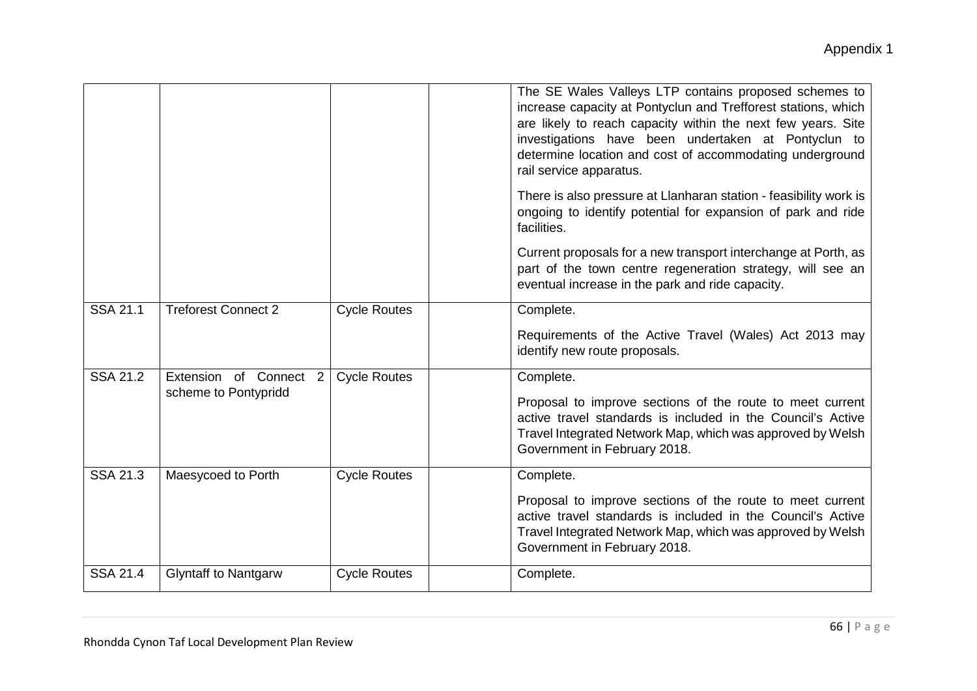|                 |                             |                     | The SE Wales Valleys LTP contains proposed schemes to<br>increase capacity at Pontyclun and Trefforest stations, which<br>are likely to reach capacity within the next few years. Site<br>investigations have been undertaken at Pontyclun to<br>determine location and cost of accommodating underground<br>rail service apparatus. |
|-----------------|-----------------------------|---------------------|--------------------------------------------------------------------------------------------------------------------------------------------------------------------------------------------------------------------------------------------------------------------------------------------------------------------------------------|
|                 |                             |                     | There is also pressure at Llanharan station - feasibility work is<br>ongoing to identify potential for expansion of park and ride<br>facilities.                                                                                                                                                                                     |
|                 |                             |                     | Current proposals for a new transport interchange at Porth, as<br>part of the town centre regeneration strategy, will see an<br>eventual increase in the park and ride capacity.                                                                                                                                                     |
| <b>SSA 21.1</b> | <b>Treforest Connect 2</b>  | <b>Cycle Routes</b> | Complete.                                                                                                                                                                                                                                                                                                                            |
|                 |                             |                     | Requirements of the Active Travel (Wales) Act 2013 may<br>identify new route proposals.                                                                                                                                                                                                                                              |
| <b>SSA 21.2</b> | Extension of Connect 2      | <b>Cycle Routes</b> | Complete.                                                                                                                                                                                                                                                                                                                            |
|                 | scheme to Pontypridd        |                     | Proposal to improve sections of the route to meet current<br>active travel standards is included in the Council's Active<br>Travel Integrated Network Map, which was approved by Welsh<br>Government in February 2018.                                                                                                               |
| <b>SSA 21.3</b> | Maesycoed to Porth          | <b>Cycle Routes</b> | Complete.                                                                                                                                                                                                                                                                                                                            |
|                 |                             |                     | Proposal to improve sections of the route to meet current<br>active travel standards is included in the Council's Active<br>Travel Integrated Network Map, which was approved by Welsh<br>Government in February 2018.                                                                                                               |
| <b>SSA 21.4</b> | <b>Glyntaff to Nantgarw</b> | <b>Cycle Routes</b> | Complete.                                                                                                                                                                                                                                                                                                                            |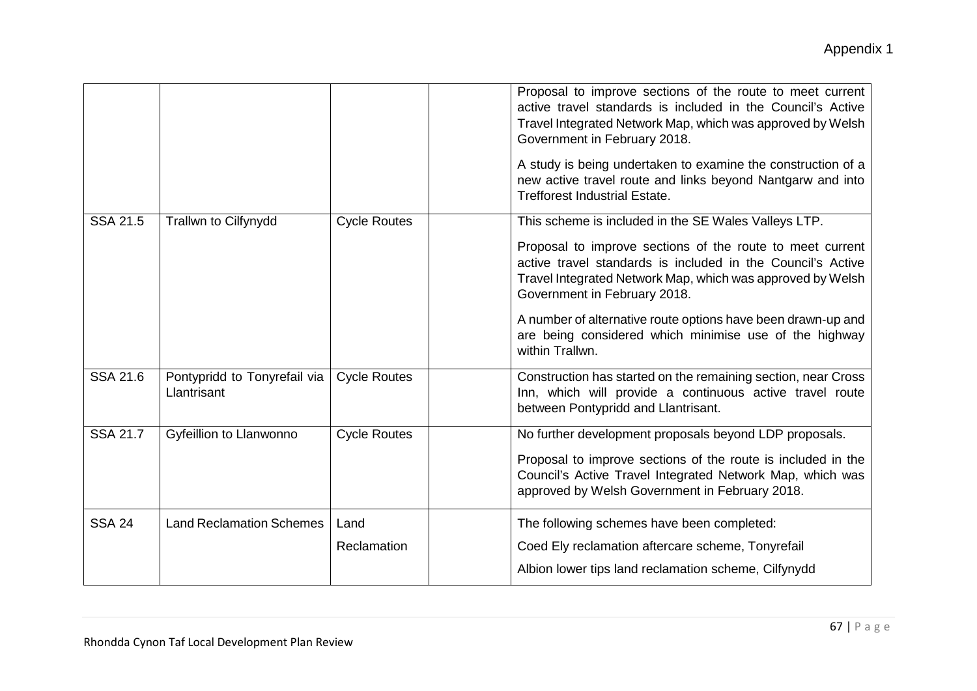|                 |                                             |                     | Proposal to improve sections of the route to meet current<br>active travel standards is included in the Council's Active<br>Travel Integrated Network Map, which was approved by Welsh<br>Government in February 2018. |
|-----------------|---------------------------------------------|---------------------|------------------------------------------------------------------------------------------------------------------------------------------------------------------------------------------------------------------------|
|                 |                                             |                     | A study is being undertaken to examine the construction of a<br>new active travel route and links beyond Nantgarw and into<br><b>Trefforest Industrial Estate.</b>                                                     |
| <b>SSA 21.5</b> | <b>Trallwn to Cilfynydd</b>                 | <b>Cycle Routes</b> | This scheme is included in the SE Wales Valleys LTP.                                                                                                                                                                   |
|                 |                                             |                     | Proposal to improve sections of the route to meet current<br>active travel standards is included in the Council's Active<br>Travel Integrated Network Map, which was approved by Welsh<br>Government in February 2018. |
|                 |                                             |                     | A number of alternative route options have been drawn-up and<br>are being considered which minimise use of the highway<br>within Trallwn.                                                                              |
| <b>SSA 21.6</b> | Pontypridd to Tonyrefail via<br>Llantrisant | <b>Cycle Routes</b> | Construction has started on the remaining section, near Cross<br>Inn, which will provide a continuous active travel route<br>between Pontypridd and Llantrisant.                                                       |
| <b>SSA 21.7</b> | Gyfeillion to Llanwonno                     | <b>Cycle Routes</b> | No further development proposals beyond LDP proposals.                                                                                                                                                                 |
|                 |                                             |                     | Proposal to improve sections of the route is included in the<br>Council's Active Travel Integrated Network Map, which was<br>approved by Welsh Government in February 2018.                                            |
| <b>SSA 24</b>   | <b>Land Reclamation Schemes</b>             | Land                | The following schemes have been completed:                                                                                                                                                                             |
|                 |                                             | Reclamation         | Coed Ely reclamation aftercare scheme, Tonyrefail                                                                                                                                                                      |
|                 |                                             |                     | Albion lower tips land reclamation scheme, Cilfynydd                                                                                                                                                                   |